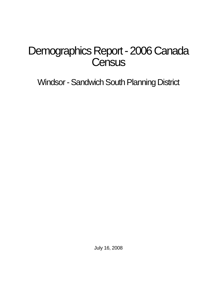# Demographics Report - 2006 Canada **Census**

Windsor - Sandwich South Planning District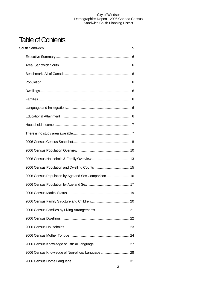## Table of Contents

| 2006 Census Population by Age and Sex Comparison 16 |  |
|-----------------------------------------------------|--|
|                                                     |  |
|                                                     |  |
|                                                     |  |
|                                                     |  |
|                                                     |  |
|                                                     |  |
|                                                     |  |
|                                                     |  |
| 2006 Census Knowledge of Non-official Language  28  |  |
|                                                     |  |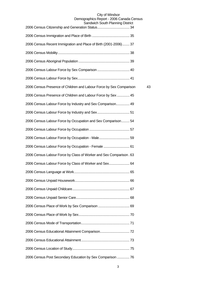## City of Windsor Demographics Report - 2006 Canada Census

| Sandwich South Planning District                                    |    |
|---------------------------------------------------------------------|----|
|                                                                     |    |
| 2006 Census Recent Immigration and Place of Birth (2001-2006) 37    |    |
|                                                                     |    |
|                                                                     |    |
|                                                                     |    |
|                                                                     |    |
| 2006 Census Presence of Children and Labour Force by Sex Comparison | 43 |
| 2006 Census Presence of Children and Labour Force by Sex  45        |    |
| 2006 Census Labour Force by Industry and Sex Comparison 49          |    |
|                                                                     |    |
| 2006 Census Labour Force by Occupation and Sex Comparison 54        |    |
|                                                                     |    |
| 2006 Census Labour Force by Occupation - Male 59                    |    |
| 2006 Census Labour Force by Occupation - Female  61                 |    |
| 2006 Census Labour Force by Class of Worker and Sex Comparison. 63  |    |
| 2006 Census Labour Force by Class of Worker and Sex 64              |    |
|                                                                     |    |
|                                                                     |    |
|                                                                     |    |
|                                                                     |    |
|                                                                     |    |
|                                                                     |    |
|                                                                     |    |
|                                                                     |    |
|                                                                     |    |
|                                                                     |    |
| 2006 Census Post Secondary Education by Sex Comparison  76          |    |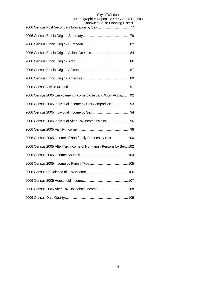| ייטטע נישויייומו וויווסט ווטו                                      |
|--------------------------------------------------------------------|
|                                                                    |
|                                                                    |
|                                                                    |
|                                                                    |
|                                                                    |
|                                                                    |
|                                                                    |
| 2006 Census 2005 Employment Income by Sex and Work Activity  92    |
| 2006 Census 2005 Individual Income by Sex Comparison  93           |
|                                                                    |
| 2006 Census 2005 Individual After-Tax Income by Sex 96             |
|                                                                    |
| 2006 Census 2005 Income of Non-family Persons by Sex  100          |
| 2006 Census 2005 After-Tax Income of Non-family Persons by Sex 102 |
|                                                                    |
|                                                                    |
|                                                                    |
|                                                                    |
| 2006 Census 2005 After-Tax Household Income  108                   |
|                                                                    |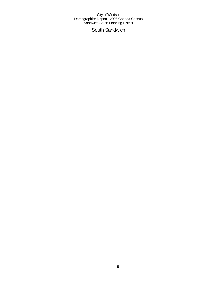South Sandwich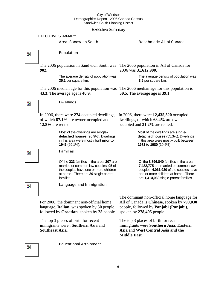## Executive Summary

|                         |                          | LACUUVU UUTIITIQIY                                                                                                                                                            |                                                                                                                                                                                                         |
|-------------------------|--------------------------|-------------------------------------------------------------------------------------------------------------------------------------------------------------------------------|---------------------------------------------------------------------------------------------------------------------------------------------------------------------------------------------------------|
|                         | <b>EXECUTIVE SUMMARY</b> |                                                                                                                                                                               |                                                                                                                                                                                                         |
|                         |                          | <b>Area: Sandwich South</b>                                                                                                                                                   | <b>Benchmark: All of Canada</b>                                                                                                                                                                         |
| Þ.                      |                          | Population                                                                                                                                                                    |                                                                                                                                                                                                         |
|                         | 902.                     | The 2006 population in Sandwich South was                                                                                                                                     | The 2006 population in All of Canada for<br>2006 was 31,612,900.                                                                                                                                        |
|                         |                          | The average density of population was<br>35.1 per square km.                                                                                                                  | The average density of population was<br>3.5 per square km.                                                                                                                                             |
|                         |                          | The 2006 median age for this population was<br><b>43.3</b> . The average age is <b>40.9</b> .                                                                                 | The 2006 median age for this population is<br><b>39.5</b> . The average age is <b>39.1</b> .                                                                                                            |
| $\overline{\mathbf{z}}$ |                          | <b>Dwellings</b>                                                                                                                                                              |                                                                                                                                                                                                         |
|                         | $12.8\%$ are rented.     | In 2006, there were 274 occupied dwellings,<br>of which 87.1% are owner-occupied and                                                                                          | In 2006, there were $12,435,520$ occupied<br>dwellings, of which 68.4% are owner-<br>occupied and 31.2% are rented.                                                                                     |
|                         |                          | Most of the dwellings are single-<br>detached houses (96.9%). Dwellings<br>in this area were mostly built prior to<br>1946 (29.1%).                                           | Most of the dwellings are single-<br>detached houses (55.3%). Dwellings<br>in this area were mostly built between<br>1971 to 1980 (19.5%).                                                              |
| $\mathbf{z}$            |                          | <b>Families</b>                                                                                                                                                               |                                                                                                                                                                                                         |
|                         |                          | Of the 223 families in the area, 207 are<br>married or common law couples; 95 of<br>the couples have one or more children<br>at home. There are 20 single-parent<br>families. | Of the 8,896,840 families in the area,<br>7,482,775 are married or common law<br>couples; 4,061,930 of the couples have<br>one or more children at home. There<br>are 1,414,060 single-parent families. |
| $\mathbf{z}$            |                          | Language and Immigration                                                                                                                                                      |                                                                                                                                                                                                         |
|                         |                          | For 2006, the dominant non-official home<br>language, Italian, was spoken by 30 people,<br>followed by Croatian, spoken by 25 people.                                         | The dominant non-official home language for<br>All of Canada is Chinese, spoken by 790,030<br>people, followed by <b>Panjabi</b> ( <b>Punjabi</b> ),<br>spoken by 278,495 people.                       |
|                         | <b>Southeast Asia.</b>   | The top 3 places of birth for recent<br>immigrants were, Southern Asia and                                                                                                    | The top 3 places of birth for recent<br>immigrants were Southern Asia, Eastern<br>Asia and West Central Asia and the<br><b>Middle East.</b>                                                             |

 $\overline{\mathbf{z}}$ 

Educational Attainment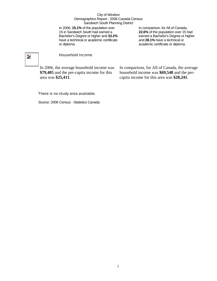In 2006, **15.1%** of the population over 15 in Sandwich South had earned a Bachelor's Degree or higher and **33.2%** have a technical or academic certificate or diploma.

In comparison, for All of Canada, **22.6%** of the population over 15 had earned a Bachelor's Degree or higher and **28.1%** have a technical or academic certificate or diploma.

## $\overline{\phantom{a}}$

## Household Income

In 2006, the average household income was **\$79,405** and the per-capita income for this area was **\$25,411**.

In comparison, for All of Canada, the average household income was **\$69,548** and the percapita income for this area was **\$28,241**.

## There is no study area available.

Source: 2006 Census - Statistics Canada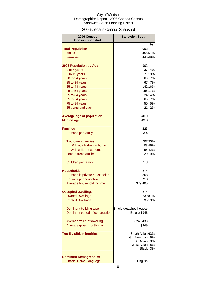## 2006 Census Census Snapshot

| 2006 Census<br><b>Census Snapshot</b>                         | <b>Sandwich South</b>                                |                |
|---------------------------------------------------------------|------------------------------------------------------|----------------|
|                                                               |                                                      | %              |
| <b>Total Population</b>                                       | 902                                                  |                |
| <b>Males</b>                                                  |                                                      | 45651%         |
| <b>Females</b>                                                |                                                      | 446 49%        |
| <b>2006 Population by Age</b>                                 | 902                                                  |                |
| 0 to 4 years                                                  | 37                                                   | 4%             |
| 5 to 19 years                                                 |                                                      | 17119%         |
| 20 to 24 years                                                | 60                                                   | 7%             |
| 25 to 34 years                                                | 67                                                   | 7%             |
| 35 to 44 years                                                |                                                      | 142 16%        |
| 45 to 54 years                                                |                                                      | 156 17%        |
| 55 to 64 years                                                |                                                      | 124 14%        |
| 65 to 74 years                                                | 65                                                   | 7%             |
| 75 to 84 years                                                | 50                                                   | 5%             |
| 85 years and over                                             | 21                                                   | 2%             |
|                                                               |                                                      |                |
| <b>Average age of population</b>                              | 40.9                                                 |                |
| <b>Median age</b>                                             | 43.3                                                 |                |
| <b>Families</b>                                               | 223                                                  |                |
| Persons per family                                            | 3.4                                                  |                |
|                                                               |                                                      |                |
| <b>Two-parent families</b>                                    |                                                      | 20793%         |
| With no children at home                                      |                                                      | 10346%         |
| With children at home                                         |                                                      | 9542%          |
| Lone-parent families                                          | 20                                                   | 9%             |
| Children per family                                           | 1.3                                                  |                |
|                                                               |                                                      |                |
| <b>Households</b>                                             | 274                                                  |                |
| Persons in private households                                 | 868                                                  |                |
| Persons per household                                         | 2.8                                                  |                |
| Average household income                                      | \$79,405                                             |                |
| <b>Occupied Dwellings</b>                                     | 274                                                  |                |
| <b>Owned Dwellings</b>                                        |                                                      | 23987%         |
| <b>Rented Dwellings</b>                                       |                                                      | 3513%          |
|                                                               |                                                      |                |
| Dominant building type                                        | Single detached houses                               |                |
| Dominant period of construction                               | Before 1946                                          |                |
|                                                               |                                                      |                |
| Average value of dwelling                                     | \$245,433                                            |                |
| Average gross monthly rent                                    | \$349                                                |                |
| <b>Top 5 visible minorities</b>                               | South Asian 63%<br>Latin American 16%                |                |
|                                                               | <b>SE Asian</b><br><b>West Asian</b><br><b>Black</b> | 8%<br>5%<br>3% |
|                                                               |                                                      |                |
| <b>Dominant Demographics</b><br><b>Official Home Language</b> |                                                      |                |
|                                                               | English                                              |                |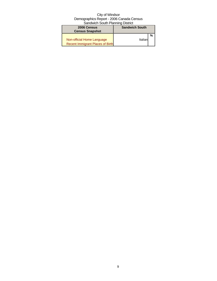| 2006 Census                      | <b>Sandwich South</b> |  |
|----------------------------------|-----------------------|--|
| <b>Census Snapshot</b>           |                       |  |
|                                  |                       |  |
| Non-official Home Language       | Italianl              |  |
| Recent Immigrant Places of Birth |                       |  |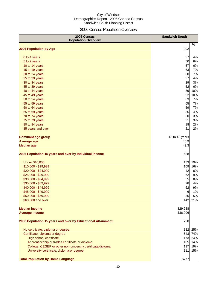## 2006 Census Population Overview

| 2006 Census<br><b>Population Overview</b>                   | <b>Sandwich South</b> |
|-------------------------------------------------------------|-----------------------|
| 2006 Population by Age                                      | %<br>902              |
|                                                             |                       |
| 0 to 4 years                                                | 37<br>4%              |
| 5 to 9 years                                                | 50<br>6%              |
| 10 to 14 years                                              | 57<br>6%              |
| 15 to 19 years                                              | 63<br>7%              |
| 20 to 24 years                                              | 60<br>7%              |
| 25 to 29 years                                              | 37<br>4%              |
| 30 to 34 years                                              | 29<br>3%              |
| 35 to 39 years                                              | 52<br>6%              |
| 40 to 44 years                                              | 89<br>10%             |
| 45 to 49 years                                              | 92<br>10%             |
| 50 to 54 years                                              | 63<br>7%              |
| 55 to 59 years                                              | 65<br>7%              |
| 60 to 64 years                                              | 59<br>7%              |
| 65 to 69 years                                              | 35<br>4%              |
| 70 to 74 years                                              | 30<br>3%              |
| 75 to 79 years                                              | 31<br>3%              |
| 80 to 84 years                                              | 18<br>2%              |
| 85 years and over                                           | 21<br>2%              |
| <b>Dominant age group</b>                                   | 45 to 49 years        |
| <b>Average age</b>                                          | 40.9                  |
| <b>Median age</b>                                           | 43.3                  |
| 2006 Population 15 years and over by Individual Income      | 688                   |
| <b>Under \$10,000</b>                                       | 133<br>19%            |
| \$10,000 - \$19,999                                         | 109<br>16%            |
| \$20,000 - \$24,999                                         | 42<br>6%              |
| \$25,000 - \$29,999                                         | 62<br>9%              |
| \$30,000 - \$34,999                                         | 55<br>8%              |
| \$35,000 - \$39,999                                         | 28<br>4%              |
| \$40,000 - \$44,999                                         | 62<br>9%              |
| \$45,000 - \$49,999                                         | $6\phantom{.}6$<br>1% |
| \$50,000 - \$59,999                                         | 35<br>5%              |
| \$60,000 and over                                           | 142<br>21%            |
| <b>Median income</b>                                        | \$29,288              |
| <b>Average income</b>                                       | \$36,006              |
| 2006 Population 15 years and over by Educational Attainment | 730                   |
| No certificate, diploma or degree                           | 25%<br>182            |
| Certificate, diploma or degree                              | 543 74%               |
| High school certificate                                     | 173 24%               |
| Apprenticeship or trades certificate or diploma             | 105 14%               |
| College, CEGEP or other non-university certificate/diploma  | 137<br>19%            |
| University certificate, diploma or degree                   | 111<br>15%            |
| <b>Total Population by Home Language</b>                    | \$777                 |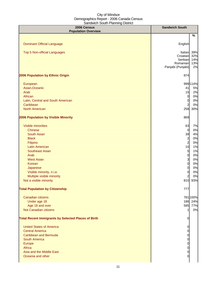| 2006 Census<br><b>Population Overview</b>                  | <b>Sandwich South</b>                                           |                                |
|------------------------------------------------------------|-----------------------------------------------------------------|--------------------------------|
|                                                            |                                                                 | $\%$                           |
| <b>Dominant Official Language</b>                          | English                                                         |                                |
| <b>Top 5 Non-official Languages</b>                        | Italian<br>Croatian<br>Serbian<br>Romanian<br>Panjabi (Punjabi) | 39%<br>32%<br>14%<br>13%<br>2% |
| 2006 Population by Ethnic Origin                           | 874                                                             |                                |
|                                                            |                                                                 |                                |
| European                                                   |                                                                 | 999 114%                       |
| Asian, Oceanic                                             | 41                                                              | 5%                             |
| Arab                                                       | 15                                                              | 2%                             |
| African                                                    | $\overline{0}$                                                  | 0%                             |
| Latin, Central and South American                          | $\overline{0}$                                                  | 0%                             |
| Caribbean                                                  | 2                                                               | 0%                             |
| <b>North American</b>                                      | 258                                                             | 30%                            |
| 2006 Population by Visible Minority                        | 869                                                             |                                |
| Visible minorities                                         | 63                                                              | 7%                             |
| <b>Chinese</b>                                             | $\overline{0}$                                                  | 0%                             |
| <b>South Asian</b>                                         | 39                                                              | 4%                             |
| <b>Black</b>                                               | $\overline{a}$                                                  | 0%                             |
| Filipino                                                   | $\overline{a}$                                                  | 0%                             |
| <b>Latin American</b>                                      | 10                                                              | 1%                             |
| <b>Southeast Asian</b>                                     | 5                                                               | 1%                             |
| Arab                                                       | $\overline{0}$                                                  | 0%                             |
| <b>West Asian</b>                                          | 3                                                               | 0%                             |
| Korean                                                     | $\overline{0}$                                                  | 0%                             |
| Japanese                                                   | $\overline{0}$                                                  | 0%                             |
| Visible minority, n.i.e.                                   | 0                                                               | 0%                             |
| Multiple visible minority                                  | 2                                                               | 0%                             |
| Not a visible minority                                     | 810                                                             | 93%                            |
| <b>Total Population by Citizenship</b>                     | 777                                                             |                                |
| Canadian citizens                                          |                                                                 | 781 100%                       |
| Under age 18                                               |                                                                 | 186 24%                        |
| Age 18 and over                                            |                                                                 | 595 77%                        |
| Not Canadian citizens                                      |                                                                 | 0%                             |
| <b>Total Recent Immigrants by Selected Places of Birth</b> | 0                                                               |                                |
| <b>United States of America</b>                            |                                                                 |                                |
| <b>Central America</b>                                     | O                                                               |                                |
| <b>Caribbean and Bermuda</b>                               |                                                                 |                                |
| <b>South America</b>                                       | 0<br>0                                                          |                                |
| Europe                                                     | 0                                                               |                                |
| Africa                                                     | 0                                                               |                                |
| Asia and the Middle East                                   | 0                                                               |                                |
| Oceania and other                                          | 0                                                               |                                |
|                                                            |                                                                 |                                |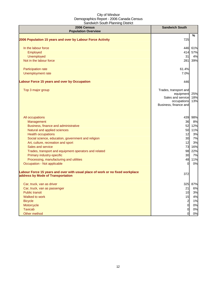| 2006 Census<br><b>Population Overview</b>                                                                          | <b>Sandwich South</b>                                                                           |                   |
|--------------------------------------------------------------------------------------------------------------------|-------------------------------------------------------------------------------------------------|-------------------|
|                                                                                                                    |                                                                                                 | %                 |
| 2006 Population 15 years and over by Labour Force Activity                                                         | 725                                                                                             |                   |
| In the labour force                                                                                                | 446                                                                                             | 61%               |
| Employed                                                                                                           | 414                                                                                             | 57%               |
| Unemployed                                                                                                         | 31                                                                                              | 4%                |
| Not in the labour force                                                                                            | 281                                                                                             | 39%               |
| Participation rate                                                                                                 | 61.4%                                                                                           |                   |
| Unemployment rate                                                                                                  | 7.0%                                                                                            |                   |
| <b>Labour Force 15 years and over by Occupation</b>                                                                | 446                                                                                             |                   |
| Top 3 major group                                                                                                  | Trades, transport and<br>equipment<br>Sales and service<br>occupations<br>Business, finance and | 25%<br>18%<br>13% |
| All occupations                                                                                                    |                                                                                                 | 439 98%           |
| Management                                                                                                         | 36                                                                                              | 8%                |
| Business, finance and administrative                                                                               | 52                                                                                              | 12%               |
| Natural and applied sciences                                                                                       | 50                                                                                              | 11%               |
| <b>Health occupations</b>                                                                                          | 12                                                                                              | 3%                |
| Social science, education, government and religion                                                                 | 30                                                                                              | 7%                |
| Art, culture, recreation and sport                                                                                 | 12                                                                                              | 3%                |
| Sales and service                                                                                                  | 73                                                                                              | 16%               |
| Trades, transport and equipment operators and related                                                              | 98                                                                                              | 22%               |
| Primary industry-specific                                                                                          | 30                                                                                              | 7%                |
| Processing, manufacturing and utilities                                                                            | 48                                                                                              | 11%               |
| Occupation - Not applicable                                                                                        | $\Omega$                                                                                        | 0%                |
| Labour Force 15 years and over with usual place of work or no fixed workplace<br>address by Mode of Transportation | 372                                                                                             |                   |
| Car, truck, van as driver                                                                                          | 325                                                                                             | 87%               |
| Car, truck, van as passenger                                                                                       | 21                                                                                              | 6%                |
| <b>Public transit</b>                                                                                              | 10                                                                                              | 3%                |
| Walked to work                                                                                                     | 15                                                                                              | 4%                |
| <b>Bicycle</b>                                                                                                     | $\overline{a}$                                                                                  | 1%                |
| Motorcycle                                                                                                         | $\mathbf 0$                                                                                     | 0%                |
| <b>Taxicab</b>                                                                                                     | $\overline{0}$                                                                                  | 0%                |
| Other method                                                                                                       | $\overline{0}$                                                                                  | 0%                |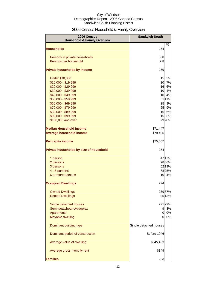## 2006 Census Household & Family Overview

| 2006 Census<br><b>Household &amp; Family Overview</b> | <b>Sandwich South</b>  |        |
|-------------------------------------------------------|------------------------|--------|
| <b>Households</b>                                     | 274                    | %      |
|                                                       |                        |        |
| Persons in private households                         | 868                    |        |
| Persons per household                                 | 2.8                    |        |
| <b>Private households by Income</b>                   | 279                    |        |
| <b>Under \$10,000</b>                                 | 15                     | 5%     |
| \$10,000 - \$19,999                                   | 20                     | 7%     |
| \$20,000 - \$29,999                                   | 16                     | 6%     |
| \$30,000 - \$39,999                                   | 10                     | 4%     |
| \$40,000 - \$49,999                                   | 10                     | 4%     |
| \$50,000 - \$59,999                                   |                        | 3111%  |
| \$60,000 - \$69,999                                   | 25                     | 9%     |
| \$70,000 - \$79,999                                   | 25                     | 9%     |
| \$80,000 - \$89,999                                   | 16                     | 6%     |
| \$90,000 - \$99,999                                   | 15                     | 6%     |
| \$100,000 and over                                    |                        | 7928%  |
| <b>Median Household Income</b>                        | \$71,447               |        |
| <b>Average household income</b>                       | \$79,405               |        |
| Per capita income                                     | \$25,557               |        |
| Private households by size of household               | 274                    |        |
| 1 person                                              |                        | 47 17% |
| 2 persons                                             |                        | 9836%  |
| 3 persons                                             |                        | 52 19% |
| 4 - 5 persons                                         |                        | 6825%  |
| 6 or more persons                                     | 10                     | 4%     |
| <b>Occupied Dwellings</b>                             | 274                    |        |
| <b>Owned Dwellings</b>                                |                        | 23987% |
| <b>Rented Dwellings</b>                               |                        | 35 13% |
| Single detached houses                                |                        | 27199% |
| Semi-detached/row/duplex                              | 9                      | 3%     |
| <b>Apartments</b>                                     | $\mathbf{0}$           | 0%     |
| Movable dwelling                                      | O.                     | 0%     |
|                                                       |                        |        |
| Dominant building type                                | Single detached houses |        |
| Dominant period of construction                       | Before 1946            |        |
| Average value of dwelling                             | \$245,433              |        |
| Average gross monthly rent                            | \$349                  |        |
| <b>Families</b>                                       | 223                    |        |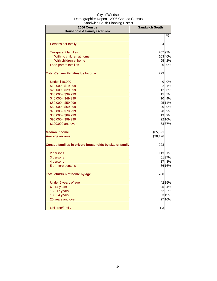| 2006 Census<br><b>Household &amp; Family Overview</b>   | <b>Sandwich South</b> |        |
|---------------------------------------------------------|-----------------------|--------|
|                                                         |                       | %      |
|                                                         |                       |        |
| Persons per family                                      | 3.4                   |        |
| <b>Two-parent families</b>                              |                       | 20793% |
| With no children at home                                |                       | 10346% |
| With children at home                                   |                       | 9542%  |
| Lone-parent families                                    |                       | 20 9%  |
| <b>Total Census Families by Income</b>                  | 223                   |        |
| <b>Under \$10,000</b>                                   | $\overline{0}$        | 0%     |
| \$10,000 - \$19,999                                     | $\overline{2}$        | 1%     |
| \$20,000 - \$29,999                                     | 12                    | 5%     |
| \$30,000 - \$39,999                                     | 15                    | 7%     |
| \$40,000 - \$49,999                                     | 10                    | 4%     |
| \$50,000 - \$59,999                                     |                       | 2511%  |
| \$60,000 - \$69,999                                     | 20                    | 9%     |
| \$70,000 - \$79,999                                     | 20                    | 9%     |
| \$80,000 - \$89,999                                     | 19                    | 9%     |
| \$90,000 - \$99,999                                     |                       | 22 10% |
| \$100,000 and over                                      |                       | 8337%  |
| <b>Median income</b>                                    | \$85,321              |        |
| <b>Average income</b>                                   | \$98,126              |        |
| Census families in private households by size of family | 223                   |        |
| 2 persons                                               |                       | 11351% |
| 3 persons                                               |                       | 6127%  |
| 4 persons                                               | 17                    | 8%     |
| 5 or more persons                                       |                       | 36 16% |
| Total children at home by age                           | 280                   |        |
| Under 6 years of age                                    |                       | 42 15% |
| $6 - 14$ years                                          |                       | 95 34% |
| 15 - 17 years                                           |                       | 62 22% |
| 18 - 24 years                                           |                       | 53 19% |
| 25 years and over                                       |                       | 2710%  |
| Children/family                                         | 1.3                   |        |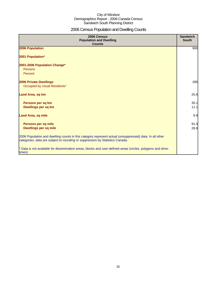## 2006 Census Population and Dwelling Counts

| 2006 Census<br><b>Population and Dwelling</b><br><b>Counts</b>                                                                                                                           | <b>Sandwich</b><br><b>South</b> |
|------------------------------------------------------------------------------------------------------------------------------------------------------------------------------------------|---------------------------------|
| 2006 Population                                                                                                                                                                          | 900                             |
| 2001 Population*                                                                                                                                                                         |                                 |
| 2001-2006 Population Change*                                                                                                                                                             |                                 |
| Persons                                                                                                                                                                                  |                                 |
| Percent                                                                                                                                                                                  |                                 |
| <b>2006 Private Dwellings</b>                                                                                                                                                            | 285                             |
| Occupied by Usual Residents*                                                                                                                                                             |                                 |
| Land Area, sq km                                                                                                                                                                         | 25.6                            |
| Persons per sq km                                                                                                                                                                        | 35.1                            |
| <b>Dwellings per sq km</b>                                                                                                                                                               | 11.1                            |
| <b>Land Area, sq mile</b>                                                                                                                                                                | 9.9                             |
| Persons per sq mile<br><b>Dwellings per sq mile</b>                                                                                                                                      | 91.0<br>28.8                    |
| 2006 Population and dwelling counts in this category represent actual (unsuppressed) data. In all other<br>categories, data are subject to rounding or suppression by Statistics Canada. |                                 |
| * Data is not available for dissemination areas, blocks and user-defined areas (circles, polygons and drive-<br>times)                                                                   |                                 |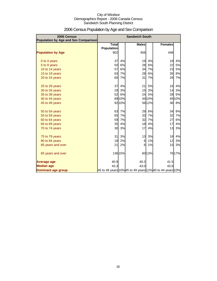| 2006 Census<br><b>Population by Age and Sex Comparison</b> | <b>Sandwich South</b>             |         |                                                          |        |                |        |
|------------------------------------------------------------|-----------------------------------|---------|----------------------------------------------------------|--------|----------------|--------|
|                                                            | <b>Total</b><br><b>Population</b> |         | <b>Males</b>                                             |        | <b>Females</b> |        |
| <b>Population by Age</b>                                   | 902                               |         | 456                                                      |        | 446            |        |
| 0 to 4 years                                               | 37                                | 4%      | 19                                                       | 4%     | 18             | 4%     |
| 5 to 9 years                                               | 50                                | 6%      | 28                                                       | 6%     | 22             | 5%     |
| 10 to 14 years                                             | 57                                | 6%      | 34                                                       | 7%     | 23             | 5%     |
| 15 to 19 years                                             | 63                                | 7%      | 28                                                       | 6%     | 35             | 8%     |
| 20 to 24 years                                             | 60                                | 7%      | 31                                                       | 7%     | 29             | 7%     |
| 25 to 29 years                                             | 37                                | 4%      | 21                                                       | 5%     | 16             | 4%     |
| 30 to 34 years                                             | 29                                | 3%      | 15                                                       | 3%     | 14             | 3%     |
| 35 to 39 years                                             | 52                                | 6%      | 24                                                       | 5%     | 28             | 6%     |
| 40 to 44 years                                             |                                   | 8910%   |                                                          | 44 10% |                | 4510%  |
| 45 to 49 years                                             |                                   | 92 10%  |                                                          | 56 12% |                | 36 8%  |
| 50 to 54 years                                             | 63                                | 7%      | 29                                                       | 6%     | 34             | 8%     |
| 55 to 59 years                                             | 65                                | 7%      | 33                                                       | 7%     | 32             | 7%     |
| 60 to 64 years                                             | 59                                | 7%      | 32                                                       | 7%     | 27             | 6%     |
| 65 to 69 years                                             | 35                                | 4%      | 18                                                       | 4%     | 17             | 4%     |
| 70 to 74 years                                             | 30                                | 3%      | 17                                                       | 4%     | 13             | 3%     |
| 75 to 79 years                                             | 31                                | 3%      | 13                                                       | 3%     | 18             | 4%     |
| 80 to 84 years                                             | 18                                | 2%      | 6                                                        | 1%     | 12             | 3%     |
| 85 years and over                                          | 21                                | 2%      | 6                                                        | 1%     | 15             | 3%     |
| 65 years and over                                          |                                   | 136 15% |                                                          | 6013%  |                | 76 17% |
| <b>Average age</b>                                         | 40.9                              |         | 40.2                                                     |        | 41.5           |        |
| <b>Median age</b>                                          | 43.3                              |         | 43.0                                                     |        | 43.6           |        |
| Dominant age group                                         |                                   |         | 45 to 49 years 10% 45 to 49 years 12% 40 to 44 years 10% |        |                |        |

## 2006 Census Population by Age and Sex Comparison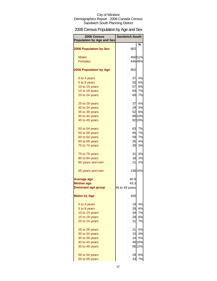## 2006 Census Population by Age and Sex

| 2006 Census<br><b>Population by Age and Sex</b> | <b>Sandwich South</b> |         |
|-------------------------------------------------|-----------------------|---------|
| <b>2006 Population by Sex</b>                   | 902                   | %       |
|                                                 |                       |         |
| <b>Males</b>                                    |                       | 45651%  |
| <b>Females</b>                                  |                       | 44649%  |
|                                                 |                       |         |
| <b>2006 Population by Age</b>                   | 902                   |         |
| 0 to 4 years                                    | 37                    | 4%      |
| 5 to 9 years                                    | 50                    | 6%      |
| 10 to 14 years                                  | 57                    | 6%      |
| 15 to 19 years                                  | 63                    | 7%      |
| 20 to 24 years                                  | 60                    | 7%      |
| 25 to 29 years                                  |                       | 37 4%   |
| 30 to 34 years                                  | 29                    | 3%      |
| 35 to 39 years                                  | 52                    | 6%      |
| 40 to 44 years                                  |                       | 89 10%  |
| 45 to 49 years                                  |                       | 92 10%  |
| 50 to 54 years                                  | 63                    | 7%      |
| 55 to 59 years                                  | 65                    | 7%      |
| 60 to 64 years                                  | 59                    | 7%      |
| 65 to 69 years                                  | 35                    | 4%      |
| 70 to 74 years                                  | 30                    | 3%      |
| 75 to 79 years                                  | 31                    | 3%      |
| 80 to 84 years                                  | 18                    | 2%      |
| 85 years and over                               | 21                    | 2%      |
| 65 years and over                               |                       | 136 15% |
| Average age                                     | 40.9                  |         |
| <b>Median age</b>                               | 43.3                  |         |
| <b>Dominant age group</b>                       | 45 to 49 years        |         |
| <b>Males by Age</b>                             | 456                   |         |
| 0 to 4 years                                    | 19                    | 4%      |
| 5 to 9 years                                    | 28                    | 6%      |
| 10 to 14 years                                  | 34                    | 7%      |
| 15 to 19 years                                  | 28                    | 6%      |
| 20 to 24 years                                  | 31I                   | 7%      |
| 25 to 29 years                                  | 21                    | 5%      |
| 30 to 34 years                                  | 15                    | 3%      |
| 35 to 39 years                                  | 24                    | 5%      |
| 40 to 44 years                                  |                       | 44 10%  |
| 45 to 49 years                                  |                       | 56 12%  |
| 50 to 54 years                                  | 29                    | 6%      |
| 55 to 59 years                                  | 33                    | 7%      |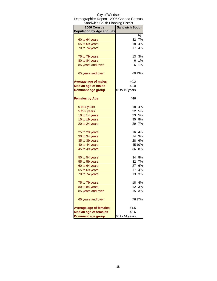| Sandwich South Planning District |                       |        |
|----------------------------------|-----------------------|--------|
| 2006 Census                      | <b>Sandwich South</b> |        |
| <b>Population by Age and Sex</b> |                       |        |
|                                  |                       | ℅      |
| 60 to 64 years                   | 32                    | 7%     |
| 65 to 69 years                   | 18                    | 4%     |
| 70 to 74 years                   | 17                    | 4%     |
| 75 to 79 years                   | 13                    | 3%     |
| 80 to 84 years                   | 61                    | 1%     |
| 85 years and over                | 6                     | 1%     |
| 65 years and over                |                       | 6013%  |
| <b>Average age of males</b>      | 40.2                  |        |
| <b>Median age of males</b>       | 43.0                  |        |
| <b>Dominant age group</b>        | 45 to 49 years        |        |
| <b>Females by Age</b>            | 446                   |        |
|                                  | 18                    | 4%     |
| 0 to 4 years                     |                       |        |
| 5 to 9 years                     | 22                    | 5%     |
| 10 to 14 years                   | 23                    | 5%     |
| 15 to 19 years                   | 35                    | 8%     |
| 20 to 24 years                   | 29                    | 7%     |
| 25 to 29 years                   | 16                    | 4%     |
| 30 to 34 years                   | 14                    | 3%     |
| 35 to 39 years                   | 28                    | 6%     |
| 40 to 44 years                   |                       | 45 10% |
| 45 to 49 years                   | 36                    | 8%     |
| 50 to 54 years                   | 34                    | 8%     |
| 55 to 59 years                   | 32                    | 7%     |
| 60 to 64 years                   | 27                    | 6%     |
| 65 to 69 years                   | 17                    | 4%     |
| 70 to 74 years                   | 13                    | 3%     |
| 75 to 79 years                   | 18                    | 4%     |
| 80 to 84 years                   | 12                    | 3%     |
| 85 years and over                | 15                    | 3%     |
| 65 years and over                |                       | 7617%  |
| <b>Average age of females</b>    | 41.5                  |        |
| <b>Median age of females</b>     | 43.6                  |        |
| Dominant age group               | 40 to 44 years        |        |
|                                  |                       |        |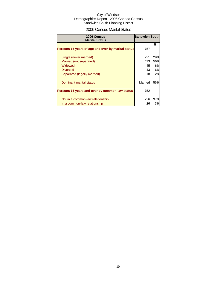## 2006 Census Marital Status

| 2006 Census<br><b>Marital Status</b>               | <b>Sandwich South</b> |     |
|----------------------------------------------------|-----------------------|-----|
| Persons 15 years of age and over by marital status | 757                   | %   |
| Single (never married)                             | 221                   | 29% |
| Married (not separated)                            | 423                   | 56% |
| Widowed                                            | 45                    | 6%  |
| <b>Divorced</b>                                    | 43                    | 6%  |
| Separated (legally married)                        | 18                    | 2%  |
| Dominant marital status                            | Married               | 56% |
| Persons 15 years and over by common-law status     | 752                   |     |
| Not in a common-law relationship                   | 726                   | 97% |
| In a common-law relationship                       | 26                    | 3%  |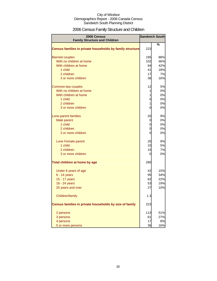## 2006 Census Family Structure and Children

| 2006 Census                                               | <b>Sandwich South</b> |     |
|-----------------------------------------------------------|-----------------------|-----|
| <b>Family Structure and Children</b>                      |                       | %   |
| Census families in private households by family structure | 223                   |     |
| <b>Married couples</b>                                    | 195                   | 88% |
| With no children at home                                  | 102                   | 46% |
| With children at home                                     | 94                    | 42% |
| 1 child                                                   | 41                    | 18% |
| 2 children                                                | 17                    | 7%  |
| 3 or more children                                        | 36                    | 16% |
| Common-law couples                                        | 12                    | 5%  |
| With no children at home                                  | $\mathbf{1}$          | 0%  |
| With children at home                                     | $\mathbf{1}$          | 0%  |
| 1 child                                                   | $\mathbf 0$           | 0%  |
| 2 children                                                | $\mathbf{1}$          | 0%  |
| 3 or more children                                        | 0                     | 0%  |
| Lone-parent families                                      | 20                    | 9%  |
| Male parent                                               | 0                     | 0%  |
| 1 child                                                   | 0                     | 0%  |
| 2 children                                                | 0                     | 0%  |
| 3 or more children                                        | $\overline{0}$        | 0%  |
| Lone Female parent                                        | 20                    | 9%  |
| 1 child                                                   | 10                    | 5%  |
| 2 children                                                | 15                    | 7%  |
| 3 or more children                                        | 0                     | 0%  |
| Total children at home by age                             | 280                   |     |
| Under 6 years of age                                      | 42                    | 15% |
| 6 - 14 years                                              | 95                    | 34% |
| 15 - 17 years                                             | 62                    | 22% |
| 18 - 24 years                                             | 53                    | 19% |
| 25 years and over                                         | 27                    | 10% |
| Children/family                                           | 1.3                   |     |
| Census families in private households by size of family   | 223                   |     |
| 2 persons                                                 | 113                   | 51% |
| 3 persons                                                 | 61                    | 27% |
| 4 persons                                                 | 17                    | 8%  |
| 5 or more persons                                         | 36                    | 16% |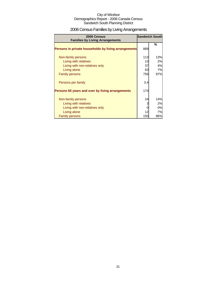## 2006 Census Families by Living Arrangements

| 2006 Census<br><b>Families by Living Arrangements</b> |     | <b>Sandwich South</b> |
|-------------------------------------------------------|-----|-----------------------|
|                                                       |     | %                     |
| Persons in private households by living arrangements  | 868 |                       |
| Non-family persons                                    | 113 | 13%                   |
| Living with relatives                                 | 13  | 2%                    |
| Living with non-relatives only                        | 37  | 4%                    |
| Living alone                                          | 63  | 7%                    |
| <b>Family persons</b>                                 | 756 | 87%                   |
| Persons per family                                    | 3.4 |                       |
| Persons 65 years and over by living arrangements      | 174 |                       |
| Non-family persons                                    | 24  | 14%                   |
| Living with relatives                                 | 3   | 2%                    |
| Living with non-relatives only                        |     | 0%                    |
| Living alone                                          | 12  | 7%                    |
| <b>Family persons</b>                                 | 150 | 86%                   |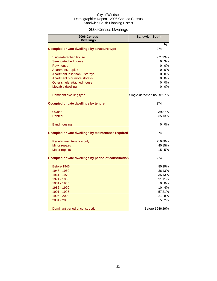## 2006 Census Dwellings

| 2006 Census<br><b>Dwellings</b>                      | <b>Sandwich South</b>     |           |
|------------------------------------------------------|---------------------------|-----------|
|                                                      |                           | %         |
| Occupied private dwellings by structure type         | 274                       |           |
| Single-detached house                                |                           | 27199%    |
| Semi-detached house                                  | 9                         | 3%        |
| Row house                                            | $\overline{0}$            | 0%        |
| Apartment, duplex                                    | $\overline{0}$            | 0%        |
| Apartment less than 5 storeys                        | $\overline{0}$            | 0%        |
| Apartment 5 or more storeys                          | $\overline{0}$            | 0%        |
| Other single-attached house                          | $\overline{0}$            | 0%        |
| Movable dwelling                                     | 0                         | 0%        |
| Dominant dwelling type                               | Single-detached house 97% |           |
| Occupied private dwellings by tenure                 | 274                       |           |
| Owned                                                |                           | 23987%    |
| <b>Rented</b>                                        |                           | 35 13%    |
| <b>Band housing</b>                                  | 0                         | 0%        |
| Occupied private dwellings by maintenance required   | 274                       |           |
| Regular maintenance only                             |                           | 21980%    |
| Minor repairs                                        |                           | 40 15%    |
| <b>Major repairs</b>                                 | 15                        | <b>5%</b> |
| Occupied private dwellings by period of construction | 274                       |           |
| Before 1946                                          |                           | 8029%     |
| 1946 - 1960                                          |                           | 36 13%    |
| 1961 - 1970                                          |                           | 3513%     |
| 1971 - 1980                                          |                           | 31 11%    |
| 1981 - 1985                                          | 0                         | 0%        |
| 1986 - 1990                                          | 10 <sup>1</sup>           | 4%        |
| 1991 - 1995                                          |                           | 5721%     |
| 1996 - 2000                                          | 21                        | 8%        |
| 2001 - 2006                                          | $5\overline{a}$           | 2%        |
| Dominant period of construction                      | Before 1946 29%           |           |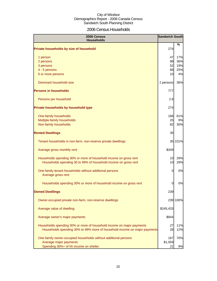## 2006 Census Households

| 2006 Census<br><b>Households</b>                                                                                                                   | <b>Sandwich South</b> |            |
|----------------------------------------------------------------------------------------------------------------------------------------------------|-----------------------|------------|
| Private households by size of household                                                                                                            | 274                   | %          |
| 1 person                                                                                                                                           | 47                    | 17%        |
| 2 persons                                                                                                                                          | 98                    | 36%        |
| 3 persons                                                                                                                                          | 52                    | 19%        |
| 4 - 5 persons                                                                                                                                      | 68                    | 25%        |
| 6 or more persons                                                                                                                                  | 10                    | 4%         |
| Dominant household size                                                                                                                            | 2 persons             | 36%        |
| <b>Persons in households</b>                                                                                                                       | 777                   |            |
| Persons per household                                                                                                                              | 2.8                   |            |
| Private households by household type                                                                                                               | 274                   |            |
| One-family households                                                                                                                              | 168                   | 61%        |
| Multiple-family households                                                                                                                         | 25                    | 9%         |
| Non-family households                                                                                                                              | 82                    | 30%        |
| <b>Rented Dwellings</b>                                                                                                                            | 35                    |            |
| Tenant households in non-farm, non-reserve private dwellings                                                                                       |                       | 35 101%    |
| Average gross monthly rent                                                                                                                         | \$349                 |            |
| Households spending 30% or more of household income on gross rent<br>Households spending 30 to 99% of household income on gross rent               | 10<br>10              | 29%<br>29% |
| One-family tenant households without additional persons<br>Average gross rent                                                                      | 0                     | 0%         |
| Households spending 30% or more of household income on gross rent                                                                                  | 0                     | 0%         |
| <b>Owned Dwellings</b>                                                                                                                             | 239                   |            |
| Owner-occupied private non-farm, non-reserve dwellings                                                                                             |                       | 239 100%   |
| Average value of dwelling                                                                                                                          | \$245,433             |            |
| Average owner's major payments                                                                                                                     | \$944                 |            |
| Households spending 30% or more of household income on major payments<br>Households spending 30% to 99% more of household income on major payments | 27<br>28              | 11%<br>12% |
| One-family owner-occupied households without additional persons                                                                                    | 167                   | 70%        |
| Average major payments                                                                                                                             | \$1,059               |            |
| Spending 30%+ of hh income on shelter                                                                                                              | 21                    | 9%         |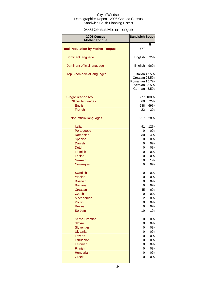## 2006 Census Mother Tongue

| 2006 Census<br><b>Mother Tongue</b>      | <b>Sandwich South</b>                                            |                               |
|------------------------------------------|------------------------------------------------------------------|-------------------------------|
|                                          |                                                                  | %                             |
| <b>Total Population by Mother Tongue</b> | 777                                                              |                               |
| Dominant language                        | English                                                          | 72%                           |
| Dominant official language               | English                                                          | 96%                           |
| Top 5 non-official languages             | Croatian 23.5%<br>Romanian <sub>15.7%</sub><br>Serbian<br>German | Italian 47.5%<br>5.5%<br>5.5% |
| <b>Single responses</b>                  | 777                                                              | 100%                          |
| <b>Official languages</b>                | 560                                                              | 72%                           |
| <b>English</b>                           | 538                                                              | 69%                           |
| French                                   |                                                                  |                               |
|                                          | 22                                                               | 3%                            |
| Non-official languages                   | 217                                                              | 28%                           |
| <b>Italian</b>                           | 91                                                               | 12%                           |
| Portuguese                               | 0                                                                | 0%                            |
| Romanian                                 | 30                                                               | 4%                            |
| Spanish                                  | 0                                                                | 0%                            |
| Danish                                   | 0                                                                | 0%                            |
| <b>Dutch</b>                             | 0                                                                | 0%                            |
| Flemish                                  | 0                                                                | 0%                            |
| <b>Frisian</b>                           |                                                                  |                               |
|                                          | 0                                                                | 0%                            |
| German                                   | 10                                                               | 1%                            |
| Norwegian                                | 0                                                                | 0%                            |
| <b>Swedish</b>                           | 0                                                                | 0%                            |
| Yiddish                                  | 0                                                                | 0%                            |
| <b>Bosnian</b>                           | 0                                                                | 0%                            |
| <b>Bulgarian</b>                         | 0                                                                | 0%                            |
| Croatian                                 | 45                                                               | 6%                            |
| <b>Czech</b>                             | 0                                                                | 0%                            |
| Macedonian                               | $\overline{2}$                                                   | 0%                            |
| Polish                                   | 0                                                                | 0%                            |
| <b>Russian</b>                           | 0                                                                | 0%                            |
| Serbian                                  | 10                                                               | 1%                            |
| Serbo-Croatian                           | 0                                                                | 0%                            |
| <b>Slovak</b>                            | 0                                                                | 0%                            |
| Slovenian                                | 0                                                                | 0%                            |
| <b>Ukrainian</b>                         | 0                                                                | 0%                            |
| Latvian                                  | 0                                                                | 0%                            |
| Lithuanian                               | 0                                                                | 0%                            |
| Estonian                                 | 0                                                                | 0%                            |
| Finnish                                  | 0                                                                | 0%                            |
| Hungarian                                | 0                                                                | 0%                            |
| <b>Greek</b>                             | 0                                                                | 0%                            |
|                                          |                                                                  |                               |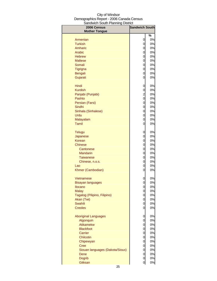| 2006 Census<br><b>Mother Tongue</b> | <b>Sandwich South</b> |          |
|-------------------------------------|-----------------------|----------|
|                                     |                       | %        |
| Armenian                            | 0                     | 0%       |
| <b>Turkish</b>                      | 0                     | 0%       |
| Amharic                             | 0                     | 0%       |
| Arabic                              | 0                     | 0%       |
| <b>Hebrew</b>                       | 0                     | 0%       |
| <b>Maltese</b>                      | 0                     | 0%       |
| Somali                              | 0                     | 0%       |
| Tigrigna                            | 0                     | 0%       |
| Bengali                             | 0                     | 0%       |
| Gujarati                            | 0                     | 0%       |
| Hindi                               | 0                     | 0%       |
| <b>Kurdish</b>                      | 0                     | 0%       |
| Panjabi (Punjabi)                   | $\overline{c}$        | 0%       |
| Pashto                              | 0                     | 0%       |
| Persian (Farsi)                     | 0                     | 0%       |
| Sindhi                              | 0                     | 0%       |
| Sinhala (Sinhalese)                 | 0                     | 0%       |
| Urdu                                | 0                     | 0%       |
| Malayalam                           | 0                     | 0%       |
| <b>Tamil</b>                        | 0                     | 0%       |
| <b>Telugu</b>                       | 0                     | 0%       |
| Japanese                            | 0                     | 0%       |
| <b>Korean</b>                       | 0                     | 0%       |
| Chinese                             | 0                     | 0%       |
| Cantonese                           | 0                     | 0%       |
| <b>Mandarin</b>                     | 0                     | 0%       |
| <b>Taiwanese</b>                    | 0                     | 0%       |
| Chinese, n.o.s.                     | 0                     | 0%       |
| Lao                                 | 0                     | 0%       |
| Khmer (Cambodian)                   | 0                     | 0%       |
| Vietnamese                          | 0                     | 0%       |
| <b>Bisayan languages</b>            | $\overline{0}$        | 0%       |
| <b>Ilocano</b>                      | 0                     | $0\%$    |
| <b>Malay</b>                        | 0                     | 0%       |
| Tagalog (Pilipino, Filipino)        | 0                     | 0%       |
| Akan (Twi)                          | 0                     | 0%       |
| Swahili                             | 0                     | 0%       |
| <b>Creoles</b>                      | 0                     | 0%       |
| <b>Aboriginal Languages</b>         | 0                     | 0%       |
| Algonquin                           | 0                     | 0%       |
| Atikamekw                           | 0                     | 0%       |
| <b>Blackfoot</b>                    | 0                     | 0%       |
| Carrier                             | 0                     | 0%       |
| Chilcotin                           | 0                     | 0%       |
| Chipewyan                           | 0                     | $0\%$    |
| <b>Cree</b>                         | 0                     | 0%       |
| Siouan languages (Dakota/Sioux)     | 0                     | $0\%$    |
| Dene<br><b>Dogrib</b>               | 0<br>0                | 0%<br>0% |
| Gitksan                             | $\mathbf 0$           | 0%       |
|                                     |                       |          |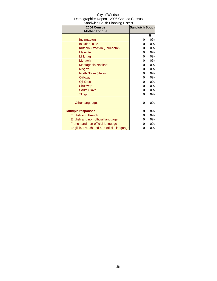| City of Windsor                          |
|------------------------------------------|
| Demographics Report - 2006 Canada Census |
| Sandwich South Planning District         |

| 2006 Census                               | <b>Sandwich South</b> |    |
|-------------------------------------------|-----------------------|----|
| <b>Mother Tongue</b>                      |                       |    |
|                                           |                       | %  |
| Inuinnagtun                               | 0                     | 0% |
| Inuktitut, n.i.e.                         | 0                     | 0% |
| Kutchin-Gwich'in (Loucheux)               | 0                     | 0% |
| <b>Malecite</b>                           | 0                     | 0% |
| Mi'kmag                                   | 0                     | 0% |
| <b>Mohawk</b>                             | 0                     | 0% |
| Montagnais-Naskapi                        | 0                     | 0% |
| Nisga'a                                   | 0                     | 0% |
| North Slave (Hare)                        | 0                     | 0% |
| Ojibway                                   | 0                     | 0% |
| Oji-Cree                                  | 0                     | 0% |
| Shuswap                                   | 0                     | 0% |
| <b>South Slave</b>                        | 0                     | 0% |
| <b>Tlingit</b>                            | 0                     | 0% |
|                                           |                       |    |
| Other languages                           | 0                     | 0% |
|                                           |                       |    |
| <b>Multiple responses</b>                 | 0                     | 0% |
| <b>English and French</b>                 | 0                     | 0% |
| English and non-official language         | 0                     | 0% |
| French and non-official language          | 0                     | 0% |
| English, French and non-official language | 0                     | 0% |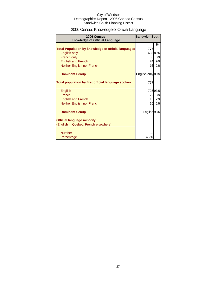## 2006 Census Knowledge of Official Language

| 2006 Census<br><b>Knowledge of Official Language</b>       | <b>Sandwich South</b> |         |
|------------------------------------------------------------|-----------------------|---------|
|                                                            |                       | %       |
| <b>Total Population by knowledge of official languages</b> | 777                   |         |
| <b>English only</b>                                        |                       | 693 89% |
| French only                                                | 0                     | 0%      |
| <b>English and French</b>                                  | 74                    | 9%      |
| Neither English nor French                                 | 16                    | 2%      |
| <b>Dominant Group</b>                                      | English only 89%      |         |
| Total population by first official language spoken         | 777                   |         |
| English                                                    |                       | 725 93% |
| French                                                     | 22                    | 3%      |
| <b>English and French</b>                                  | 15                    | 2%      |
| Neither English nor French                                 | 15                    | 2%      |
| <b>Dominant Group</b>                                      | English 93%           |         |
| <b>Official language minority</b>                          |                       |         |
| (English in Quebec, French elsewhere)                      |                       |         |
| <b>Number</b>                                              | 32                    |         |
| Percentage                                                 | 4.2%                  |         |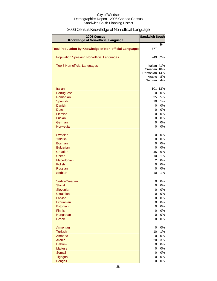## 2006 Census Knowledge of Non-official Language

| 2006 Census<br>Knowledge of Non-official Language              | <b>Sandwich South</b> |           |
|----------------------------------------------------------------|-----------------------|-----------|
| <b>Total Population by Knowledge of Non-official Languages</b> | 777                   | ℅         |
| <b>Population Speaking Non-official Languages</b>              |                       | 249 32%   |
| <b>Top 5 Non-official Languages</b>                            | Italian               | 41%       |
|                                                                | Croatian              | 18%       |
|                                                                | Romanian<br>Arabic    | 14%<br>8% |
|                                                                | Serbian               | 4%        |
| <b>Italian</b>                                                 | 101                   | 13%       |
| Portuguese                                                     | $\overline{0}$        | 0%        |
| Romanian                                                       | 35                    | 5%        |
| Spanish                                                        | 10                    | 1%        |
| <b>Danish</b>                                                  | $\overline{0}$        | 0%        |
| <b>Dutch</b><br><b>Flemish</b>                                 | $\overline{0}$<br>0   | 0%<br>0%  |
| Frisian                                                        | 0                     | 0%        |
| German                                                         | 0                     | 0%        |
| Norwegian                                                      | 0                     | 0%        |
| Swedish                                                        | 0                     | 0%        |
| Yiddish                                                        | 0                     | 0%        |
| <b>Bosnian</b>                                                 | 0                     | 0%        |
| <b>Bulgarian</b>                                               | $\overline{0}$        | 0%        |
| Croatian                                                       | 45                    | 6%        |
| <b>Czech</b>                                                   | 10                    | 1%        |
| Macedonian<br>Polish                                           | $\overline{a}$<br>0   | 0%<br>0%  |
| <b>Russian</b>                                                 | 0                     | 0%        |
| Serbian                                                        | 10                    | 1%        |
| Serbo-Croatian                                                 | 0                     | 0%        |
| <b>Slovak</b>                                                  | 0                     | 0%        |
| Slovenian                                                      | 0                     | 0%        |
| Ukrainian                                                      | 0                     | 0%        |
| Latvian<br>Lithuanian                                          | 0<br>$\overline{0}$   | 0%<br>0%  |
| Estonian                                                       | $\mathbf 0$           | 0%        |
| Finnish                                                        | 0                     | 0%        |
| Hungarian                                                      | 0                     | 0%        |
| <b>Greek</b>                                                   | 0                     | 0%        |
| Armenian                                                       | $\overline{0}$        | 0%        |
| <b>Turkish</b>                                                 | 10                    | 1%        |
| Amharic<br>Arabic                                              | $\overline{0}$<br>20  | 0%<br>3%  |
| <b>Hebrew</b>                                                  | $\overline{0}$        | 0%        |
| <b>Maltese</b>                                                 | $\overline{0}$        | 0%        |
| Somali                                                         | $\overline{O}$        | 0%        |
| Tigrigna                                                       | $\overline{0}$        | 0%        |
| <b>Bengali</b>                                                 | $\overline{0}$        | 0%        |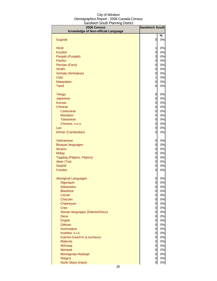| 2006 Census                                    | <b>Sandwich South</b>            |          |
|------------------------------------------------|----------------------------------|----------|
| Knowledge of Non-official Language             |                                  |          |
|                                                |                                  | %        |
| Gujarati                                       | 0                                | 0%       |
| Hindi                                          | 1                                | 0%       |
| <b>Kurdish</b>                                 | $\mathbf 0$                      | 0%       |
| Panjabi (Punjabi)                              | 3                                | 0%       |
| Pashto                                         | $\mathbf 0$                      | 0%       |
| Persian (Farsi)                                | $\mathbf 0$                      | 0%       |
| <b>Sindhi</b>                                  | $\mathbf 0$                      | 0%       |
| Sinhala (Sinhalese)                            | $\mathbf 0$                      | 0%       |
| Urdu                                           | $\mathbf 1$                      | 0%       |
| Malayalam                                      | $\mathbf 0$                      | 0%       |
| Tamil                                          | $\overline{0}$                   | 0%       |
| <b>Telugu</b>                                  | 0                                | 0%       |
| Japanese                                       | $\mathbf 0$                      | 0%       |
| Korean                                         | $\mathbf 0$                      | 0%       |
| <b>Chinese</b>                                 | $\mathbf 0$                      | 0%       |
| Cantonese                                      | $\mathbf 0$                      | 0%       |
| <b>Mandarin</b>                                | $\mathbf 0$                      | 0%       |
| <b>Taiwanese</b>                               | $\overline{0}$                   | 0%       |
| Chinese, n.o.s.                                | $\mathbf 0$                      | 0%       |
| Lao                                            | $\mathbf 0$                      | 0%       |
| Khmer (Cambodian)                              | $\overline{0}$                   | 0%       |
| Vietnamese                                     | 0                                | 0%       |
| <b>Bisayan languages</b>                       | $\overline{0}$                   | 0%       |
| <b>Ilocano</b>                                 | $\mathbf 0$                      | 0%       |
| <b>Malay</b>                                   | $\mathbf 0$                      | 0%       |
| Tagalog (Pilipino, Filipino)                   | $\mathbf 0$                      | 0%       |
| Akan (Twi)                                     | $\overline{0}$                   | 0%       |
| Swahili                                        | $\mathbf 0$                      | 0%       |
| <b>Creoles</b>                                 | $\overline{0}$                   | 0%       |
| <b>Aboriginal Languages</b>                    | 0                                | 0%       |
| Algonquin                                      | $\mathbf{o}$                     | 0%       |
| <b>Atikamekw</b>                               | $\mathbf{0}$                     | 0%       |
| <b>Blackfoot</b>                               | $\overline{0}$                   | 0%       |
| Carrier                                        | $\overline{0}$                   | 0%       |
| Chilcotin                                      | $\overline{0}$                   | 0%       |
| Chipewyan                                      | $\overline{0}$                   | 0%       |
| <b>Cree</b><br>Siouan languages (Dakota/Sioux) | $\overline{0}$<br>$\overline{0}$ | 0%<br>0% |
| Dene                                           | $\mathbf 0$                      | 0%       |
| <b>Dogrib</b>                                  | $\mathbf 0$                      | 0%       |
| Gitksan                                        | $\mathbf 0$                      | 0%       |
| Inuinnaqtun                                    | $\mathbf 0$                      | 0%       |
| Inuktitut, n.i.e.                              | $\mathbf 0$                      | 0%       |
| Kutchin-Gwich'in (Loucheux)                    | $\mathbf 0$                      | 0%       |
| <b>Malecite</b>                                | $\mathbf 0$                      | 0%       |
| Mi'kmaq                                        | $\mathbf 0$                      | 0%       |
| <b>Mohawk</b>                                  | $\mathbf 0$                      | 0%       |
| Montagnais-Naskapi                             | $\mathbf 0$                      | 0%       |
| Nisga'a                                        | $\mathbf 0$                      | 0%       |
| North Slave (Hare)                             | $\mathbf 0$                      | 0%       |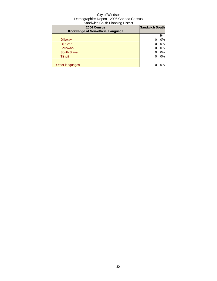| 2006 Census<br>Knowledge of Non-official Language | <b>Sandwich South</b> |    |
|---------------------------------------------------|-----------------------|----|
|                                                   |                       | %  |
| Ojibway                                           |                       | 0% |
| Oji-Cree                                          |                       | 0% |
| Shuswap                                           |                       | 0% |
| <b>South Slave</b>                                |                       | 0% |
| <b>Tlingit</b>                                    | O                     | 0% |
| Other languages                                   |                       | 0% |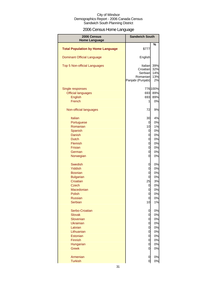## 2006 Census Home Language

| 2006 Census<br><b>Home Language</b>      | <b>Sandwich South</b>                                           |                                |
|------------------------------------------|-----------------------------------------------------------------|--------------------------------|
|                                          |                                                                 | %                              |
| <b>Total Population by Home Language</b> | \$777                                                           |                                |
| <b>Dominant Official Language</b>        | English                                                         |                                |
| Top 5 Non-official Languages             | Italian<br>Croatian<br>Serbian<br>Romanian<br>Panjabi (Punjabi) | 39%<br>32%<br>14%<br>13%<br>2% |
| Single responses                         |                                                                 | 776 100%                       |
| <b>Official languages</b>                | 693                                                             | 89%                            |
| <b>English</b>                           | 693                                                             | 89%                            |
| French                                   | 1                                                               | 0%                             |
| Non-official languages                   | 72                                                              | 9%                             |
| Italian                                  | 30                                                              | 4%                             |
| Portuguese                               | 0                                                               | 0%                             |
| Romanian                                 | 10                                                              | 1%                             |
| Spanish                                  | 0                                                               | 0%                             |
| <b>Danish</b>                            | 0                                                               | 0%                             |
| <b>Dutch</b>                             | 0                                                               | 0%                             |
| Flemish                                  | 0                                                               | 0%                             |
| Frisian                                  | 0                                                               | 0%                             |
| German                                   | 0                                                               | 0%                             |
| Norwegian                                | 0                                                               | 0%                             |
| Swedish                                  | 0                                                               | 0%                             |
| <b>Yiddish</b>                           | 0                                                               | 0%                             |
| <b>Bosnian</b>                           | $\overline{0}$                                                  | 0%                             |
| <b>Bulgarian</b>                         | 0                                                               | 0%                             |
| Croatian                                 | 25                                                              | 3%                             |
| <b>Czech</b>                             | 0                                                               | 0%                             |
| Macedonian                               | 0                                                               | 0%                             |
| Polish                                   | 0                                                               | 0%                             |
| <b>Russian</b>                           | $\overline{0}$                                                  | 0%                             |
| <b>Serbian</b>                           | 10                                                              | 1%                             |
| Serbo-Croatian                           | 0                                                               | 0%                             |
| <b>Slovak</b>                            | 0                                                               | 0%                             |
| Slovenian                                | 0                                                               | 0%                             |
| <b>Ukrainian</b>                         | 0                                                               | 0%                             |
| Latvian                                  | 0                                                               | 0%                             |
| Lithuanian                               | 0                                                               | 0%                             |
| Estonian                                 | 0                                                               | 0%                             |
| Finnish                                  | 0                                                               | 0%                             |
| Hungarian                                | 0                                                               | 0%                             |
| <b>Greek</b>                             | 0                                                               | 0%                             |
| Armenian                                 | 0                                                               | 0%                             |
| <b>Turkish</b>                           | $\overline{0}$                                                  | 0%                             |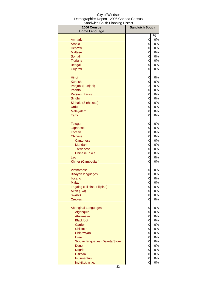| <u>oanamon oodan aaniin</u><br>2006 Census | <b>Sandwich South</b> |         |
|--------------------------------------------|-----------------------|---------|
| <b>Home Language</b>                       |                       |         |
| Amharic                                    |                       | %<br>0% |
| Arabic                                     | 0<br>0                | 0%      |
| <b>Hebrew</b>                              | 0                     | 0%      |
| <b>Maltese</b>                             | 0                     | 0%      |
| Somali                                     | 0                     | 0%      |
| Tigrigna                                   | 0                     | 0%      |
| <b>Bengali</b>                             | 0                     | 0%      |
| Gujarati                                   | 0                     | 0%      |
|                                            |                       |         |
| Hindi                                      | 0                     | 0%      |
| <b>Kurdish</b>                             | 0                     | 0%      |
| Panjabi (Punjabi)                          | $\overline{c}$        | 0%      |
| Pashto                                     | 0                     | 0%      |
| Persian (Farsi)                            | 0                     | 0%      |
| Sindhi                                     | 0                     | 0%      |
| Sinhala (Sinhalese)                        | 0                     | 0%      |
| Urdu                                       | 0                     | 0%      |
| Malayalam                                  | 0                     | 0%      |
| Tamil                                      | 0                     | 0%      |
| <b>Telugu</b>                              | 0                     | 0%      |
| Japanese                                   | 0                     | 0%      |
| Korean                                     | 0                     | 0%      |
| <b>Chinese</b>                             | 0                     | 0%      |
| Cantonese                                  | 0                     | 0%      |
| <b>Mandarin</b>                            | 0                     | 0%      |
| <b>Taiwanese</b>                           | 0                     | 0%      |
| Chinese, n.o.s.                            | 0                     | 0%      |
| Lao                                        | 0                     | 0%      |
| Khmer (Cambodian)                          | 0                     | 0%      |
| <b>Vietnamese</b>                          | 0                     | 0%      |
| <b>Bisayan languages</b>                   | 0                     | 0%      |
| Ilocano                                    | 0                     | 0%      |
| <b>Malay</b>                               | 0                     | 0%      |
| Tagalog (Pilipino, Filipino)               | 0                     | 0%      |
| Akan (Twi)                                 | 0                     | 0%      |
| Swahili                                    | 0                     | 0%      |
| <b>Creoles</b>                             | 0                     | 0%      |
| <b>Aboriginal Languages</b>                | 0                     | 0%      |
| Algonquin                                  | 0                     | 0%      |
| <b>Atikamekw</b>                           | 0                     | 0%      |
| <b>Blackfoot</b>                           | 0                     | 0%      |
| Carrier                                    | 0                     | 0%      |
| Chilcotin                                  | 0                     | 0%      |
| Chipewyan                                  | 0                     | 0%      |
| <b>Cree</b>                                | 0                     | 0%      |
| Siouan languages (Dakota/Sioux)            | 0                     | 0%      |
| Dene                                       | 0                     | 0%      |
| <b>Dogrib</b>                              | 0                     | 0%      |
| <b>Gitksan</b>                             | 0                     | 0%      |
| Inuinnaqtun                                | 0                     | 0%      |
| Inuktitut, n.i.e.                          | 0                     | 0%      |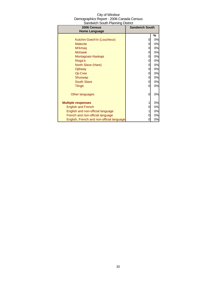| City of Windsor                          |
|------------------------------------------|
| Demographics Report - 2006 Canada Census |
| Sandwich South Planning District         |

| 2006 Census                               | anawion oodan nammig Dioaiod<br><b>Sandwich South</b> |    |
|-------------------------------------------|-------------------------------------------------------|----|
| <b>Home Language</b>                      |                                                       |    |
|                                           |                                                       | %  |
| Kutchin-Gwich'in (Loucheux)               |                                                       | 0% |
| <b>Malecite</b>                           |                                                       | 0% |
| Mi'kmaq                                   | 0                                                     | 0% |
| <b>Mohawk</b>                             | 0                                                     | 0% |
| Montagnais-Naskapi                        | 0                                                     | 0% |
| Nisga'a                                   | 0                                                     | 0% |
| North Slave (Hare)                        | 0                                                     | 0% |
| Ojibway                                   | 0                                                     | 0% |
| Oji-Cree                                  | 0                                                     | 0% |
| Shuswap                                   | 0                                                     | 0% |
| <b>South Slave</b>                        | 0                                                     | 0% |
| <b>Tlingit</b>                            | 0                                                     | 0% |
|                                           |                                                       |    |
| Other languages                           | 0                                                     | 0% |
|                                           |                                                       |    |
| <b>Multiple responses</b>                 |                                                       | 0% |
| <b>English and French</b>                 | 0                                                     | 0% |
| English and non-official language         |                                                       | 0% |
| French and non-official language          | O)                                                    | 0% |
| English, French and non-official language |                                                       | 0% |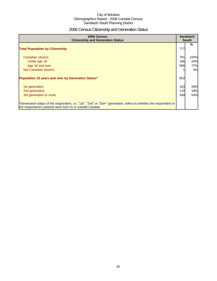## 2006 Census Citizenship and Generation Status

| 2006 Census<br><b>Citizenship and Generation Status</b>                                                                                                                       |     | <b>Sandwich</b><br><b>South</b> |  |
|-------------------------------------------------------------------------------------------------------------------------------------------------------------------------------|-----|---------------------------------|--|
| <b>Total Population by Citizenship</b>                                                                                                                                        | 777 | %                               |  |
| Canadian citizens                                                                                                                                                             | 781 | 100%                            |  |
| Under age 18                                                                                                                                                                  | 186 | 24%                             |  |
| Age 18 and over                                                                                                                                                               | 595 | 77%                             |  |
| Not Canadian citizens                                                                                                                                                         |     | 0%                              |  |
| Population 15 years and over by Generation Status*                                                                                                                            | 652 |                                 |  |
| 1st generation                                                                                                                                                                | 183 | 28%                             |  |
| 2nd generation                                                                                                                                                                | 119 | 18%                             |  |
| 3rd generation or more                                                                                                                                                        | 349 | 54%                             |  |
| *Generation status of the respondent, i.e. "1st", "2nd" or "3rd+" generation, refers to whether the respondent or<br>the respondent's parents were born in or outside Canada. |     |                                 |  |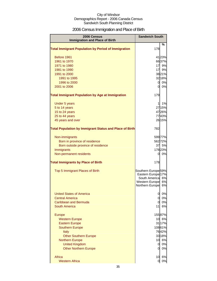## 2006 Census Immigration and Place of Birth

| $\%$<br>178<br>Before 1961<br>4123%<br>6637%<br>1961 to 1970<br>17 9%<br>1971 to 1980<br>17<br>9%<br>1981 to 1990<br>3821%<br>1991 to 2000<br>32 18%<br>1991 to 1995<br>0 0%<br>1996 to 2000<br>0 0%<br>2001 to 2006<br><b>Total Immigrant Population by Age at Immigration</b><br>179<br>1%<br>Under 5 years<br>$\mathbf{1}$<br>5 to 14 years<br>2715%<br>4726%<br>15 to 24 years<br>7743%<br>25 to 44 years<br>26 15%<br>45 years and over<br><b>Total Population by Immigrant Status and Place of Birth</b><br>782<br>59977%<br>Non-immigrants<br>56272%<br>Born in province of residence<br>37 5%<br>Born outside province of residence<br>17823%<br>Immigrants<br>Non-permanent residents<br>$0\,0\%$<br><b>Total Immigrants by Place of Birth</b><br>178<br>Southern Europe <sup>59%</sup><br>Top 5 Immigrant Places of Birth<br>Eastern Europe <sup>17%</sup><br>South America <sup>6%</sup><br>6%<br>Western Europe<br>Northern Europe<br>6%<br><b>United States of America</b><br>0<br>0%<br>0%<br>$\mathbf 0$<br><b>Central America</b><br>$\overline{0}$<br>0%<br>Caribbean and Bermuda<br>6%<br>South America<br>11<br>15587%<br><b>Europe</b><br>6%<br>10<br><b>Western Europe</b><br>3117%<br><b>Eastern Europe</b><br>10861%<br><b>Southern Europe</b><br>7642%<br><b>Italy</b><br>3318%<br><b>Other Southern Europe</b><br>10 6%<br><b>Northern Europe</b><br>0%<br><b>United Kingdom</b><br>$\mathsf{Q}$<br>$\overline{0}$<br>0%<br><b>Other Northern Europe</b><br>Africa<br>10<br>6%<br>0%<br><b>Western Africa</b><br>0 | 2006 Census<br><b>Immigration and Place of Birth</b>       | <b>Sandwich South</b> |  |
|---------------------------------------------------------------------------------------------------------------------------------------------------------------------------------------------------------------------------------------------------------------------------------------------------------------------------------------------------------------------------------------------------------------------------------------------------------------------------------------------------------------------------------------------------------------------------------------------------------------------------------------------------------------------------------------------------------------------------------------------------------------------------------------------------------------------------------------------------------------------------------------------------------------------------------------------------------------------------------------------------------------------------------------------------------------------------------------------------------------------------------------------------------------------------------------------------------------------------------------------------------------------------------------------------------------------------------------------------------------------------------------------------------------------------------------------------------------------------------------------------------------------------------------------|------------------------------------------------------------|-----------------------|--|
|                                                                                                                                                                                                                                                                                                                                                                                                                                                                                                                                                                                                                                                                                                                                                                                                                                                                                                                                                                                                                                                                                                                                                                                                                                                                                                                                                                                                                                                                                                                                             | <b>Total Immigrant Population by Period of Immigration</b> |                       |  |
|                                                                                                                                                                                                                                                                                                                                                                                                                                                                                                                                                                                                                                                                                                                                                                                                                                                                                                                                                                                                                                                                                                                                                                                                                                                                                                                                                                                                                                                                                                                                             |                                                            |                       |  |
|                                                                                                                                                                                                                                                                                                                                                                                                                                                                                                                                                                                                                                                                                                                                                                                                                                                                                                                                                                                                                                                                                                                                                                                                                                                                                                                                                                                                                                                                                                                                             |                                                            |                       |  |
|                                                                                                                                                                                                                                                                                                                                                                                                                                                                                                                                                                                                                                                                                                                                                                                                                                                                                                                                                                                                                                                                                                                                                                                                                                                                                                                                                                                                                                                                                                                                             |                                                            |                       |  |
|                                                                                                                                                                                                                                                                                                                                                                                                                                                                                                                                                                                                                                                                                                                                                                                                                                                                                                                                                                                                                                                                                                                                                                                                                                                                                                                                                                                                                                                                                                                                             |                                                            |                       |  |
|                                                                                                                                                                                                                                                                                                                                                                                                                                                                                                                                                                                                                                                                                                                                                                                                                                                                                                                                                                                                                                                                                                                                                                                                                                                                                                                                                                                                                                                                                                                                             |                                                            |                       |  |
|                                                                                                                                                                                                                                                                                                                                                                                                                                                                                                                                                                                                                                                                                                                                                                                                                                                                                                                                                                                                                                                                                                                                                                                                                                                                                                                                                                                                                                                                                                                                             |                                                            |                       |  |
|                                                                                                                                                                                                                                                                                                                                                                                                                                                                                                                                                                                                                                                                                                                                                                                                                                                                                                                                                                                                                                                                                                                                                                                                                                                                                                                                                                                                                                                                                                                                             |                                                            |                       |  |
|                                                                                                                                                                                                                                                                                                                                                                                                                                                                                                                                                                                                                                                                                                                                                                                                                                                                                                                                                                                                                                                                                                                                                                                                                                                                                                                                                                                                                                                                                                                                             |                                                            |                       |  |
|                                                                                                                                                                                                                                                                                                                                                                                                                                                                                                                                                                                                                                                                                                                                                                                                                                                                                                                                                                                                                                                                                                                                                                                                                                                                                                                                                                                                                                                                                                                                             |                                                            |                       |  |
|                                                                                                                                                                                                                                                                                                                                                                                                                                                                                                                                                                                                                                                                                                                                                                                                                                                                                                                                                                                                                                                                                                                                                                                                                                                                                                                                                                                                                                                                                                                                             |                                                            |                       |  |
|                                                                                                                                                                                                                                                                                                                                                                                                                                                                                                                                                                                                                                                                                                                                                                                                                                                                                                                                                                                                                                                                                                                                                                                                                                                                                                                                                                                                                                                                                                                                             |                                                            |                       |  |
|                                                                                                                                                                                                                                                                                                                                                                                                                                                                                                                                                                                                                                                                                                                                                                                                                                                                                                                                                                                                                                                                                                                                                                                                                                                                                                                                                                                                                                                                                                                                             |                                                            |                       |  |
|                                                                                                                                                                                                                                                                                                                                                                                                                                                                                                                                                                                                                                                                                                                                                                                                                                                                                                                                                                                                                                                                                                                                                                                                                                                                                                                                                                                                                                                                                                                                             |                                                            |                       |  |
|                                                                                                                                                                                                                                                                                                                                                                                                                                                                                                                                                                                                                                                                                                                                                                                                                                                                                                                                                                                                                                                                                                                                                                                                                                                                                                                                                                                                                                                                                                                                             |                                                            |                       |  |
|                                                                                                                                                                                                                                                                                                                                                                                                                                                                                                                                                                                                                                                                                                                                                                                                                                                                                                                                                                                                                                                                                                                                                                                                                                                                                                                                                                                                                                                                                                                                             |                                                            |                       |  |
|                                                                                                                                                                                                                                                                                                                                                                                                                                                                                                                                                                                                                                                                                                                                                                                                                                                                                                                                                                                                                                                                                                                                                                                                                                                                                                                                                                                                                                                                                                                                             |                                                            |                       |  |
|                                                                                                                                                                                                                                                                                                                                                                                                                                                                                                                                                                                                                                                                                                                                                                                                                                                                                                                                                                                                                                                                                                                                                                                                                                                                                                                                                                                                                                                                                                                                             |                                                            |                       |  |
|                                                                                                                                                                                                                                                                                                                                                                                                                                                                                                                                                                                                                                                                                                                                                                                                                                                                                                                                                                                                                                                                                                                                                                                                                                                                                                                                                                                                                                                                                                                                             |                                                            |                       |  |
|                                                                                                                                                                                                                                                                                                                                                                                                                                                                                                                                                                                                                                                                                                                                                                                                                                                                                                                                                                                                                                                                                                                                                                                                                                                                                                                                                                                                                                                                                                                                             |                                                            |                       |  |
|                                                                                                                                                                                                                                                                                                                                                                                                                                                                                                                                                                                                                                                                                                                                                                                                                                                                                                                                                                                                                                                                                                                                                                                                                                                                                                                                                                                                                                                                                                                                             |                                                            |                       |  |
|                                                                                                                                                                                                                                                                                                                                                                                                                                                                                                                                                                                                                                                                                                                                                                                                                                                                                                                                                                                                                                                                                                                                                                                                                                                                                                                                                                                                                                                                                                                                             |                                                            |                       |  |
|                                                                                                                                                                                                                                                                                                                                                                                                                                                                                                                                                                                                                                                                                                                                                                                                                                                                                                                                                                                                                                                                                                                                                                                                                                                                                                                                                                                                                                                                                                                                             |                                                            |                       |  |
|                                                                                                                                                                                                                                                                                                                                                                                                                                                                                                                                                                                                                                                                                                                                                                                                                                                                                                                                                                                                                                                                                                                                                                                                                                                                                                                                                                                                                                                                                                                                             |                                                            |                       |  |
|                                                                                                                                                                                                                                                                                                                                                                                                                                                                                                                                                                                                                                                                                                                                                                                                                                                                                                                                                                                                                                                                                                                                                                                                                                                                                                                                                                                                                                                                                                                                             |                                                            |                       |  |
|                                                                                                                                                                                                                                                                                                                                                                                                                                                                                                                                                                                                                                                                                                                                                                                                                                                                                                                                                                                                                                                                                                                                                                                                                                                                                                                                                                                                                                                                                                                                             |                                                            |                       |  |
|                                                                                                                                                                                                                                                                                                                                                                                                                                                                                                                                                                                                                                                                                                                                                                                                                                                                                                                                                                                                                                                                                                                                                                                                                                                                                                                                                                                                                                                                                                                                             |                                                            |                       |  |
|                                                                                                                                                                                                                                                                                                                                                                                                                                                                                                                                                                                                                                                                                                                                                                                                                                                                                                                                                                                                                                                                                                                                                                                                                                                                                                                                                                                                                                                                                                                                             |                                                            |                       |  |
|                                                                                                                                                                                                                                                                                                                                                                                                                                                                                                                                                                                                                                                                                                                                                                                                                                                                                                                                                                                                                                                                                                                                                                                                                                                                                                                                                                                                                                                                                                                                             |                                                            |                       |  |
|                                                                                                                                                                                                                                                                                                                                                                                                                                                                                                                                                                                                                                                                                                                                                                                                                                                                                                                                                                                                                                                                                                                                                                                                                                                                                                                                                                                                                                                                                                                                             |                                                            |                       |  |
|                                                                                                                                                                                                                                                                                                                                                                                                                                                                                                                                                                                                                                                                                                                                                                                                                                                                                                                                                                                                                                                                                                                                                                                                                                                                                                                                                                                                                                                                                                                                             |                                                            |                       |  |
|                                                                                                                                                                                                                                                                                                                                                                                                                                                                                                                                                                                                                                                                                                                                                                                                                                                                                                                                                                                                                                                                                                                                                                                                                                                                                                                                                                                                                                                                                                                                             |                                                            |                       |  |
|                                                                                                                                                                                                                                                                                                                                                                                                                                                                                                                                                                                                                                                                                                                                                                                                                                                                                                                                                                                                                                                                                                                                                                                                                                                                                                                                                                                                                                                                                                                                             |                                                            |                       |  |
|                                                                                                                                                                                                                                                                                                                                                                                                                                                                                                                                                                                                                                                                                                                                                                                                                                                                                                                                                                                                                                                                                                                                                                                                                                                                                                                                                                                                                                                                                                                                             |                                                            |                       |  |
|                                                                                                                                                                                                                                                                                                                                                                                                                                                                                                                                                                                                                                                                                                                                                                                                                                                                                                                                                                                                                                                                                                                                                                                                                                                                                                                                                                                                                                                                                                                                             |                                                            |                       |  |
|                                                                                                                                                                                                                                                                                                                                                                                                                                                                                                                                                                                                                                                                                                                                                                                                                                                                                                                                                                                                                                                                                                                                                                                                                                                                                                                                                                                                                                                                                                                                             |                                                            |                       |  |
|                                                                                                                                                                                                                                                                                                                                                                                                                                                                                                                                                                                                                                                                                                                                                                                                                                                                                                                                                                                                                                                                                                                                                                                                                                                                                                                                                                                                                                                                                                                                             |                                                            |                       |  |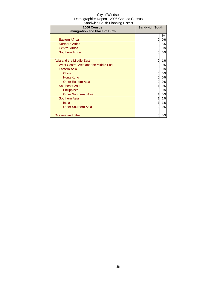| City of Windsor                          |
|------------------------------------------|
| Demographics Report - 2006 Canada Census |
| Sandwich South Planning District         |

| 2006 Census<br><b>Immigration and Place of Birth</b> | <b>Sandwich South</b> |    |
|------------------------------------------------------|-----------------------|----|
|                                                      |                       | %  |
| Eastern Africa                                       |                       | 0% |
| <b>Northern Africa</b>                               | 10                    | 6% |
| <b>Central Africa</b>                                | 0                     | 0% |
| Southern Africa                                      | 0                     | 0% |
| Asia and the Middle East                             | 2                     | 1% |
| West Central Asia and the Middle East                | 0                     | 0% |
| <b>Eastern Asia</b>                                  | 0                     | 0% |
| China                                                | 0                     | 0% |
| Hong Kong                                            | Ω                     | 0% |
| <b>Other Eastern Asia</b>                            |                       | 0% |
| Southeast Asia                                       |                       | 0% |
| <b>Philippines</b>                                   | 0                     | 0% |
| <b>Other Southeast Asia</b>                          |                       | 0% |
| Southern Asia                                        |                       | 1% |
| India                                                |                       | 1% |
| <b>Other Southern Asia</b>                           |                       | 0% |
| Oceania and other                                    |                       | 0% |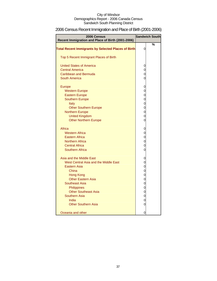# 2006 Census Recent Immigration and Place of Birth (2001-2006)

| 2006 Census                                                |                | <b>Sandwich South</b> |
|------------------------------------------------------------|----------------|-----------------------|
| Recent Immigration and Place of Birth (2001-2006)          |                |                       |
|                                                            |                | %                     |
| <b>Total Recent Immigrants by Selected Places of Birth</b> | 0              |                       |
| Top 5 Recent Immigrant Places of Birth                     |                |                       |
|                                                            |                |                       |
| <b>United States of America</b>                            | 0              |                       |
| <b>Central America</b>                                     | 0              |                       |
| Caribbean and Bermuda                                      | 0              |                       |
| <b>South America</b>                                       | 0              |                       |
|                                                            |                |                       |
| <b>Europe</b>                                              | 0              |                       |
| <b>Western Europe</b>                                      | 0              |                       |
| <b>Eastern Europe</b>                                      | 0              |                       |
| <b>Southern Europe</b>                                     | $\mathbf 0$    |                       |
| Italy                                                      | $\mathbf 0$    |                       |
| <b>Other Southern Europe</b>                               | $\mathbf 0$    |                       |
| <b>Northern Europe</b>                                     | 0              |                       |
| <b>United Kingdom</b>                                      | 0              |                       |
| <b>Other Northern Europe</b>                               | 0              |                       |
| Africa                                                     | 0              |                       |
| <b>Western Africa</b>                                      | 0              |                       |
| <b>Eastern Africa</b>                                      | 0              |                       |
| <b>Northern Africa</b>                                     | 0              |                       |
| <b>Central Africa</b>                                      | 0              |                       |
| Southern Africa                                            | 0              |                       |
|                                                            |                |                       |
| Asia and the Middle East                                   | 0              |                       |
| West Central Asia and the Middle East                      | 0              |                       |
| <b>Eastern Asia</b>                                        | $\overline{0}$ |                       |
| China                                                      | 0              |                       |
| Hong Kong                                                  | $\mathbf 0$    |                       |
| <b>Other Eastern Asia</b>                                  | 0              |                       |
| Southeast Asia                                             | 0              |                       |
| Philippines                                                | 0              |                       |
| <b>Other Southeast Asia</b>                                | 0              |                       |
| <b>Southern Asia</b>                                       | $\mathbf 0$    |                       |
| India                                                      | 0              |                       |
| <b>Other Southern Asia</b>                                 | 0              |                       |
| Oceania and other                                          | 0              |                       |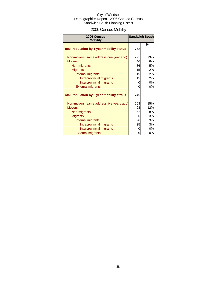# 2006 Census Mobility

| 2006 Census                                       |     | <b>Sandwich South</b> |
|---------------------------------------------------|-----|-----------------------|
| <b>Mobility</b>                                   |     |                       |
| <b>Total Population by 1 year mobility status</b> | 772 | %                     |
| Non-movers (same address one year ago)            | 721 | 93%                   |
| <b>Movers</b>                                     | 46  | 6%                    |
| Non-migrants                                      | 36  | 5%                    |
| <b>Migrants</b>                                   | 15  | 2%                    |
| Internal migrants                                 | 15  | 2%                    |
| Intraprovincial migrants                          | 15  | 2%                    |
| Interprovincial migrants                          | 0   | 0%                    |
| <b>External migrants</b>                          | 0   | 0%                    |
| <b>Total Population by 5 year mobility status</b> | 745 |                       |
| Non-movers (same address five years ago)          | 653 | 85%                   |
| <b>Movers</b>                                     | 93  | 12%                   |
| Non-migrants                                      | 62  | 8%                    |
| <b>Migrants</b>                                   | 26  | 3%                    |
| Internal migrants                                 | 26  | 3%                    |
| Intraprovincial migrants                          | 25  | 3%                    |
| Interprovincial migrants                          | 0   | 0%                    |
| <b>External migrants</b>                          | 0   | $0\%$                 |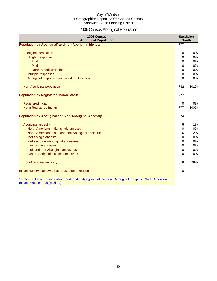# 2006 Census Aboriginal Population

| 2006 Census<br><b>Aboriginal Population</b>                                                                                                    |                | <b>Sandwich</b><br><b>South</b> |
|------------------------------------------------------------------------------------------------------------------------------------------------|----------------|---------------------------------|
| Population by Aboriginal* and non-Aboriginal Identity                                                                                          | 777            |                                 |
|                                                                                                                                                |                |                                 |
| Aboriginal population                                                                                                                          | 0              | 0%                              |
| <b>Single Response</b>                                                                                                                         | 0              | 0%                              |
| <b>Inuit</b>                                                                                                                                   | $\overline{0}$ | 0%                              |
| <b>Metis</b>                                                                                                                                   | 0              | 0%                              |
| North American Indian                                                                                                                          | $\mathbf 0$    | 0%                              |
| Multiple responses                                                                                                                             | 0              | 0%                              |
| Aboriginal responses not included elsewhere                                                                                                    | O              | 0%                              |
|                                                                                                                                                |                |                                 |
| Non-Aboriginal population                                                                                                                      | 782            | 101%                            |
|                                                                                                                                                |                |                                 |
| <b>Population by Registered Indian Status</b>                                                                                                  | 777            |                                 |
|                                                                                                                                                |                |                                 |
| <b>Registered Indian</b>                                                                                                                       | 0              | 0%                              |
| Not a Registered Indian                                                                                                                        | 777            | 100%                            |
|                                                                                                                                                |                |                                 |
| <b>Population by Aboriginal and Non-Aboriginal Ancestry</b>                                                                                    | 874            |                                 |
|                                                                                                                                                |                |                                 |
| Aboriginal ancestry                                                                                                                            | 6              | 1%                              |
| North American Indian single ancestry                                                                                                          | $\mathbf 0$    | 0%                              |
| North American Indian and non-Aboriginal ancestries                                                                                            | 16             | 2%                              |
| Métis single ancestry                                                                                                                          | $\overline{0}$ | 0%                              |
| Métis and non-Aboriginal ancestries                                                                                                            | $\mathbf 0$    | 0%                              |
| Inuit single ancestry                                                                                                                          | 0              | 0%                              |
| Inuit and non-Aboriginal ancestries                                                                                                            | $\mathbf 0$    | 0%                              |
| Other Aboriginal multiple ancestries                                                                                                           | $\Omega$       | 0%                              |
|                                                                                                                                                |                |                                 |
| Non-Aboriginal ancestry                                                                                                                        | 858            | 98%                             |
| Indian Reservation DAs that refused enumeration                                                                                                | $\Omega$       |                                 |
| * Refers to those persons who reported identifying with at least one Aboriginal group, i.e. North American<br>Indian, Métis or Inuit (Eskimo). |                |                                 |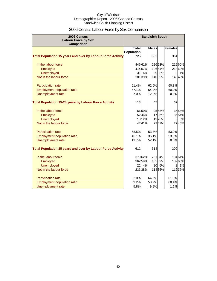# 2006 Census Labour Force by Sex Comparison

| 2006 Census<br><b>Labour Force by Sex</b><br>Comparison            |              |        | <b>Sandwich South</b> |         |                |        |
|--------------------------------------------------------------------|--------------|--------|-----------------------|---------|----------------|--------|
|                                                                    | <b>Total</b> |        | <b>Males</b>          |         | <b>Females</b> |        |
|                                                                    | Population   |        |                       |         |                |        |
| <b>Total Population 15 years and over by Labour Force Activity</b> | 725          |        | 362                   |         | 364            |        |
| In the labour force                                                |              | 44661% |                       | 22663%  |                | 21960% |
| Employed                                                           |              | 41457% |                       | 19654%  |                | 21860% |
| <b>Unemployed</b>                                                  | 31           | 4%     | 29                    | 8%      | 2              | 1%     |
| Not in the labour force                                            |              | 28139% |                       | 140 39% |                | 14540% |
| Participation rate                                                 | 61.4%        |        | 62.6%                 |         | 60.3%          |        |
| Employment-population ratio                                        | 57.1%        |        | 54.2%                 |         | 60.0%          |        |
| Unemployment rate                                                  | 7.0%         |        | 12.9%                 |         | 0.9%           |        |
| <b>Total Population 15-24 years by Labour Force Activity</b>       | 113          |        | 47                    |         | 67             |        |
| In the labour force                                                |              | 6659%  |                       | 2553%   |                | 3654%  |
| Employed                                                           |              | 5246%  |                       | 1736%   |                | 3654%  |
| <b>Unemployed</b>                                                  |              | 1312%  |                       | 1328%   | $\Omega$       | 0%     |
| Not in the labour force                                            |              | 4741%  |                       | 2247%   |                | 2740%  |
| Participation rate                                                 | 58.5%        |        | 53.3%                 |         | 53.9%          |        |
| Employment-population ratio                                        | 46.1%        |        | 36.1%                 |         | 53.9%          |        |
| Unemployment rate                                                  | 19.7%        |        | 52.1%                 |         | 0.0%           |        |
| <b>Total Population 25 years and over by Labour Force Activity</b> | 612          |        | 314                   |         | 302            |        |
| In the labour force                                                |              | 37962% |                       | 20164%  |                | 18461% |
| Employed                                                           |              | 36259% |                       | 18559%  |                | 18260% |
| <b>Unemployed</b>                                                  | 22           | 4%     |                       | 20 6%   | $\overline{2}$ | 1%     |
| Not in the labour force                                            |              | 23338% |                       | 11436%  |                | 11237% |
| Participation rate                                                 | 62.0%        |        | 64.0%                 |         | 61.0%          |        |
| <b>Employment-population ratio</b>                                 | 59.2%        |        | 58.9%                 |         | 60.4%          |        |
| Unemployment rate                                                  | 5.8%         |        | 9.9%                  |         | 1.1%           |        |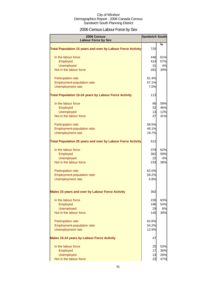# 2006 Census Labour Force by Sex

| 2006 Census<br><b>Labour Force by Sex</b>                          | <b>Sandwich South</b> |               |
|--------------------------------------------------------------------|-----------------------|---------------|
|                                                                    |                       | $\frac{0}{0}$ |
| <b>Total Population 15 years and over by Labour Force Activity</b> | 725                   |               |
| In the labour force                                                | 446                   | 61%           |
| Employed                                                           | 414                   | 57%           |
| <b>Unemployed</b>                                                  | 31                    | 4%            |
| Not in the labour force                                            | 281                   | 39%           |
| Participation rate                                                 | 61.4%                 |               |
| Employment-population ratio                                        | 57.1%                 |               |
| Unemployment rate                                                  | 7.0%                  |               |
| <b>Total Population 15-24 years by Labour Force Activity</b>       | 113                   |               |
| In the labour force                                                | 66                    | 59%           |
| Employed                                                           | 52                    | 46%           |
| <b>Unemployed</b>                                                  | 13                    | 12%           |
| Not in the labour force                                            | 47                    | 41%           |
| Participation rate                                                 | 58.5%                 |               |
| <b>Employment-population ratio</b>                                 | 46.1%                 |               |
| Unemployment rate                                                  | 19.7%                 |               |
| <b>Total Population 25 years and over by Labour Force Activity</b> | 612                   |               |
| In the labour force                                                | 379                   | 62%           |
| Employed                                                           | 362                   | 59%           |
| <b>Unemployed</b>                                                  | 22                    | 4%            |
| Not in the labour force                                            | 233                   | 38%           |
| Participation rate                                                 | 62.0%                 |               |
| <b>Employment-population ratio</b>                                 | 59.2%                 |               |
| Unemployment rate                                                  | 5.8%                  |               |
| Males 15 years and over by Labour Force Activity                   | 362                   |               |
| In the labour force                                                | 226                   | 63%           |
| Employed                                                           | 196                   | 54%           |
| <b>Unemployed</b>                                                  | 29                    | 8%            |
| Not in the labour force                                            | 140                   | 39%           |
| Participation rate                                                 | 62.6%                 |               |
| Employment-population ratio                                        | 54.2%                 |               |
| <b>Unemployment rate</b>                                           | 12.9%                 |               |
| <b>Males 15-24 years by Labour Force Activity</b>                  | 47                    |               |
| In the labour force                                                | 25                    | 53%           |
| Employed                                                           | 17                    | 36%           |
| Unemployed                                                         | 13                    | 28%           |
| Not in the labour force                                            | 22                    | 47%           |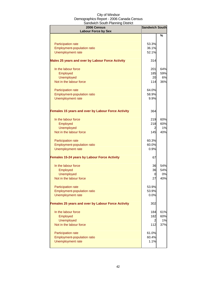| 2006 Census<br><b>Labour Force by Sex</b>           | <b>Sandwich South</b> |     |
|-----------------------------------------------------|-----------------------|-----|
|                                                     |                       | %   |
| Participation rate                                  | 53.3%                 |     |
| Employment-population ratio                         | 36.1%                 |     |
| Unemployment rate                                   | 52.1%                 |     |
|                                                     |                       |     |
| Males 25 years and over by Labour Force Activity    | 314                   |     |
| In the labour force                                 | 201                   | 64% |
| Employed                                            | 185                   | 59% |
| <b>Unemployed</b>                                   | 20                    | 6%  |
| Not in the labour force                             | 114                   | 36% |
| Participation rate                                  | 64.0%                 |     |
| Employment-population ratio                         | 58.9%                 |     |
| Unemployment rate                                   | 9.9%                  |     |
|                                                     |                       |     |
| Females 15 years and over by Labour Force Activity  | 364                   |     |
| In the labour force                                 | 219                   | 60% |
| Employed                                            | 218                   | 60% |
| <b>Unemployed</b>                                   | $\overline{2}$        | 1%  |
| Not in the labour force                             | 145                   | 40% |
|                                                     |                       |     |
| Participation rate                                  | 60.3%                 |     |
| Employment-population ratio                         | 60.0%                 |     |
| Unemployment rate                                   | 0.9%                  |     |
| <b>Females 15-24 years by Labour Force Activity</b> | 67                    |     |
| In the labour force                                 | 36                    | 54% |
| Employed                                            | 36                    | 54% |
| <b>Unemployed</b>                                   | 0                     | 0%  |
| Not in the labour force                             | 27                    | 40% |
| Participation rate                                  | 53.9%                 |     |
| Employment-population ratio                         | 53.9%                 |     |
| Unemployment rate                                   | 0.0%                  |     |
| Females 25 years and over by Labour Force Activity  | 302                   |     |
| In the labour force                                 | 184                   | 61% |
| Employed                                            | 182                   | 60% |
| <b>Unemployed</b>                                   | $\overline{2}$        | 1%  |
| Not in the labour force                             | 112                   | 37% |
| Participation rate                                  | 61.0%                 |     |
| Employment-population ratio                         | 60.4%                 |     |
| Unemployment rate                                   | 1.1%                  |     |
|                                                     |                       |     |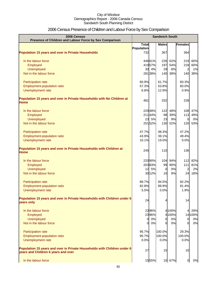# 2006 Census Presence of Children and Labour Force by Sex Comparison

| 2006 Census<br>Presence of Children and Labour Force by Sex Comparison                                          | <b>Sandwich South</b> |              |              |           |                       |           |
|-----------------------------------------------------------------------------------------------------------------|-----------------------|--------------|--------------|-----------|-----------------------|-----------|
|                                                                                                                 | <b>Total</b>          |              | <b>Males</b> |           | <b>Females</b>        |           |
|                                                                                                                 | Population            |              |              |           |                       |           |
| <b>Population 15 years and over in Private Households</b>                                                       | 732                   |              | 367          |           | 364                   |           |
| In the labour force                                                                                             |                       | 44661%       | 226          | 62%       | 219                   | 60%       |
| Employed                                                                                                        |                       | 41957%       | 197          | 54%       | 218                   | 60%       |
| Unemployed                                                                                                      | 30                    | 4%           | 29           | 8%        | $\overline{a}$        | 1%        |
| Not in the labour force                                                                                         |                       | 281 38%      | 140          | 38%       |                       | 140 38%   |
| Participation rate                                                                                              | 60.9%                 |              | 61.7%        |           | 60.3%                 |           |
| Employment-population ratio                                                                                     | 57.3%                 |              | 53.8%        |           | 60.0%                 |           |
| Unemployment rate                                                                                               | 6.8%                  |              | 12.9%        |           | 0.9%                  |           |
| Population 15 years and over in Private Households with No Children at<br><b>Home</b>                           | 481                   |              | 252          |           | 228                   |           |
|                                                                                                                 |                       |              |              |           |                       |           |
| In the labour force                                                                                             |                       | 229 48%      | 122          | 48%       |                       | 108 47%   |
| Employed<br><b>Unemployed</b>                                                                                   | 23                    | 21144%<br>5% | 98<br>23     | 39%<br>9% | 113<br>$\overline{0}$ | 49%<br>0% |
| Not in the labour force                                                                                         |                       | 25152%       | 130          | 52%       |                       | 120 53%   |
|                                                                                                                 |                       |              |              |           |                       |           |
| Participation rate                                                                                              | 47.7%                 |              | 48.3%        |           | 47.2%                 |           |
| Employment-population ratio                                                                                     | 43.9%                 |              | 39.1%        |           | 49.4%                 |           |
| Unemployment rate                                                                                               | 10.1%                 |              | 19.0%        |           | 0.0%                  |           |
| Population 15 years and over in Private Households with Children at<br><b>Home</b>                              | 245                   |              | 110          |           | 136                   |           |
| In the labour force                                                                                             |                       | 220 90%      | 104          | 94%       | $112$                 | 82%       |
| Employed                                                                                                        |                       | 20383%       | 99           | 90%       | 111                   | 81%       |
| <b>Unemployed</b>                                                                                               | 12                    | 5%           | 0            | 0%        | $\overline{a}$        | 2%        |
| Not in the labour force                                                                                         |                       | 30 12%       | 10           | 9%        | 24                    | 18%       |
| Participation rate                                                                                              | 89.7%                 |              | 94.5%        |           | 82.2%                 |           |
| <b>Employment-population ratio</b>                                                                              | 82.8%                 |              | 89.9%        |           | 81.4%                 |           |
| Unemployment rate                                                                                               | 5.5%                  |              | 0.0%         |           | 1.9%                  |           |
| Population 15 years and over in Private Households with Children under 6<br>years only                          | 24                    |              |              |           | 14                    |           |
| In the labour force                                                                                             |                       | 2396%        |              | 4 100%    |                       | 29%       |
| Employed                                                                                                        |                       | 2396%        |              | 4 100%    |                       | 14 100%   |
| <b>Unemployed</b>                                                                                               | 0                     | 0%           | 0            | 0%        | $\overline{0}$        | 0%        |
| Not in the labour force                                                                                         | 0                     | 0%           | <sup>o</sup> | 0%        | 0                     | 0%        |
| Participation rate                                                                                              | 95.7%                 |              | 100.0%       |           | 29.3%                 |           |
| Employment-population ratio                                                                                     | 95.7%                 |              | 100.0%       |           | 100.0%                |           |
| Unemployment rate                                                                                               | 0.0%                  |              | 0.0%         |           | 0.0%                  |           |
| Population 15 years and over in Private Households with Children under 6<br>years and Children 6 years and over | 27                    |              | 15           |           | 10                    |           |
| In the labour force                                                                                             |                       | 1555%        |              | 10 67%    | 0                     | 0%        |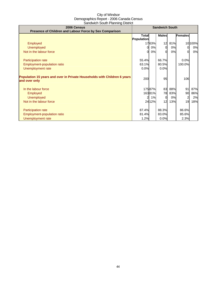| 2006 Census                                                              | <b>Sandwich South</b> |         |              |     |                |         |
|--------------------------------------------------------------------------|-----------------------|---------|--------------|-----|----------------|---------|
| Presence of Children and Labour Force by Sex Comparison                  |                       |         |              |     |                |         |
|                                                                          | Totall                |         | <b>Males</b> |     | <b>Females</b> |         |
|                                                                          | Population            |         |              |     |                |         |
| Employed                                                                 |                       | 1763%   | 12           | 81% |                | 10 100% |
| <b>Unemployed</b>                                                        | ΩI                    | 0%      | $\Omega$     | 0%  | <sub>0</sub>   | 0%      |
| Not in the labour force                                                  | ΩI                    | 0%      | ∩            | 0%  | $\Omega$       | 0%      |
|                                                                          |                       |         |              |     |                |         |
| Participation rate                                                       | 55.4%                 |         | 66.7%        |     | 0.0%           |         |
| Employment-population ratio                                              | 63.1%                 |         | 80.5%        |     | 100.0%         |         |
| Unemployment rate                                                        | 0.0%                  |         | 0.0%         |     |                |         |
|                                                                          |                       |         |              |     |                |         |
| Population 15 years and over in Private Households with Children 6 years | 200                   |         | 95           |     |                |         |
| and over only                                                            |                       |         |              |     | 106            |         |
|                                                                          |                       |         |              |     |                |         |
| In the labour force                                                      |                       | 17587%  | 83           | 88% | 91             | 87%     |
| Employed                                                                 |                       | 16381%  | 78           | 83% | 90             | 86%     |
| <b>Unemployed</b>                                                        |                       | 1%      | $\Omega$     | 0%  | 2              | 2%      |
| Not in the labour force                                                  |                       | 24 1 2% | 12           | 13% | 19             | 18%     |
|                                                                          |                       |         |              |     |                |         |
| Participation rate                                                       | 87.4%                 |         | 88.3%        |     | 86.6%          |         |
| Employment-population ratio                                              | 81.4%                 |         | 83.0%        |     | 85.6%          |         |
| Unemployment rate                                                        | 1.2%                  |         | 0.0%         |     | 2.3%           |         |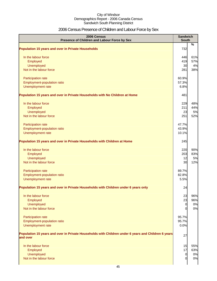# 2006 Census Presence of Children and Labour Force by Sex

| %<br><b>Population 15 years and over in Private Households</b><br>732<br>In the labour force<br>61%<br>446<br>419<br>57%<br>Employed<br>Unemployed<br>30<br>4%<br>Not in the labour force<br>281<br>38%<br>Participation rate<br>60.9%<br>Employment-population ratio<br>57.3%<br>Unemployment rate<br>6.8%<br>Population 15 years and over in Private Households with No Children at Home<br>481<br>48%<br>In the labour force<br>229<br>44%<br>211<br>Employed<br>Unemployed<br>23<br>Not in the labour force<br>251<br>Participation rate<br>47.7%<br>Employment-population ratio<br>43.9%<br>Unemployment rate<br>10.1%<br>245<br>Population 15 years and over in Private Households with Children at Home<br>220<br>In the labour force<br>203<br>Employed<br>Unemployed<br>12<br>30<br>Not in the labour force<br>89.7%<br>Participation rate<br>Employment-population ratio<br>82.8%<br>Unemployment rate<br>5.5%<br>24<br>23<br>96%<br>In the labour force<br>23<br>96%<br>Employed<br>Unemployed<br>0%<br>0<br>Not in the labour force<br>Participation rate<br>95.7%<br>Employment-population ratio<br>95.7%<br>Unemployment rate<br>0.0%<br>Population 15 years and over in Private Households with Children under 6 years and Children 6 years<br>27<br>and over<br>In the labour force<br>15<br>55%<br>17<br>63%<br>Employed<br>Unemployed<br>0%<br>0<br>Not in the labour force<br>0% | 2006 Census<br>Presence of Children and Labour Force by Sex                         | <b>Sandwich</b><br><b>South</b> |     |
|-----------------------------------------------------------------------------------------------------------------------------------------------------------------------------------------------------------------------------------------------------------------------------------------------------------------------------------------------------------------------------------------------------------------------------------------------------------------------------------------------------------------------------------------------------------------------------------------------------------------------------------------------------------------------------------------------------------------------------------------------------------------------------------------------------------------------------------------------------------------------------------------------------------------------------------------------------------------------------------------------------------------------------------------------------------------------------------------------------------------------------------------------------------------------------------------------------------------------------------------------------------------------------------------------------------------------------------------------------------------------------------------------------|-------------------------------------------------------------------------------------|---------------------------------|-----|
|                                                                                                                                                                                                                                                                                                                                                                                                                                                                                                                                                                                                                                                                                                                                                                                                                                                                                                                                                                                                                                                                                                                                                                                                                                                                                                                                                                                                     |                                                                                     |                                 |     |
|                                                                                                                                                                                                                                                                                                                                                                                                                                                                                                                                                                                                                                                                                                                                                                                                                                                                                                                                                                                                                                                                                                                                                                                                                                                                                                                                                                                                     |                                                                                     |                                 |     |
|                                                                                                                                                                                                                                                                                                                                                                                                                                                                                                                                                                                                                                                                                                                                                                                                                                                                                                                                                                                                                                                                                                                                                                                                                                                                                                                                                                                                     |                                                                                     |                                 |     |
|                                                                                                                                                                                                                                                                                                                                                                                                                                                                                                                                                                                                                                                                                                                                                                                                                                                                                                                                                                                                                                                                                                                                                                                                                                                                                                                                                                                                     |                                                                                     |                                 |     |
|                                                                                                                                                                                                                                                                                                                                                                                                                                                                                                                                                                                                                                                                                                                                                                                                                                                                                                                                                                                                                                                                                                                                                                                                                                                                                                                                                                                                     |                                                                                     |                                 |     |
|                                                                                                                                                                                                                                                                                                                                                                                                                                                                                                                                                                                                                                                                                                                                                                                                                                                                                                                                                                                                                                                                                                                                                                                                                                                                                                                                                                                                     |                                                                                     |                                 |     |
|                                                                                                                                                                                                                                                                                                                                                                                                                                                                                                                                                                                                                                                                                                                                                                                                                                                                                                                                                                                                                                                                                                                                                                                                                                                                                                                                                                                                     |                                                                                     |                                 |     |
|                                                                                                                                                                                                                                                                                                                                                                                                                                                                                                                                                                                                                                                                                                                                                                                                                                                                                                                                                                                                                                                                                                                                                                                                                                                                                                                                                                                                     |                                                                                     |                                 |     |
|                                                                                                                                                                                                                                                                                                                                                                                                                                                                                                                                                                                                                                                                                                                                                                                                                                                                                                                                                                                                                                                                                                                                                                                                                                                                                                                                                                                                     |                                                                                     |                                 |     |
|                                                                                                                                                                                                                                                                                                                                                                                                                                                                                                                                                                                                                                                                                                                                                                                                                                                                                                                                                                                                                                                                                                                                                                                                                                                                                                                                                                                                     |                                                                                     |                                 |     |
|                                                                                                                                                                                                                                                                                                                                                                                                                                                                                                                                                                                                                                                                                                                                                                                                                                                                                                                                                                                                                                                                                                                                                                                                                                                                                                                                                                                                     |                                                                                     |                                 |     |
|                                                                                                                                                                                                                                                                                                                                                                                                                                                                                                                                                                                                                                                                                                                                                                                                                                                                                                                                                                                                                                                                                                                                                                                                                                                                                                                                                                                                     |                                                                                     |                                 |     |
|                                                                                                                                                                                                                                                                                                                                                                                                                                                                                                                                                                                                                                                                                                                                                                                                                                                                                                                                                                                                                                                                                                                                                                                                                                                                                                                                                                                                     |                                                                                     |                                 | 5%  |
|                                                                                                                                                                                                                                                                                                                                                                                                                                                                                                                                                                                                                                                                                                                                                                                                                                                                                                                                                                                                                                                                                                                                                                                                                                                                                                                                                                                                     |                                                                                     |                                 | 52% |
|                                                                                                                                                                                                                                                                                                                                                                                                                                                                                                                                                                                                                                                                                                                                                                                                                                                                                                                                                                                                                                                                                                                                                                                                                                                                                                                                                                                                     |                                                                                     |                                 |     |
|                                                                                                                                                                                                                                                                                                                                                                                                                                                                                                                                                                                                                                                                                                                                                                                                                                                                                                                                                                                                                                                                                                                                                                                                                                                                                                                                                                                                     |                                                                                     |                                 |     |
|                                                                                                                                                                                                                                                                                                                                                                                                                                                                                                                                                                                                                                                                                                                                                                                                                                                                                                                                                                                                                                                                                                                                                                                                                                                                                                                                                                                                     |                                                                                     |                                 |     |
|                                                                                                                                                                                                                                                                                                                                                                                                                                                                                                                                                                                                                                                                                                                                                                                                                                                                                                                                                                                                                                                                                                                                                                                                                                                                                                                                                                                                     |                                                                                     |                                 |     |
|                                                                                                                                                                                                                                                                                                                                                                                                                                                                                                                                                                                                                                                                                                                                                                                                                                                                                                                                                                                                                                                                                                                                                                                                                                                                                                                                                                                                     |                                                                                     |                                 |     |
|                                                                                                                                                                                                                                                                                                                                                                                                                                                                                                                                                                                                                                                                                                                                                                                                                                                                                                                                                                                                                                                                                                                                                                                                                                                                                                                                                                                                     |                                                                                     |                                 | 90% |
|                                                                                                                                                                                                                                                                                                                                                                                                                                                                                                                                                                                                                                                                                                                                                                                                                                                                                                                                                                                                                                                                                                                                                                                                                                                                                                                                                                                                     |                                                                                     |                                 | 83% |
|                                                                                                                                                                                                                                                                                                                                                                                                                                                                                                                                                                                                                                                                                                                                                                                                                                                                                                                                                                                                                                                                                                                                                                                                                                                                                                                                                                                                     |                                                                                     |                                 | 5%  |
|                                                                                                                                                                                                                                                                                                                                                                                                                                                                                                                                                                                                                                                                                                                                                                                                                                                                                                                                                                                                                                                                                                                                                                                                                                                                                                                                                                                                     |                                                                                     |                                 | 12% |
|                                                                                                                                                                                                                                                                                                                                                                                                                                                                                                                                                                                                                                                                                                                                                                                                                                                                                                                                                                                                                                                                                                                                                                                                                                                                                                                                                                                                     |                                                                                     |                                 |     |
|                                                                                                                                                                                                                                                                                                                                                                                                                                                                                                                                                                                                                                                                                                                                                                                                                                                                                                                                                                                                                                                                                                                                                                                                                                                                                                                                                                                                     |                                                                                     |                                 |     |
|                                                                                                                                                                                                                                                                                                                                                                                                                                                                                                                                                                                                                                                                                                                                                                                                                                                                                                                                                                                                                                                                                                                                                                                                                                                                                                                                                                                                     |                                                                                     |                                 |     |
|                                                                                                                                                                                                                                                                                                                                                                                                                                                                                                                                                                                                                                                                                                                                                                                                                                                                                                                                                                                                                                                                                                                                                                                                                                                                                                                                                                                                     | Population 15 years and over in Private Households with Children under 6 years only |                                 |     |
|                                                                                                                                                                                                                                                                                                                                                                                                                                                                                                                                                                                                                                                                                                                                                                                                                                                                                                                                                                                                                                                                                                                                                                                                                                                                                                                                                                                                     |                                                                                     |                                 |     |
|                                                                                                                                                                                                                                                                                                                                                                                                                                                                                                                                                                                                                                                                                                                                                                                                                                                                                                                                                                                                                                                                                                                                                                                                                                                                                                                                                                                                     |                                                                                     |                                 |     |
|                                                                                                                                                                                                                                                                                                                                                                                                                                                                                                                                                                                                                                                                                                                                                                                                                                                                                                                                                                                                                                                                                                                                                                                                                                                                                                                                                                                                     |                                                                                     |                                 |     |
|                                                                                                                                                                                                                                                                                                                                                                                                                                                                                                                                                                                                                                                                                                                                                                                                                                                                                                                                                                                                                                                                                                                                                                                                                                                                                                                                                                                                     |                                                                                     |                                 | 0%  |
|                                                                                                                                                                                                                                                                                                                                                                                                                                                                                                                                                                                                                                                                                                                                                                                                                                                                                                                                                                                                                                                                                                                                                                                                                                                                                                                                                                                                     |                                                                                     |                                 |     |
|                                                                                                                                                                                                                                                                                                                                                                                                                                                                                                                                                                                                                                                                                                                                                                                                                                                                                                                                                                                                                                                                                                                                                                                                                                                                                                                                                                                                     |                                                                                     |                                 |     |
|                                                                                                                                                                                                                                                                                                                                                                                                                                                                                                                                                                                                                                                                                                                                                                                                                                                                                                                                                                                                                                                                                                                                                                                                                                                                                                                                                                                                     |                                                                                     |                                 |     |
|                                                                                                                                                                                                                                                                                                                                                                                                                                                                                                                                                                                                                                                                                                                                                                                                                                                                                                                                                                                                                                                                                                                                                                                                                                                                                                                                                                                                     |                                                                                     |                                 |     |
|                                                                                                                                                                                                                                                                                                                                                                                                                                                                                                                                                                                                                                                                                                                                                                                                                                                                                                                                                                                                                                                                                                                                                                                                                                                                                                                                                                                                     |                                                                                     |                                 |     |
|                                                                                                                                                                                                                                                                                                                                                                                                                                                                                                                                                                                                                                                                                                                                                                                                                                                                                                                                                                                                                                                                                                                                                                                                                                                                                                                                                                                                     |                                                                                     |                                 |     |
|                                                                                                                                                                                                                                                                                                                                                                                                                                                                                                                                                                                                                                                                                                                                                                                                                                                                                                                                                                                                                                                                                                                                                                                                                                                                                                                                                                                                     |                                                                                     |                                 |     |
|                                                                                                                                                                                                                                                                                                                                                                                                                                                                                                                                                                                                                                                                                                                                                                                                                                                                                                                                                                                                                                                                                                                                                                                                                                                                                                                                                                                                     |                                                                                     |                                 |     |
|                                                                                                                                                                                                                                                                                                                                                                                                                                                                                                                                                                                                                                                                                                                                                                                                                                                                                                                                                                                                                                                                                                                                                                                                                                                                                                                                                                                                     |                                                                                     |                                 |     |
|                                                                                                                                                                                                                                                                                                                                                                                                                                                                                                                                                                                                                                                                                                                                                                                                                                                                                                                                                                                                                                                                                                                                                                                                                                                                                                                                                                                                     |                                                                                     |                                 |     |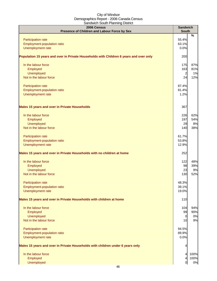| 2006 Census<br>Presence of Children and Labour Force by Sex                            | <b>Sandwich</b><br><b>South</b> |           |
|----------------------------------------------------------------------------------------|---------------------------------|-----------|
| Participation rate                                                                     | 55.4%                           | $\%$      |
| <b>Employment-population ratio</b>                                                     | 63.1%                           |           |
| Unemployment rate                                                                      | 0.0%                            |           |
| Population 15 years and over in Private Households with Children 6 years and over only | 200                             |           |
| In the labour force                                                                    | 175                             | 87%       |
| Employed                                                                               | 163                             | 81%       |
| <b>Unemployed</b><br>Not in the labour force                                           | $\overline{a}$<br>24            | 1%<br>12% |
|                                                                                        |                                 |           |
| Participation rate                                                                     | 87.4%                           |           |
| Employment-population ratio                                                            | 81.4%                           |           |
| Unemployment rate                                                                      | 1.2%                            |           |
| <b>Males 15 years and over in Private Households</b>                                   | 367                             |           |
| In the labour force                                                                    | 226                             | 62%       |
| Employed                                                                               | 197                             | 54%       |
| <b>Unemployed</b>                                                                      | 29                              | 8%        |
| Not in the labour force                                                                | 140                             | 38%       |
| Participation rate                                                                     | 61.7%                           |           |
| Employment-population ratio                                                            | 53.8%                           |           |
| Unemployment rate                                                                      | 12.9%                           |           |
| Males 15 years and over in Private Households with no children at home                 | 252                             |           |
| In the labour force                                                                    | 122                             | 48%       |
| Employed                                                                               | 98                              | 39%       |
| <b>Unemployed</b>                                                                      | 23                              | 9%        |
| Not in the labour force                                                                | 130                             | 52%       |
| <b>Participation rate</b>                                                              | 48.3%                           |           |
| <b>Employment-population ratio</b>                                                     | 39.1%                           |           |
| Unemployment rate                                                                      | 19.0%                           |           |
| Males 15 years and over in Private Households with children at home                    | 110                             |           |
| In the labour force                                                                    | 104                             | 94%       |
| Employed                                                                               | 99                              | 90%       |
| <b>Unemployed</b>                                                                      | $\overline{0}$                  | 0%        |
| Not in the labour force                                                                | 10                              | 9%        |
| Participation rate                                                                     | 94.5%                           |           |
| Employment-population ratio                                                            | 89.9%                           |           |
| Unemployment rate                                                                      | 0.0%                            |           |
| Males 15 years and over in Private Households with children under 6 years only         | 4                               |           |
| In the labour force                                                                    | 4                               | 100%      |
| Employed<br><b>Unemployed</b>                                                          | 4<br><sub>0</sub>               | 100%      |
|                                                                                        |                                 | 0%        |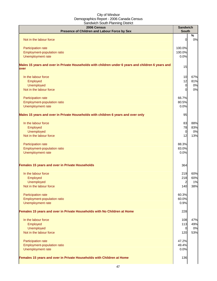| 2006 Census<br>Presence of Children and Labour Force by Sex                                                | <b>Sandwich</b><br><b>South</b> |         |
|------------------------------------------------------------------------------------------------------------|---------------------------------|---------|
| Not in the labour force                                                                                    | 0                               | %<br>0% |
|                                                                                                            |                                 |         |
| Participation rate                                                                                         | 100.0%                          |         |
| Employment-population ratio                                                                                | 100.0%                          |         |
| Unemployment rate                                                                                          | 0.0%                            |         |
| Males 15 years and over in Private Households with children under 6 years and children 6 years and<br>over | 15                              |         |
| In the labour force                                                                                        | 10                              | 67%     |
| Employed                                                                                                   | 12                              | 81%     |
| Unemployed                                                                                                 | 0                               | 0%      |
| Not in the labour force                                                                                    | $\Omega$                        | 0%      |
| Participation rate                                                                                         | 66.7%                           |         |
| Employment-population ratio                                                                                | 80.5%                           |         |
| Unemployment rate                                                                                          | 0.0%                            |         |
| Males 15 years and over in Private Households with children 6 years and over only                          | 95                              |         |
| In the labour force                                                                                        | 83                              | 88%     |
| Employed                                                                                                   | 78                              | 83%     |
| Unemployed                                                                                                 | $\overline{0}$                  | 0%      |
| Not in the labour force                                                                                    | 12                              | 13%     |
| Participation rate                                                                                         | 88.3%                           |         |
| Employment-population ratio                                                                                | 83.0%                           |         |
| Unemployment rate                                                                                          | 0.0%                            |         |
| Females 15 years and over in Private Households                                                            | 364                             |         |
|                                                                                                            |                                 |         |
| In the labour force                                                                                        | 219                             | 60%     |
| Employed                                                                                                   | 218                             | 60%     |
| Unemployed                                                                                                 | $\overline{2}$                  | 1%      |
| Not in the labour force                                                                                    | 140                             | 38%     |
| Participation rate                                                                                         | 60.3%                           |         |
| Employment-population ratio                                                                                | 60.0%                           |         |
| Unemployment rate                                                                                          | 0.9%                            |         |
| Females 15 years and over in Private Households with No Children at Home                                   | 228                             |         |
| In the labour force                                                                                        | 108                             | 47%     |
| Employed                                                                                                   | 113                             | 49%     |
| Unemployed                                                                                                 | 0                               | 0%      |
| Not in the labour force                                                                                    | 120                             | 53%     |
| Participation rate                                                                                         | 47.2%                           |         |
| Employment-population ratio                                                                                | 49.4%                           |         |
| Unemployment rate                                                                                          | 0.0%                            |         |
| Females 15 years and over in Private Households with Children at Home                                      | 136                             |         |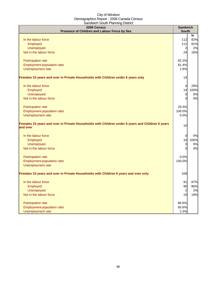| 2006 Census<br>Presence of Children and Labour Force by Sex                                                  | <b>Sandwich</b><br><b>South</b> |      |
|--------------------------------------------------------------------------------------------------------------|---------------------------------|------|
|                                                                                                              |                                 | $\%$ |
| In the labour force                                                                                          | 112                             | 82%  |
| Employed                                                                                                     | $111$                           | 81%  |
| <b>Unemployed</b>                                                                                            | $\overline{a}$                  | 2%   |
| Not in the labour force                                                                                      | 24                              | 18%  |
| Participation rate                                                                                           | 82.2%                           |      |
| Employment-population ratio                                                                                  | 81.4%                           |      |
| Unemployment rate                                                                                            | 1.9%                            |      |
| Females 15 years and over in Private Households with Children under 6 years only                             | 14                              |      |
| In the labour force                                                                                          | 4                               | 29%  |
| Employed                                                                                                     | 14                              | 100% |
| Unemployed                                                                                                   | $\overline{0}$                  | 0%   |
| Not in the labour force                                                                                      | 0                               | 0%   |
| Participation rate                                                                                           | 29.3%                           |      |
| Employment-population ratio                                                                                  | 100.0%                          |      |
| Unemployment rate                                                                                            | 0.0%                            |      |
| Females 15 years and over in Private Households with Children under 6 years and Children 6 years<br>and over | 10                              |      |
| In the labour force                                                                                          | 0                               | 0%   |
| Employed                                                                                                     | 10                              | 100% |
| <b>Unemployed</b>                                                                                            | 0                               | 0%   |
| Not in the labour force                                                                                      | 0                               | 0%   |
| Participation rate                                                                                           | 0.0%                            |      |
| Employment-population ratio                                                                                  | 100.0%                          |      |
| Unemployment rate                                                                                            |                                 |      |
| Females 15 years and over in Private Households with Children 6 years and over only                          | 106                             |      |
| In the labour force                                                                                          | 91                              | 87%  |
| Employed                                                                                                     | 90                              | 86%  |
| <b>Unemployed</b>                                                                                            | $\overline{a}$                  | 2%   |
| Not in the labour force                                                                                      | 19                              | 18%  |
| Participation rate                                                                                           | 86.6%                           |      |
| Employment-population ratio                                                                                  | 85.6%                           |      |
| Unemployment rate                                                                                            | 2.3%                            |      |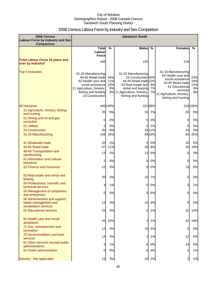# 2006 Census Labour Force by Industry and Sex Comparison

| 2006 Census<br><b>Labour Force by Industry and Sex</b><br><b>Comparison</b>    |                                                                                                                                                             |                         | <b>Sandwich South</b>                                                                                                                                                   |                |                                                                                                                                                                        |                               |
|--------------------------------------------------------------------------------|-------------------------------------------------------------------------------------------------------------------------------------------------------------|-------------------------|-------------------------------------------------------------------------------------------------------------------------------------------------------------------------|----------------|------------------------------------------------------------------------------------------------------------------------------------------------------------------------|-------------------------------|
|                                                                                | <b>Total</b>                                                                                                                                                | $\frac{0}{0}$           | <b>Males</b>                                                                                                                                                            | $\frac{0}{0}$  | <b>Females</b>                                                                                                                                                         | %                             |
|                                                                                | Labour<br><b>Force</b>                                                                                                                                      |                         |                                                                                                                                                                         |                |                                                                                                                                                                        |                               |
| <b>Total Labour Force 15 years and</b><br>over by Industry*                    | 446                                                                                                                                                         |                         | 225                                                                                                                                                                     |                | 219                                                                                                                                                                    |                               |
| <b>Top 5 Industries</b>                                                        | 31-33 Manufacturing<br>44-45 Retail trade<br>62 Health care and<br>social assistance<br>11 Agriculture, forestry,<br>fishing and hunting<br>23 Construction | 34%<br>11%<br>10%<br>8% | 31-33 Manufacturing<br>23 Construction 45%<br>44-45 Retail trade 12%<br>53 Real estate and<br>rental and leasing<br>8% 11 Agriculture, forestry,<br>fishing and hunting | 9%<br>7%<br>7% | 31-33 Manufacturing<br>62 Health care and<br>social assistance<br>44-45 Retail trade<br>61 Educational<br>services<br>11 Agriculture, forestry,<br>fishing and hunting | 23%<br>18%<br>14%<br>9%<br>8% |
| <b>All industries</b>                                                          |                                                                                                                                                             | 445 100%                |                                                                                                                                                                         | 22198%         |                                                                                                                                                                        | 218 100%                      |
| 11 Agriculture, forestry, fishing<br>and hunting                               | 35                                                                                                                                                          | 8%                      |                                                                                                                                                                         | 15 7%          | 20                                                                                                                                                                     | 9%                            |
| 21 Mining and oil and gas<br>extraction                                        | $\overline{0}$                                                                                                                                              | 0%                      | 01                                                                                                                                                                      | 0%             | 0                                                                                                                                                                      | 0%                            |
| <b>22 Utilities</b>                                                            | 2                                                                                                                                                           | 0%                      | 2                                                                                                                                                                       | 1%             | 0                                                                                                                                                                      | 0%                            |
| 23 Construction                                                                | 35                                                                                                                                                          | 8%                      |                                                                                                                                                                         | 25 11%         | 10                                                                                                                                                                     | 5%                            |
| 31-33 Manufacturing                                                            | 149                                                                                                                                                         | 33%                     |                                                                                                                                                                         | 9542%          | 54                                                                                                                                                                     | 25%                           |
| 41 Wholesale trade<br>44-45 Retail trade                                       | 10<br>47                                                                                                                                                    | 2%<br>11%               | 0<br>18                                                                                                                                                                 | 0%<br>8%       | 10<br>34                                                                                                                                                               | 5%<br>16%                     |
| 48-49 Transportation and<br>warehousing                                        | 13                                                                                                                                                          | 3%                      | 13                                                                                                                                                                      | 6%             | 0                                                                                                                                                                      | 0%                            |
| 51 Information and cultural<br>industries                                      | 2                                                                                                                                                           | 0%                      | 0                                                                                                                                                                       | 0%             | 0                                                                                                                                                                      | 0%                            |
| 52 Finance and insurance                                                       | 12                                                                                                                                                          | 3%                      | 01                                                                                                                                                                      | 0%             | 13                                                                                                                                                                     | 6%                            |
| 53 Real estate and rental and<br>leasing                                       | 20                                                                                                                                                          | 4%                      | 15                                                                                                                                                                      | 7%             | 0                                                                                                                                                                      | 0%                            |
| 54 Professional, scientific and<br>technical services                          |                                                                                                                                                             | 1%                      | 01                                                                                                                                                                      | 0%             | 3                                                                                                                                                                      | 1%                            |
| 55 Management of companies<br>and enterprises                                  | OI                                                                                                                                                          | $0\%$                   |                                                                                                                                                                         | 0 0%           | 0                                                                                                                                                                      | 0%                            |
| 56 Administrative and support,<br>waste management and<br>remediation services | 12                                                                                                                                                          | 3%                      | 10                                                                                                                                                                      | 4%             | $\overline{0}$                                                                                                                                                         | 0%                            |
| 61 Educational services                                                        | 23                                                                                                                                                          | 5%                      | 2                                                                                                                                                                       | 1%             | 22                                                                                                                                                                     | 10%                           |
| 62 Health care and social<br>assistance                                        | 43                                                                                                                                                          | 10%                     | $\mathbf{2}$                                                                                                                                                            | 1%             | 42                                                                                                                                                                     | 19%                           |
| 71 Arts, entertainment and<br>recreation                                       | 12                                                                                                                                                          | 3%                      |                                                                                                                                                                         | 10 4%          | $\overline{0}$                                                                                                                                                         | 0%                            |
| 72 Accommodation and food<br>services                                          | 14                                                                                                                                                          | 3%                      | $\overline{2}$                                                                                                                                                          | 1%             | 12                                                                                                                                                                     | 6%                            |
| 81 Other services (except public<br>administration)                            | 3                                                                                                                                                           | 1%                      | <sub>0</sub>                                                                                                                                                            | 0%             | 14                                                                                                                                                                     | 6%                            |
| 91 Public administration                                                       | 0                                                                                                                                                           | 0%                      | 01                                                                                                                                                                      | 0%             | $\overline{a}$                                                                                                                                                         | 1%                            |
| Industry - Not applicable                                                      | 12                                                                                                                                                          | 3%                      |                                                                                                                                                                         | 10 4%          | $\overline{a}$                                                                                                                                                         | 1%                            |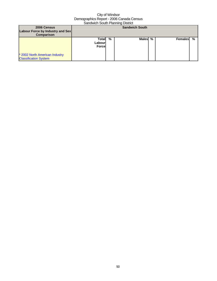| 2006 Census<br>Labour Force by Industry and Sex<br><b>Comparison</b> | <b>Sandwich South</b>              |   |        |   |         |   |
|----------------------------------------------------------------------|------------------------------------|---|--------|---|---------|---|
| * 2002 North American Industry<br><b>Classification System</b>       | Totall<br>Labourl<br><b>Forcel</b> | % | Malesl | % | Females | % |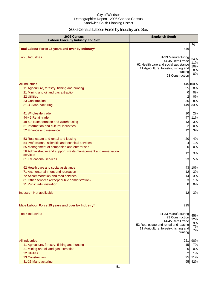# 2006 Census Labour Force by Industry and Sex

| 2006 Census<br><b>Labour Force by Industry and Sex</b>                                                                                                                                                                                              | <b>Sandwich South</b>                                                                                                                                    |                                         |
|-----------------------------------------------------------------------------------------------------------------------------------------------------------------------------------------------------------------------------------------------------|----------------------------------------------------------------------------------------------------------------------------------------------------------|-----------------------------------------|
| Total Labour Force 15 years and over by Industry*                                                                                                                                                                                                   | 446                                                                                                                                                      | $\%$                                    |
| <b>Top 5 Industries</b>                                                                                                                                                                                                                             | 31-33 Manufacturing<br>44-45 Retail trade<br>62 Health care and social assistance<br>11 Agriculture, forestry, fishing and<br>hunting<br>23 Construction | 34%<br>11%<br>10%<br>8%<br>8%           |
| <b>All industries</b><br>11 Agriculture, forestry, fishing and hunting<br>21 Mining and oil and gas extraction<br><b>22 Utilities</b><br>23 Construction<br>31-33 Manufacturing                                                                     | 35<br>$\overline{0}$<br>$\overline{\mathbf{c}}$<br>35<br>149                                                                                             | 445 100%<br>8%<br>0%<br>0%<br>8%<br>33% |
| 41 Wholesale trade<br>44-45 Retail trade<br>48-49 Transportation and warehousing<br>51 Information and cultural industries<br>52 Finance and insurance                                                                                              | 10<br>47<br>13<br>$\overline{\mathbf{c}}$<br>12                                                                                                          | 2%<br>11%<br>3%<br>0%<br>3%             |
| 53 Real estate and rental and leasing<br>54 Professional, scientific and technical services<br>55 Management of companies and enterprises<br>56 Administrative and support, waste management and remediation<br>services<br>61 Educational services | 20<br>$\overline{4}$<br>$\mathbf 0$<br>12<br>23                                                                                                          | 4%<br>1%<br>0%<br>3%<br>5%              |
| 62 Health care and social assistance<br>71 Arts, entertainment and recreation<br>72 Accommodation and food services<br>81 Other services (except public administration)<br>91 Public administration<br>Industry - Not applicable                    | 43<br>12<br>14<br>3<br>$\mathbf 0$<br>12                                                                                                                 | 10%<br>3%<br>3%<br>1%<br>0%<br>3%       |
| Male Labour Force 15 years and over by Industry*<br><b>Top 5 Industries</b>                                                                                                                                                                         | 225<br>31-33 Manufacturing<br>23 Construction                                                                                                            | 45%                                     |
|                                                                                                                                                                                                                                                     | 44-45 Retail trade<br>53 Real estate and rental and leasing<br>11 Agriculture, forestry, fishing and<br>hunting                                          | 12%<br>9%<br>7%<br>7%                   |
| <b>All industries</b><br>11 Agriculture, forestry, fishing and hunting<br>21 Mining and oil and gas extraction<br>22 Utilities<br>23 Construction<br>31-33 Manufacturing                                                                            | 221<br>15<br>$\overline{0}$<br>$\overline{\mathbf{c}}$<br>25<br>95                                                                                       | 98%<br>7%<br>0%<br>1%<br>11%<br>42%     |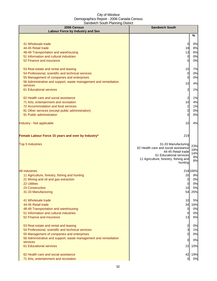| 2006 Census<br><b>Labour Force by Industry and Sex</b>                         | <b>Sandwich South</b>                         |           |
|--------------------------------------------------------------------------------|-----------------------------------------------|-----------|
|                                                                                |                                               | %         |
| 41 Wholesale trade                                                             | $\overline{0}$                                | 0%        |
| 44-45 Retail trade                                                             | 18                                            | 8%        |
| 48-49 Transportation and warehousing                                           | 13                                            | 6%        |
| 51 Information and cultural industries                                         | $\overline{0}$                                | 0%        |
| 52 Finance and insurance                                                       | 0                                             | 0%        |
| 53 Real estate and rental and leasing                                          | 15                                            | 7%        |
| 54 Professional, scientific and technical services                             | $\overline{0}$                                | 0%        |
| 55 Management of companies and enterprises                                     | $\overline{0}$                                | 0%        |
| 56 Administrative and support, waste management and remediation<br>services    | 10                                            | 4%        |
| 61 Educational services                                                        | 2                                             | 1%        |
| 62 Health care and social assistance                                           | 2                                             | 1%        |
| 71 Arts, entertainment and recreation                                          | 10                                            | 4%        |
| 72 Accommodation and food services                                             | $\overline{a}$                                | 1%        |
| 81 Other services (except public administration)                               | 0                                             | 0%        |
| 91 Public administration                                                       | 0                                             | 0%        |
| Industry - Not applicable                                                      | 10                                            | 4%        |
| Female Labour Force 15 years and over by Industry*                             | 219                                           |           |
| <b>Top 5 Industries</b>                                                        | 31-33 Manufacturing                           | 23%       |
|                                                                                | 62 Health care and social assistance          | 18%       |
|                                                                                | 44-45 Retail trade<br>61 Educational services | 14%       |
|                                                                                | 11 Agriculture, forestry, fishing and         | 9%<br>8%  |
|                                                                                | hunting                                       |           |
| <b>All industries</b>                                                          |                                               | 218 100%  |
| 11 Agriculture, forestry, fishing and hunting                                  | 20                                            | 9%        |
| 21 Mining and oil and gas extraction                                           | 0I                                            | 0%        |
| 22 Utilities                                                                   | 0                                             | 0%        |
| 23 Construction<br>31-33 Manufacturing                                         | 10<br>54                                      | 5%<br>25% |
|                                                                                |                                               |           |
| 41 Wholesale trade                                                             | 10                                            | 5%        |
| 44-45 Retail trade                                                             | 34                                            | 16%       |
| 48-49 Transportation and warehousing<br>51 Information and cultural industries | $\overline{0}$<br>0                           | 0%<br>0%  |
| 52 Finance and insurance                                                       | 13                                            | 6%        |
| 53 Real estate and rental and leasing                                          | $\overline{0}$                                | 0%        |
| 54 Professional, scientific and technical services                             | $\overline{\mathbf{3}}$                       | 1%        |
| 55 Management of companies and enterprises                                     | $\overline{0}$                                | 0%        |
| 56 Administrative and support, waste management and remediation<br>services    | 0                                             | 0%        |
| 61 Educational services                                                        | 22                                            | 10%       |
| 62 Health care and social assistance                                           | 42                                            | 19%       |
| 71 Arts, entertainment and recreation                                          | $\overline{0}$                                | 0%        |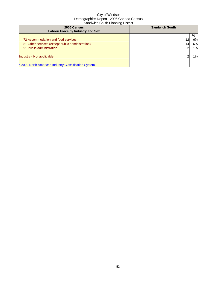| 2006 Census<br><b>Labour Force by Industry and Sex</b> | <b>Sandwich South</b> |    |
|--------------------------------------------------------|-----------------------|----|
|                                                        |                       | %  |
| 72 Accommodation and food services                     | 12                    | 6% |
| 81 Other services (except public administration)       | 14 <sub>l</sub>       | 6% |
| 91 Public administration                               | ົ                     | 1% |
|                                                        |                       |    |
| Industry - Not applicable                              |                       | 1% |
|                                                        |                       |    |
| * 2002 North American Industry Classification System   |                       |    |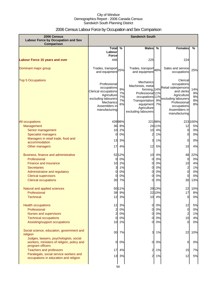# 2006 Census Labour Force by Occupation and Sex Comparison

| 2006 Census<br><b>Labour Force by Occupation and Sex</b><br>Comparison                                   | <b>Sandwich South</b>                                                                                                                    |                            |                                                                                                                                                                       |                      |                                                                                                                                                                     |                             |
|----------------------------------------------------------------------------------------------------------|------------------------------------------------------------------------------------------------------------------------------------------|----------------------------|-----------------------------------------------------------------------------------------------------------------------------------------------------------------------|----------------------|---------------------------------------------------------------------------------------------------------------------------------------------------------------------|-----------------------------|
|                                                                                                          | Total $\overline{\%}$                                                                                                                    |                            | <b>Males</b>                                                                                                                                                          | %                    | <b>Females</b>                                                                                                                                                      | %                           |
|                                                                                                          | Labour<br><b>Force</b>                                                                                                                   |                            |                                                                                                                                                                       |                      |                                                                                                                                                                     |                             |
| <b>Labour Force 15 years and over</b>                                                                    | 446                                                                                                                                      |                            | 225                                                                                                                                                                   |                      | 224                                                                                                                                                                 |                             |
| Dominant major group                                                                                     | Trades, transport<br>25%<br>and equipment                                                                                                |                            | Trades, transport 48%<br>and equipment                                                                                                                                |                      | Sales and service<br>occupations                                                                                                                                    | 25%                         |
| <b>Top 5 Occupations</b>                                                                                 | Professional<br>occupations<br>Clerical occupations<br>Agriculture<br>excluding labourers<br>Mechanics<br>Assemblers in<br>manufacturing | 9%<br>7%<br>7%<br>7%<br>6% | Mechanics<br>Machinists, metal<br>forming, 14%<br>Professional <sup>11%</sup><br>occupations 11%<br>Transportation<br>equipment<br>Agriculture<br>excluding labourers | 9%<br>7%             | Clerical<br>occupations<br>Retail salespersons<br>and clerks<br>Agriculture<br>excluding labourers<br>Professional<br>occupations<br>Assemblers in<br>manufacturing | 14%<br>9%<br>9%<br>8%<br>8% |
| All occupations                                                                                          |                                                                                                                                          | 43998%                     |                                                                                                                                                                       | 22198%               |                                                                                                                                                                     | 223 100%                    |
| Management                                                                                               | 36                                                                                                                                       | 8%                         |                                                                                                                                                                       | 24 11%               | 12                                                                                                                                                                  | 5%                          |
| Senior management                                                                                        | 10                                                                                                                                       | 2%                         | 10                                                                                                                                                                    | 4%                   | $\mathbf 0$                                                                                                                                                         | 0%                          |
| <b>Specialist managers</b>                                                                               | 0                                                                                                                                        | 0%                         | 2                                                                                                                                                                     | 1%                   | 0                                                                                                                                                                   | 0%                          |
| Managers in retail trade, food and                                                                       | 13                                                                                                                                       | 3%                         | 3                                                                                                                                                                     | 1%                   | 0                                                                                                                                                                   | 0%                          |
| accommodation<br>Other managers                                                                          | 17                                                                                                                                       | 4%                         | 12                                                                                                                                                                    | 5%                   | 10                                                                                                                                                                  | 4%                          |
| Business, finance and administrative<br>Professional<br><b>Finance and insurance</b><br>Secretaries      | 0<br>10<br>3                                                                                                                             | 52 12%<br>0%<br>2%<br>1%   | 10<br>0<br>0<br>0                                                                                                                                                     | 4%<br>0%<br>0%<br>0% | 48<br>0<br>10<br>$\overline{\mathbf{c}}$                                                                                                                            | 22%<br>0%<br>4%<br>1%       |
| Administrative and regulatory                                                                            | 0                                                                                                                                        | 0%                         | 0                                                                                                                                                                     | 0%                   | $\overline{0}$                                                                                                                                                      | 0%                          |
| <b>Clerical supervisors</b>                                                                              | 0                                                                                                                                        | 0%                         | 0                                                                                                                                                                     | 0%                   | 0                                                                                                                                                                   | 0%                          |
| <b>Clerical occupations</b>                                                                              | 30                                                                                                                                       | 7%                         | 0                                                                                                                                                                     | 0%                   | 30                                                                                                                                                                  | 13%                         |
| Natural and applied sciences                                                                             |                                                                                                                                          | 50 11%                     |                                                                                                                                                                       | 29 13%               | 22                                                                                                                                                                  | 10%                         |
| Professional                                                                                             | 39                                                                                                                                       | 9%                         |                                                                                                                                                                       | 22 10%               | 17                                                                                                                                                                  | 8%                          |
| <b>Technical</b>                                                                                         | 12                                                                                                                                       | 3%                         |                                                                                                                                                                       | 10 4%                | $\mathbf 0$                                                                                                                                                         | 0%                          |
| <b>Health occupations</b>                                                                                | 12                                                                                                                                       | 3%                         | $\overline{0}$                                                                                                                                                        | 0%                   | 12                                                                                                                                                                  | 5%                          |
| Professional                                                                                             | $\overline{a}$                                                                                                                           | 0%                         | $\overline{0}$                                                                                                                                                        | 0%                   | $\mathbf 0$                                                                                                                                                         | 0%                          |
| Nurses and supervisors                                                                                   | $\overline{a}$                                                                                                                           | 0%                         | $\overline{0}$                                                                                                                                                        | 0%                   | $\overline{\mathbf{c}}$                                                                                                                                             | 1%                          |
| <b>Technical occupations</b>                                                                             | 0                                                                                                                                        | 0%                         | 0                                                                                                                                                                     | 0%                   | 10                                                                                                                                                                  | 4%                          |
| Assisting/support occupations                                                                            | 10                                                                                                                                       | 2%                         | 0                                                                                                                                                                     | 0%                   | 0                                                                                                                                                                   | 0%                          |
| Social science, education, government and<br>religion                                                    | 30                                                                                                                                       | 7%                         | 3                                                                                                                                                                     | 1%                   | 22                                                                                                                                                                  | 10%                         |
| Judges, lawyers, psychologists, social<br>workers, ministers of religion, policy and<br>program officers | 0                                                                                                                                        | 0%                         | 0                                                                                                                                                                     | 0%                   | 0                                                                                                                                                                   | 0%                          |
| <b>Teachers and professors</b>                                                                           | 17                                                                                                                                       | 4%                         | $\overline{c}$                                                                                                                                                        | 1%                   | 15                                                                                                                                                                  | 7%                          |
| Paralegals, social service workers and<br>occupations in education and religion                          | 13                                                                                                                                       | 3%                         | 2                                                                                                                                                                     | 1%                   | 12                                                                                                                                                                  | 5%                          |
|                                                                                                          |                                                                                                                                          |                            |                                                                                                                                                                       |                      |                                                                                                                                                                     |                             |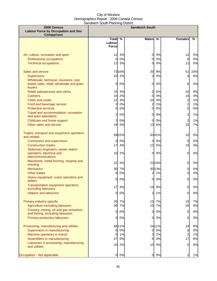| 2006 Census                                                                   |                |               | <b>Sandwich South</b>   |               |                |       |
|-------------------------------------------------------------------------------|----------------|---------------|-------------------------|---------------|----------------|-------|
| <b>Labour Force by Occupation and Sex</b><br>Comparison                       |                |               |                         |               |                |       |
|                                                                               | <b>Total</b>   | $\frac{0}{0}$ | <b>Males</b>            | $\frac{0}{0}$ | <b>Females</b> | %     |
|                                                                               | Labour         |               |                         |               |                |       |
|                                                                               | <b>Force</b>   |               |                         |               |                |       |
| Art, culture, recreation and sport                                            | 12             | 3%            | <sub>0</sub>            | 0%            | 12             | 5%    |
| <b>Professional occupations</b>                                               | $\mathbf 0$    | 0%            | 0                       | 0%            | $\overline{0}$ | 0%    |
| <b>Technical occupations</b>                                                  | 12             | 3%            | 0l                      | 0%            | 12             | 5%    |
|                                                                               |                |               |                         |               |                |       |
| Sales and service                                                             |                | 73 16%        | 20                      | 9%            | 51             | 23%   |
| Supervisors                                                                   |                | 10 2%         | $\overline{0}$          | 0%            | $\overline{0}$ | 0%    |
| Wholesale, technical, insurance, real                                         | 0              | 0%            | 0l                      | 0%            | $\overline{0}$ |       |
| estate sales, retail, wholesale and grain<br>buyers                           |                |               |                         |               |                | 0%    |
| Retail salespersons and clerks                                                | 15             | 3%            | <sub>0</sub>            | 0%            | 20             | 9%    |
| <b>Cashiers</b>                                                               | 10             | 2%            | $\Omega$                | 0%            | 10             | 4%    |
| <b>Chefs and cooks</b>                                                        | 12             | 3%            | 10                      | 4%            |                | 1%    |
| Food and beverage service                                                     | $\overline{c}$ | 0%            | $\overline{\mathbf{c}}$ | 1%            | $\frac{2}{2}$  | 1%    |
| <b>Protective services</b>                                                    | $\mathbf 0$    | 0%            | $\Omega$                | 0%            | $\overline{0}$ | $0\%$ |
| Travel and accommodation, recreation<br>and sport attendants                  | $\overline{c}$ | 0%            | <sub>0</sub>            | 0%            | $\overline{a}$ | 1%    |
| Childcare and home support                                                    | $\overline{c}$ | 0%            | <sub>0</sub>            | 0%            | $\overline{a}$ | 1%    |
| Other sales and service                                                       |                | 24 5%         | 13                      | 6%            | 15             | 7%    |
| Trades, transport and equipment operators                                     |                | 98 22%        |                         | 9341%         | 10             | 4%    |
| and related                                                                   |                |               |                         |               |                |       |
| <b>Contractors and supervisors</b>                                            | 0              | 0%            | $\Omega$                | 0%            | $\overline{0}$ | 0%    |
| <b>Construction trades</b>                                                    | 17             | 4%            | 12                      | 5%            | 10             | 4%    |
| Stationary engineers, power station<br>operators, electrical and              | 10             | 2%            | 0l                      | 0%            | 0              | 0%    |
| telecommunications                                                            |                |               |                         |               |                |       |
| Machinists, metal forming, shaping and                                        |                |               |                         |               |                |       |
| erecting                                                                      | 22             | 5%            |                         | 2210%         | $\overline{0}$ | 0%    |
| <b>Mechanics</b>                                                              | 30             | 7%            |                         | 30 13%        | $\overline{0}$ | 0%    |
| Other trades                                                                  | 0              | 0%            | $\overline{c}$          | 1%            | $\overline{0}$ | 0%    |
| Heavy equipment, crane operators and<br>drillers                              | 0              | 0%            | 0l                      | 0%            | 0              | $0\%$ |
| Transportation equipment operators,<br>excluding labourers                    | 17             | 4%            | 18                      | 8%            | $\overline{0}$ | 0%    |
| <b>Helpers and labourers</b>                                                  | 0              | 0%            | $\overline{a}$          | 1%            | $\overline{0}$ | 0%    |
|                                                                               |                |               |                         |               |                |       |
| Primary industry-specific                                                     |                | 30 7%         | 15                      | 7%            | 15             | 7%    |
| Agriculture excluding labourers                                               | 30             | 7%            | 15                      | 7%            | 20             | 9%    |
| Forestry, mining, oil and gas extraction,<br>and fishing, excluding labourers | 0              | 0%            | $\overline{0}$          | 0%            | $\overline{0}$ | $0\%$ |
| <b>Primary production labourers</b>                                           | $\overline{0}$ | 0%            | 0                       | 0%            | $\overline{0}$ | $0\%$ |
| Processing, manufacturing and utilities                                       |                | 48 11%        |                         | 24 11%        | 19             | 9%    |
| Supervisors in manufacturing                                                  | 0              | 0%            | 0                       | 0%            | $\overline{0}$ | 0%    |
| Machine operators in manuf.                                                   | 6              | 1%            | 3                       | 1%            | $\overline{c}$ | 1%    |
| Assemblers in manufacturing                                                   | 27             | 6%            | 6                       | 3%            | 17             | 8%    |
| Labourers in processing, manufacturing                                        | 10             | 2%            | 10                      | 4%            | $\Omega$       | $0\%$ |
| and utilities                                                                 |                |               |                         |               |                |       |
| Occupation - Not applicable                                                   | $\overline{0}$ | 0%            | $\overline{0}$          | 0%            | 2              | 1%    |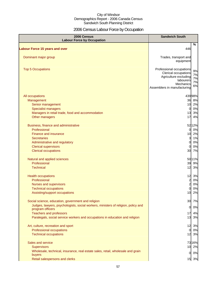# 2006 Census Labour Force by Occupation

| 2006 Census<br><b>Labour Force by Occupation</b>                                                                  | <b>Sandwich South</b>                                                                                                              |                            |
|-------------------------------------------------------------------------------------------------------------------|------------------------------------------------------------------------------------------------------------------------------------|----------------------------|
| <b>Labour Force 15 years and over</b>                                                                             | 446                                                                                                                                | $\%$                       |
| Dominant major group                                                                                              | Trades, transport and<br>equipment                                                                                                 |                            |
| <b>Top 5 Occupations</b>                                                                                          | Professional occupations<br>Clerical occupations<br>Agriculture excluding<br>labourers<br>Mechanics<br>Assemblers in manufacturing | 9%<br>7%<br>7%<br>7%<br>6% |
| All occupations                                                                                                   |                                                                                                                                    | 43998%                     |
| Management<br>Senior management<br><b>Specialist managers</b><br>Managers in retail trade, food and accommodation | $\overline{0}$<br>13                                                                                                               | 36 8%<br>10 2%<br>0%<br>3% |
| Other managers                                                                                                    | 17                                                                                                                                 | 4%                         |
| Business, finance and administrative<br>Professional<br><b>Finance and insurance</b>                              | $\Omega$<br>10                                                                                                                     | 52 12%<br>0%<br>2%         |
| <b>Secretaries</b><br>Administrative and regulatory                                                               | 3<br><sub>0</sub>                                                                                                                  | 1%<br>0%                   |
| <b>Clerical supervisors</b>                                                                                       | $\Omega$                                                                                                                           | 0%                         |
| <b>Clerical occupations</b>                                                                                       | 30                                                                                                                                 | 7%                         |
| Natural and applied sciences<br>Professional<br><b>Technical</b>                                                  | 39<br>12                                                                                                                           | 5011%<br>9%<br>3%          |
| <b>Health occupations</b>                                                                                         | 12                                                                                                                                 | 3%                         |
| Professional                                                                                                      | $\overline{2}$                                                                                                                     | 0%                         |
| Nurses and supervisors<br><b>Technical occupations</b>                                                            | $\overline{c}$<br>0                                                                                                                | 0%<br>0%                   |
| Assisting/support occupations                                                                                     | 10                                                                                                                                 | 2%                         |
| Social science, education, government and religion                                                                | 30 <sub>1</sub>                                                                                                                    | 7%                         |
| Judges, lawyers, psychologists, social workers, ministers of religion, policy and<br>program officers             | 0                                                                                                                                  | 0%                         |
| <b>Teachers and professors</b>                                                                                    | 17                                                                                                                                 | 4%                         |
| Paralegals, social service workers and occupations in education and religion                                      | 13                                                                                                                                 | 3%                         |
| Art, culture, recreation and sport                                                                                | 12                                                                                                                                 | 3%                         |
| <b>Professional occupations</b><br><b>Technical occupations</b>                                                   | $\overline{0}$<br>12                                                                                                               | 0%<br>3%                   |
| Sales and service                                                                                                 |                                                                                                                                    | 73 16%                     |
| <b>Supervisors</b>                                                                                                | 10                                                                                                                                 | 2%                         |
| Wholesale, technical, insurance, real estate sales, retail, wholesale and grain<br>buyers                         | $\overline{0}$                                                                                                                     | 0%                         |
| Retail salespersons and clerks                                                                                    |                                                                                                                                    | 15 3%                      |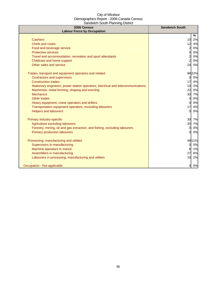| 2006 Census<br><b>Labour Force by Occupation</b>                                 | <b>Sandwich South</b> |
|----------------------------------------------------------------------------------|-----------------------|
|                                                                                  | %                     |
| <b>Cashiers</b>                                                                  | 10<br>2%              |
| Chefs and cooks                                                                  | 12<br>3%              |
| Food and beverage service                                                        | $\overline{a}$<br>0%  |
| <b>Protective services</b>                                                       | 0%<br>$\Omega$        |
| Travel and accommodation, recreation and sport attendants                        | 0%                    |
| Childcare and home support                                                       | $\overline{a}$<br>0%  |
| Other sales and service                                                          | 24<br>5%              |
| Trades, transport and equipment operators and related                            | 98 22%                |
| <b>Contractors and supervisors</b>                                               | 0%<br><sub>0</sub>    |
| <b>Construction trades</b>                                                       | 17<br>4%              |
| Stationary engineers, power station operators, electrical and telecommunications | 2%<br>10              |
| Machinists, metal forming, shaping and erecting                                  | 5%<br>22              |
| <b>Mechanics</b>                                                                 | 30<br>7%              |
| Other trades                                                                     | 0%<br>$\Omega$        |
| Heavy equipment, crane operators and drillers                                    | 0%<br>0               |
| Transportation equipment operators, excluding labourers                          | 17<br>4%              |
| <b>Helpers and labourers</b>                                                     | 0%<br>$\Omega$        |
| Primary industry-specific                                                        | 30<br>7%              |
| Agriculture excluding labourers                                                  | 30<br>7%              |
| Forestry, mining, oil and gas extraction, and fishing, excluding labourers       | 0%<br>$\Omega$        |
| <b>Primary production labourers</b>                                              | 0%<br>$\Omega$        |
| Processing, manufacturing and utilities                                          | 48 11%                |
| Supervisors in manufacturing                                                     | 0%<br><sub>0</sub>    |
| Machine operators in manuf.                                                      | 1%<br>6               |
| Assemblers in manufacturing                                                      | 27<br>6%              |
| Labourers in processing, manufacturing and utilities                             | 10<br>2%              |
| Occupation - Not applicable                                                      | 0%<br>$\mathbf{0}$    |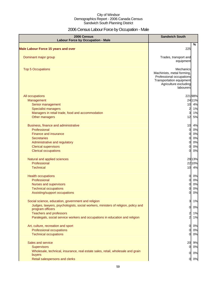# 2006 Census Labour Force by Occupation - Male

| 2006 Census<br><b>Labour Force by Occupation - Male</b>                                               | <b>Sandwich South</b>                                                                                                                        |
|-------------------------------------------------------------------------------------------------------|----------------------------------------------------------------------------------------------------------------------------------------------|
| <b>Male Labour Force 15 years and over</b>                                                            | %<br>225                                                                                                                                     |
| Dominant major group                                                                                  | Trades, transport and<br>equipment                                                                                                           |
|                                                                                                       |                                                                                                                                              |
| <b>Top 5 Occupations</b>                                                                              | <b>Mechanics</b><br>Machinists, metal forming,<br>Professional occupations<br>Transportation equipment<br>Agriculture excluding<br>labourers |
| All occupations                                                                                       | 22198%                                                                                                                                       |
| Management                                                                                            | 2411%                                                                                                                                        |
| Senior management                                                                                     | 4%<br>10                                                                                                                                     |
| <b>Specialist managers</b>                                                                            | 2<br>1%                                                                                                                                      |
| Managers in retail trade, food and accommodation<br>Other managers                                    | 3<br>1%<br>5%<br>12                                                                                                                          |
| Business, finance and administrative                                                                  | 10<br>4%                                                                                                                                     |
| Professional                                                                                          | <sub>0</sub><br>0%                                                                                                                           |
| <b>Finance and insurance</b>                                                                          | 0%<br>$\Omega$                                                                                                                               |
| <b>Secretaries</b>                                                                                    | 0%<br>$\Omega$                                                                                                                               |
| Administrative and regulatory                                                                         | 0%<br>$\Omega$                                                                                                                               |
| <b>Clerical supervisors</b>                                                                           | 0%<br>$\Omega$                                                                                                                               |
| <b>Clerical occupations</b>                                                                           | 0%<br>$\Omega$                                                                                                                               |
| Natural and applied sciences                                                                          | 2913%                                                                                                                                        |
| Professional                                                                                          | 22 10%                                                                                                                                       |
| <b>Technical</b>                                                                                      | 10 4%                                                                                                                                        |
| <b>Health occupations</b>                                                                             | 0%<br>$\mathbf{0}$                                                                                                                           |
| Professional                                                                                          | 0%<br>$\mathbf{0}$                                                                                                                           |
| <b>Nurses and supervisors</b>                                                                         | 0%<br>$\Omega$                                                                                                                               |
| <b>Technical occupations</b>                                                                          | 0%<br>0                                                                                                                                      |
| Assisting/support occupations                                                                         | 0%<br>$\overline{0}$                                                                                                                         |
| Social science, education, government and religion                                                    | 3<br>1%                                                                                                                                      |
| Judges, lawyers, psychologists, social workers, ministers of religion, policy and<br>program officers | $\overline{O}$<br>0%                                                                                                                         |
| <b>Teachers and professors</b>                                                                        | $\overline{c}$<br>1%                                                                                                                         |
| Paralegals, social service workers and occupations in education and religion                          | $\overline{a}$<br>1%                                                                                                                         |
| Art, culture, recreation and sport                                                                    | $\mathbf{0}$<br>0%                                                                                                                           |
| Professional occupations                                                                              | 0%<br>0                                                                                                                                      |
| <b>Technical occupations</b>                                                                          | 0%<br>0                                                                                                                                      |
| Sales and service                                                                                     | 20 9%                                                                                                                                        |
| <b>Supervisors</b>                                                                                    | 0%<br>01                                                                                                                                     |
| Wholesale, technical, insurance, real estate sales, retail, wholesale and grain                       | 0%<br>$\mathbf{0}$                                                                                                                           |
| buyers                                                                                                |                                                                                                                                              |
| Retail salespersons and clerks                                                                        | 0 0%                                                                                                                                         |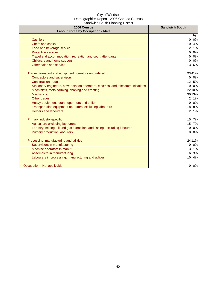| 2006 Census<br><b>Labour Force by Occupation - Male</b>                          | <b>Sandwich South</b> |
|----------------------------------------------------------------------------------|-----------------------|
|                                                                                  | %                     |
| <b>Cashiers</b>                                                                  | $\overline{O}$<br>0%  |
| <b>Chefs and cooks</b>                                                           | 4%<br>10              |
| Food and beverage service                                                        | $\overline{a}$<br>1%  |
| <b>Protective services</b>                                                       | Ol<br>0%              |
| Travel and accommodation, recreation and sport attendants                        | 0%<br>$\Omega$        |
| Childcare and home support                                                       | 0%<br>0               |
| Other sales and service                                                          | 13<br>6%              |
| Trades, transport and equipment operators and related                            | 9341%                 |
| <b>Contractors and supervisors</b>                                               | 0%<br>$\mathbf{0}$    |
| <b>Construction trades</b>                                                       | 12<br>5%              |
| Stationary engineers, power station operators, electrical and telecommunications | 0%<br>$\Omega$        |
| Machinists, metal forming, shaping and erecting                                  | 22 10%                |
| <b>Mechanics</b>                                                                 | 30 13%                |
| Other trades                                                                     | 1%<br>2               |
| Heavy equipment, crane operators and drillers                                    | $\Omega$<br>0%        |
| Transportation equipment operators, excluding labourers                          | 18<br>8%              |
| <b>Helpers and labourers</b>                                                     | 2<br>1%               |
| Primary industry-specific                                                        | 15 7%                 |
| Agriculture excluding labourers                                                  | 15 7%                 |
| Forestry, mining, oil and gas extraction, and fishing, excluding labourers       | 0%<br>$\mathbf{0}$    |
| <b>Primary production labourers</b>                                              | 0%<br>$\mathbf{0}$    |
| Processing, manufacturing and utilities                                          | 24 11%                |
| Supervisors in manufacturing                                                     | 0%<br><sub>0</sub>    |
| Machine operators in manuf.                                                      | 3<br>1%               |
| Assemblers in manufacturing                                                      | 6<br>3%               |
| Labourers in processing, manufacturing and utilities                             | 10<br>4%              |
|                                                                                  |                       |
| Occupation - Not applicable                                                      | 0%<br>0               |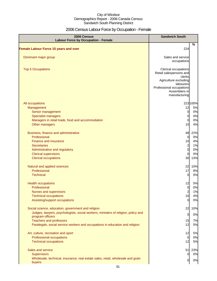# 2006 Census Labour Force by Occupation - Female

| 2006 Census<br><b>Labour Force by Occupation - Female</b>                                                                           | <b>Sandwich South</b>                                                                                                                                         |                            |
|-------------------------------------------------------------------------------------------------------------------------------------|---------------------------------------------------------------------------------------------------------------------------------------------------------------|----------------------------|
| <b>Female Labour Force 15 years and over</b>                                                                                        | 224                                                                                                                                                           | $\frac{9}{6}$              |
|                                                                                                                                     |                                                                                                                                                               |                            |
| Dominant major group                                                                                                                | Sales and service<br>occupations                                                                                                                              |                            |
| <b>Top 5 Occupations</b>                                                                                                            | Clerical occupations<br>Retail salespersons and<br>clerks<br>Agriculture excluding<br>labourers<br>Professional occupations<br>Assemblers in<br>manufacturing |                            |
| All occupations                                                                                                                     |                                                                                                                                                               | 223 100%                   |
| Management<br>Senior management<br><b>Specialist managers</b><br>Managers in retail trade, food and accommodation<br>Other managers | 12<br>$\overline{0}$<br>$\overline{0}$<br>$\overline{0}$<br>10                                                                                                | 5%<br>0%<br>0%<br>0%<br>4% |
| Business, finance and administrative                                                                                                | 48                                                                                                                                                            | 22%                        |
| Professional                                                                                                                        | $\overline{0}$                                                                                                                                                | 0%                         |
| <b>Finance and insurance</b>                                                                                                        | 10                                                                                                                                                            | 4%                         |
| <b>Secretaries</b>                                                                                                                  | $\begin{array}{c} 2 \\ 0 \end{array}$                                                                                                                         | 1%                         |
| Administrative and regulatory                                                                                                       |                                                                                                                                                               | 0%                         |
| <b>Clerical supervisors</b><br><b>Clerical occupations</b>                                                                          | 0<br>30                                                                                                                                                       | 0%<br>13%                  |
|                                                                                                                                     |                                                                                                                                                               |                            |
| Natural and applied sciences                                                                                                        | 22                                                                                                                                                            | 10%                        |
| Professional                                                                                                                        | 17                                                                                                                                                            | 8%                         |
| <b>Technical</b>                                                                                                                    | $\overline{0}$                                                                                                                                                | 0%                         |
| <b>Health occupations</b>                                                                                                           | 12                                                                                                                                                            | 5%                         |
| Professional                                                                                                                        | $\overline{0}$                                                                                                                                                | 0%                         |
| Nurses and supervisors                                                                                                              | $\overline{c}$                                                                                                                                                | 1%                         |
| <b>Technical occupations</b>                                                                                                        | 10                                                                                                                                                            | 4%                         |
| Assisting/support occupations                                                                                                       | 0                                                                                                                                                             | 0%                         |
| Social science, education, government and religion                                                                                  | 22                                                                                                                                                            | 10%                        |
| Judges, lawyers, psychologists, social workers, ministers of religion, policy and                                                   | 0                                                                                                                                                             | 0%                         |
| program officers<br><b>Teachers and professors</b>                                                                                  | 15                                                                                                                                                            | 7%                         |
| Paralegals, social service workers and occupations in education and religion                                                        | 12                                                                                                                                                            | 5%                         |
| Art, culture, recreation and sport                                                                                                  | 12                                                                                                                                                            | 5%                         |
| Professional occupations                                                                                                            | $\overline{0}$                                                                                                                                                | 0%                         |
| <b>Technical occupations</b>                                                                                                        | 12                                                                                                                                                            | 5%                         |
| Sales and service                                                                                                                   | 51                                                                                                                                                            | 23%                        |
| <b>Supervisors</b>                                                                                                                  | $\mathbf 0$                                                                                                                                                   | 0%                         |
| Wholesale, technical, insurance, real estate sales, retail, wholesale and grain<br>buyers                                           | $\overline{0}$                                                                                                                                                | 0%                         |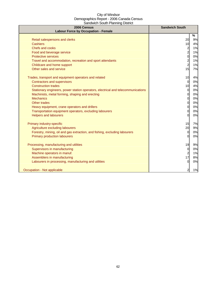| 2006 Census<br><b>Labour Force by Occupation - Female</b>                        | <b>Sandwich South</b> |    |
|----------------------------------------------------------------------------------|-----------------------|----|
|                                                                                  |                       | %  |
| Retail salespersons and clerks                                                   | 20                    | 9% |
| Cashiers                                                                         | 10                    | 4% |
| Chefs and cooks                                                                  |                       | 1% |
| Food and beverage service                                                        | $\frac{2}{2}$         | 1% |
| <b>Protective services</b>                                                       | 0                     | 0% |
| Travel and accommodation, recreation and sport attendants                        | $\overline{c}$        | 1% |
| Childcare and home support                                                       | $\overline{c}$        | 1% |
| Other sales and service                                                          | 15                    | 7% |
| Trades, transport and equipment operators and related                            | 10                    | 4% |
| <b>Contractors and supervisors</b>                                               | $\overline{0}$        | 0% |
| <b>Construction trades</b>                                                       | 10                    | 4% |
| Stationary engineers, power station operators, electrical and telecommunications | $\overline{0}$        | 0% |
| Machinists, metal forming, shaping and erecting                                  | $\overline{0}$        | 0% |
| <b>Mechanics</b>                                                                 | $\overline{0}$        | 0% |
| Other trades                                                                     | $\overline{0}$        | 0% |
| Heavy equipment, crane operators and drillers                                    | 0                     | 0% |
| Transportation equipment operators, excluding labourers                          | $\overline{0}$        | 0% |
| <b>Helpers and labourers</b>                                                     | <sub>0</sub>          | 0% |
| Primary industry-specific                                                        | 15                    | 7% |
| Agriculture excluding labourers                                                  | 20                    | 9% |
| Forestry, mining, oil and gas extraction, and fishing, excluding labourers       | $\overline{0}$        | 0% |
| <b>Primary production labourers</b>                                              | 0                     | 0% |
| Processing, manufacturing and utilities                                          | 19                    | 9% |
| Supervisors in manufacturing                                                     | 0                     | 0% |
| Machine operators in manuf.                                                      | $\overline{a}$        | 1% |
| Assemblers in manufacturing                                                      | 17                    | 8% |
| Labourers in processing, manufacturing and utilities                             | $\overline{0}$        | 0% |
|                                                                                  |                       |    |
| Occupation - Not applicable                                                      | 2                     | 1% |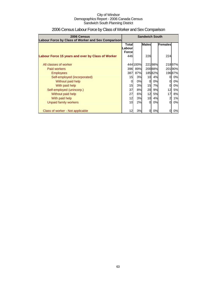| 2006 Census<br>Labour Force by Class of Worker and Sex Comparison | <b>Sandwich South</b>        |          |          |        |                |        |         |  |
|-------------------------------------------------------------------|------------------------------|----------|----------|--------|----------------|--------|---------|--|
|                                                                   | <b>Males</b><br><b>Total</b> |          |          |        | Labour.        |        | Females |  |
|                                                                   | <b>Forcel</b>                |          |          |        |                |        |         |  |
| Labour Force 15 years and over by Class of Worker                 | 446                          |          | 226      |        | 224            |        |         |  |
| All classes of worker                                             |                              | 444 100% |          | 22198% |                | 21897% |         |  |
| <b>Paid workers</b>                                               | 396                          | 89%      |          | 20088% |                | 20190% |         |  |
| <b>Employees</b>                                                  | 387                          | 87%      |          | 18582% |                | 19687% |         |  |
| Self-employed (incorporated)                                      | 15                           | 3%       | 10       | 4%     | 0              | 0%     |         |  |
| Without paid help                                                 |                              | 0%       | $\Omega$ | 0%     | 0              | 0%     |         |  |
| With paid help                                                    | 15                           | 3%       | 15       | 7%     | 0              | 0%     |         |  |
| Self-employed (unincorp.)                                         | 37                           | 8%       | 20       | 9%     | 12             | 5%     |         |  |
| Without paid help                                                 | 27                           | 6%       | 12       | 5%     | 17             | 8%     |         |  |
| With paid help                                                    | 12                           | 3%       | 10       | 4%     | $\overline{a}$ | 1%     |         |  |
| Unpaid family workers                                             | 10                           | 2%       | 0        | 0%     | $\Omega$       | 0%     |         |  |
| Class of worker - Not applicable                                  |                              | 3%       | 0        | 0%     | 0              | 0%     |         |  |

# 2006 Census Labour Force by Class of Worker and Sex Comparison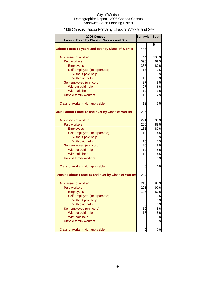| 2006 Census Labour Force by Class of Worker and Sex |  |
|-----------------------------------------------------|--|
|-----------------------------------------------------|--|

| 2006 Census<br>Labour Force by Class of Worker and Sex |                | <b>Sandwich South</b> |
|--------------------------------------------------------|----------------|-----------------------|
|                                                        |                | %                     |
| Labour Force 15 years and over by Class of Worker      | 446            |                       |
| All classes of worker                                  | 444            | 100%                  |
| <b>Paid workers</b>                                    | 396            | 89%                   |
| <b>Employees</b>                                       | 387            | 87%                   |
| Self-employed (incorporated)                           | 15             | 3%                    |
| Without paid help                                      | 0              | 0%                    |
| With paid help                                         | 15             | 3%                    |
| Self-employed (unincorp.)                              | 37             | 8%                    |
| Without paid help                                      | 27             | 6%                    |
| With paid help                                         | 12             | 3%                    |
| <b>Unpaid family workers</b>                           | 10             | 2%                    |
| Class of worker - Not applicable                       | 12             | 3%                    |
| Male Labour Force 15 and over by Class of Worker       | 226            |                       |
| All classes of worker                                  | 221            | 98%                   |
| <b>Paid workers</b>                                    | 200            | 88%                   |
| <b>Employees</b>                                       | 185            | 82%                   |
| Self-employed (incorporated)                           | 10             | 4%                    |
| Without paid help                                      | 0              | 0%                    |
| With paid help                                         | 15             | 7%                    |
| Self-employed (unincorp.)                              | 20             | 9%                    |
| Without paid help                                      | 12             | 5%                    |
| With paid help                                         | 10             | 4%                    |
| <b>Unpaid family workers</b>                           | 0              | 0%                    |
| Class of worker - Not applicable                       | 0              | 0%                    |
| Female Labour Force 15 and over by Class of Worker     | 224            |                       |
| All classes of worker                                  | 218            | 97%                   |
| <b>Paid workers</b>                                    | 201            | 90%                   |
| <b>Employees</b>                                       | 196            | 87%                   |
| Self-employed (incorporated)                           | 0              | 0%                    |
| Without paid help                                      | 0              | 0%                    |
| With paid help                                         | 0              | 0%                    |
| Self-employed (unincorp)                               | 12             | 5%                    |
| Without paid help                                      | 17             | 8%                    |
| With paid help                                         | $\overline{c}$ | 1%                    |
| <b>Unpaid family workers</b>                           | 0              | 0%                    |
| Class of worker - Not applicable                       | 0              | 0%                    |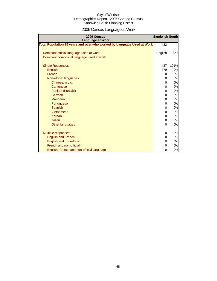# 2006 Census Language at Work

| 2006 Census<br><b>Language at Work</b>                                 | <b>Sandwich South</b> |      |
|------------------------------------------------------------------------|-----------------------|------|
| Total Population 15 years and over who worked by Language Used at Work | 482                   |      |
|                                                                        |                       |      |
| Dominant official language used at work                                | English               | 100% |
| Dominant non-official language used at work                            |                       |      |
|                                                                        |                       |      |
| <b>Single Responses</b>                                                | 487                   | 101% |
| English                                                                | 479                   | 99%  |
| French                                                                 |                       | 0%   |
| Non-official languages                                                 |                       | 0%   |
| Chinese, n.o.s.                                                        |                       | 0%   |
| Cantonese                                                              |                       | 0%   |
| Panjabi (Punjabi)                                                      |                       | 0%   |
| German                                                                 |                       | 0%   |
| <b>Mandarin</b>                                                        | 0                     | 0%   |
| Portuguese                                                             |                       | 0%   |
| Spanish                                                                |                       | 0%   |
| Vietnamese                                                             |                       | 0%   |
| Korean                                                                 |                       | 0%   |
| <b>Italian</b>                                                         |                       | 0%   |
| Other languages                                                        |                       | 0%   |
|                                                                        |                       |      |
| Multiple responses                                                     | 0                     | 0%   |
| <b>English and French</b>                                              |                       | 0%   |
| English and non-official                                               |                       | 0%   |
| French and non-official                                                |                       | 0%   |
| English, French and non-official language                              | 0                     | 0%   |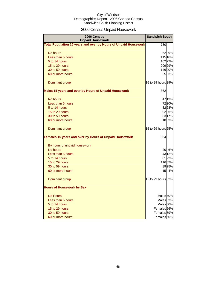# 2006 Census Unpaid Housework

| 2006 Census<br><b>Unpaid Housework</b>                                                                                                 | <b>Sandwich South</b>                                                                                             |
|----------------------------------------------------------------------------------------------------------------------------------------|-------------------------------------------------------------------------------------------------------------------|
| Total Population 15 years and over by Hours of Unpaid Housework                                                                        | 730                                                                                                               |
| No hours<br>Less than 5 hours<br>5 to 14 hours<br>15 to 29 hours<br>30 to 59 hours<br>60 or more hours                                 | 62 9%<br>115 16%<br>162 22%<br>209 29%<br>146 20%<br>25<br>3%                                                     |
| Dominant group                                                                                                                         | 15 to 29 hours 29%                                                                                                |
| Males 15 years and over by Hours of Unpaid Housework                                                                                   | 362                                                                                                               |
| No hours<br>Less than 5 hours<br>5 to 14 hours<br>15 to 29 hours<br>30 to 59 hours<br>60 or more hours                                 | 4713%<br>7220%<br>8223%<br>92 26%<br>6317%<br>10 3%                                                               |
| Dominant group                                                                                                                         | 15 to 29 hours 25%                                                                                                |
| Females 15 years and over by Hours of Unpaid Housework                                                                                 | 364                                                                                                               |
| By hours of unpaid housework<br>No hours<br>Less than 5 hours<br>5 to 14 hours<br>15 to 29 hours<br>30 to 59 hours<br>60 or more hours | 6%<br>20<br>4312%<br>8122%<br>11632%<br>8925%<br>15<br>4%                                                         |
| Dominant group                                                                                                                         | 15 to 29 hours 32%                                                                                                |
| <b>Hours of Housework by Sex</b>                                                                                                       |                                                                                                                   |
| <b>No Hours</b><br>Less than 5 hours<br>5 to 14 hours<br>15 to 29 hours<br>30 to 59 hours<br>60 or more hours                          | Males 70%<br>Males <sup>63%</sup><br>Males <sub>50%</sub><br>Females 56%<br>Females <sup>59%</sup><br>Females 60% |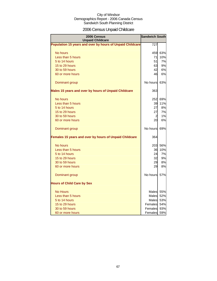# 2006 Census Unpaid Childcare

| 2006 Census<br><b>Unpaid Childcare</b>                    | <b>Sandwich South</b> |     |  |  |
|-----------------------------------------------------------|-----------------------|-----|--|--|
| Population 15 years and over by hours of Unpaid Childcare | 727                   |     |  |  |
| No hours                                                  | 459I                  | 63% |  |  |
| Less than 5 hours                                         | 71                    | 10% |  |  |
| 5 to 14 hours                                             | 51                    | 7%  |  |  |
| 15 to 29 hours                                            | 63                    | 9%  |  |  |
| 30 to 59 hours                                            | 42                    | 6%  |  |  |
| 60 or more hours                                          | 46                    | 6%  |  |  |
| Dominant group                                            | No hours 63%          |     |  |  |
| Males 15 years and over by hours of Unpaid Childcare      | 363                   |     |  |  |
| No hours                                                  | 252                   | 69% |  |  |
| Less than 5 hours                                         | 39                    | 11% |  |  |
| 5 to 14 hours                                             | 27                    | 8%  |  |  |
| 15 to 29 hours                                            | 27                    | 7%  |  |  |
| 30 to 59 hours                                            | $\overline{2}$        | 1%  |  |  |
| 60 or more hours                                          | 20                    | 6%  |  |  |
| Dominant group                                            | No hours              | 69% |  |  |
| Females 15 years and over by hours of Unpaid Childcare    | 364                   |     |  |  |
| No hours                                                  | 203                   | 56% |  |  |
| Less than 5 hours                                         | 36                    | 10% |  |  |
| 5 to 14 hours                                             | 24                    | 7%  |  |  |
| 15 to 29 hours                                            | 32                    | 9%  |  |  |
| 30 to 59 hours                                            | 29                    | 8%  |  |  |
| 60 or more hours                                          | 29                    | 8%  |  |  |
| Dominant group                                            | No hours              | 57% |  |  |
| <b>Hours of Child Care by Sex</b>                         |                       |     |  |  |
| <b>No Hours</b>                                           | Males                 | 55% |  |  |
| Less than 5 hours                                         | Males                 | 52% |  |  |
| 5 to 14 hours                                             | Males                 | 53% |  |  |
| 15 to 29 hours                                            | Females               | 54% |  |  |
| 30 to 59 hours                                            | Females               | 93% |  |  |
| 60 or more hours                                          | Females               | 59% |  |  |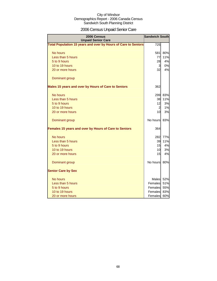# 2006 Census Unpaid Senior Care

| 2006 Census<br><b>Unpaid Senior Care</b>                       | <b>Sandwich South</b> |           |
|----------------------------------------------------------------|-----------------------|-----------|
| Total Population 15 years and over by Hours of Care to Seniors | 725                   |           |
| No hours                                                       | 581                   | 80%       |
| Less than 5 hours                                              | 77                    | 11%       |
| 5 to 9 hours                                                   | 28                    | 4%        |
| 10 to 19 hours                                                 | 3                     | 0%        |
| 20 or more hours                                               | 32                    | 4%        |
| Dominant group                                                 |                       |           |
| Males 15 years and over by Hours of Care to Seniors            | 362                   |           |
| No hours                                                       | 299                   | 83%       |
| Less than 5 hours                                              | 38                    | 11%       |
| 5 to 9 hours                                                   | 12                    | 3%        |
| 10 to 19 hours                                                 | $\overline{a}$        | 1%        |
| 20 or more hours                                               | 10                    | <b>3%</b> |
| Dominant group                                                 | No hours              | 83%       |
| Females 15 years and over by Hours of Care to Seniors          | 364                   |           |
| No hours                                                       | 282                   | 77%       |
| Less than 5 hours                                              | 39                    | 11%       |
| 5 to 9 hours                                                   | 15                    | 4%        |
| 10 to 19 hours                                                 | 10                    | 3%        |
| 20 or more hours                                               | 15                    | 4%        |
| Dominant group                                                 | No hours              | 80%       |
| <b>Senior Care by Sex</b>                                      |                       |           |
| No hours                                                       | Males                 | 52%       |
| Less than 5 hours                                              | Females               | 51%       |
| 5 to 9 hours                                                   | Females               | 55%       |
| 10 to 19 hours                                                 | Females               | 83%       |
| 20 or more hours                                               | Females               | 60%       |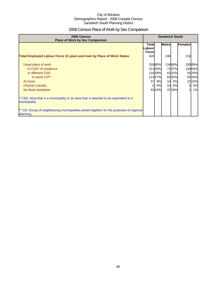# 2006 Census Place of Work by Sex Comparison

| 2006 Census<br><b>Place of Work by Sex Comparison</b>                                                 | <b>Sandwich South</b>                  |        |              |        |          |        |
|-------------------------------------------------------------------------------------------------------|----------------------------------------|--------|--------------|--------|----------|--------|
|                                                                                                       | <b>Total</b><br>Labour<br><b>Force</b> |        | <b>Males</b> |        | Females  |        |
| <b>Total Employed Labour Force 15 years and over by Place of Work Status</b>                          | 420                                    |        | 196          |        | 218      |        |
| Usual place of work                                                                                   |                                        | 33580% |              | 13468% |          | 19589% |
| In CSD <sup>*</sup> of residence                                                                      |                                        | 21150% |              | 7237%  |          | 14064% |
| In different CSD                                                                                      |                                        | 11828% |              | 6232%  |          | 5525%  |
| In same CD**                                                                                          |                                        | 11427% |              | 6232%  |          | 5525%  |
| At home                                                                                               |                                        | 37 9%  | 10           | 5%     |          | 22 10% |
| <b>Outside Canada</b>                                                                                 | 0l                                     | 0%     | 10           | 5%     | $\Omega$ | 0%     |
| No fixed workplace                                                                                    |                                        | 4310%  |              | 3719%  |          | 1%     |
| * CSD: Area that is a municipality or an area that is deemed to be equivalent to a<br>municipality.   |                                        |        |              |        |          |        |
| ** CD: Group of neighbouring municipalities joined together for the purposes of regional<br>planning. |                                        |        |              |        |          |        |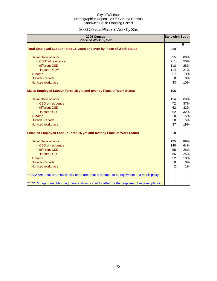# 2006 Census Place of Work by Sex

| 2006 Census<br><b>Place of Work by Sex</b>                                                         |     | <b>Sandwich South</b> |
|----------------------------------------------------------------------------------------------------|-----|-----------------------|
| Total Employed Labour Force 15 years and over by Place of Work Status                              | 420 | %                     |
|                                                                                                    |     |                       |
| Usual place of work                                                                                | 335 | 80%                   |
| In CSD* of residence                                                                               | 211 | 50%                   |
| In different CSD                                                                                   | 118 | 28%                   |
| In same CD**                                                                                       | 114 | 27%                   |
| At home                                                                                            | 37  | 9%                    |
| <b>Outside Canada</b>                                                                              | 0   | 0%                    |
| No fixed workplace                                                                                 | 43  | 10%                   |
| Males Employed Labour Force 15 yrs and over by Place of Work Status                                | 196 |                       |
| Usual place of work                                                                                | 134 | 68%                   |
| In CSD of residence                                                                                | 72  | 37%                   |
| In different CSD                                                                                   | 62  | 32%                   |
| In same CD                                                                                         | 62  | 32%                   |
| At home                                                                                            | 10  | 5%                    |
| <b>Outside Canada</b>                                                                              | 10  | 5%                    |
| No fixed workplace                                                                                 | 37  | 19%                   |
| Females Employed Labour Force 15 yrs and over by Place of Work Status                              | 218 |                       |
| Usual place of work                                                                                | 195 | 89%                   |
| In CSD of residence                                                                                | 140 | 64%                   |
| In different CSD                                                                                   | 55  | 25%                   |
| In same CD                                                                                         | 55  | 25%                   |
| At home                                                                                            | 22  | 10%                   |
| <b>Outside Canada</b>                                                                              | 0   | 0%                    |
| No fixed workplace                                                                                 |     | 1%                    |
| * CSD: Area that is a municipality or an area that is deemed to be equivalent to a municipality.   |     |                       |
| ** CD: Group of neighbouring municipalities joined together for the purposes of regional planning. |     |                       |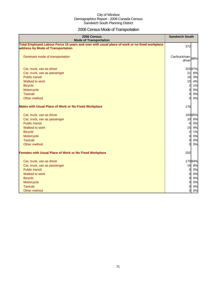# 2006 Census Mode of Transportation

| 2006 Census<br><b>Mode of Transportation</b>                                                                                      | <b>Sandwich South</b>       |
|-----------------------------------------------------------------------------------------------------------------------------------|-----------------------------|
| Total Employed Labour Force 15 years and over with usual place of work or no fixed workplace<br>address by Mode of Transportation | 372                         |
| Dominant mode of transportation                                                                                                   | Car/truck/van-88%<br>driver |
| Car, truck, van as driver                                                                                                         | 32587%                      |
| Car, truck, van as passenger                                                                                                      | 21<br>6%                    |
| <b>Public transit</b>                                                                                                             | 10<br>3%                    |
| Walked to work                                                                                                                    | 15<br>4%                    |
| <b>Bicycle</b>                                                                                                                    | $\overline{2}$<br>1%        |
| Motorcycle                                                                                                                        | $\overline{0}$<br>0%        |
| <b>Taxicab</b>                                                                                                                    | 0%<br>0                     |
| Other method                                                                                                                      | 0%<br>$\Omega$              |
| <b>Males with Usual Place of Work or No Fixed Workplace</b>                                                                       | 176                         |
| Car, truck, van as driver                                                                                                         | 15085%                      |
| Car, truck, van as passenger                                                                                                      | 10<br>6%                    |
| <b>Public transit</b>                                                                                                             | 0%<br>$\overline{0}$        |
| Walked to work                                                                                                                    | 15<br>9%                    |
| <b>Bicycle</b>                                                                                                                    | $\overline{2}$<br>1%        |
| Motorcycle                                                                                                                        | $\overline{0}$<br>0%        |
| <b>Taxicab</b>                                                                                                                    | 0%<br>$\Omega$              |
| Other method                                                                                                                      | ΩI<br>0%                    |
| Females with Usual Place of Work or No Fixed Workplace                                                                            | 202                         |
| Car, truck, van as driver                                                                                                         | 17084%                      |
| Car, truck, van as passenger                                                                                                      | 16 8%                       |
| <b>Public transit</b>                                                                                                             | $\mathbf{0}$<br>0%          |
| Walked to work                                                                                                                    | 0%<br>$\overline{0}$        |
| <b>Bicycle</b>                                                                                                                    | $\overline{0}$<br>0%        |
| Motorcycle                                                                                                                        | $\overline{0}$<br>0%        |
| <b>Taxicab</b>                                                                                                                    | 0%<br>$\overline{0}$        |
| Other method                                                                                                                      | 0%<br>$\overline{0}$        |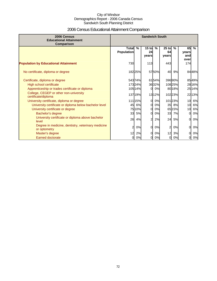# 2006 Census Educational Attainment Comparison

| 2006 Census<br><b>Educational Attainment</b><br>Comparison         | <b>Sandwich South</b>             |         |                        |               |                        |        |                            |               |
|--------------------------------------------------------------------|-----------------------------------|---------|------------------------|---------------|------------------------|--------|----------------------------|---------------|
|                                                                    | <b>Total</b><br><b>Population</b> | $\%$    | $15$ to<br>24<br>vears | $\frac{9}{6}$ | $25$ to<br>64<br>vears | $\%$   | 65<br>years<br>and<br>over | $\frac{9}{6}$ |
| <b>Population by Educational Attainment</b>                        | 730                               |         | 113                    |               | 443                    |        | 174                        |               |
| No certificate, diploma or degree                                  |                                   | 18225%  |                        | 5750%         | 40                     | 9%     |                            | 8448%         |
| Certificate, diploma or degree                                     |                                   | 54374%  |                        | 6154%         |                        | 39690% |                            | 8549%         |
| High school certificate                                            |                                   | 17324%  |                        | 3632%         |                        | 10825% |                            | 28 16%        |
| Apprenticeship or trades certificate or diploma                    |                                   | 105 14% | $\Omega$               | 0%            |                        | 80 18% |                            | 25 14%        |
| College, CEGEP or other non-university<br>certificate/diploma      |                                   | 137 19% |                        | 1312%         |                        | 10223% |                            | 22 13%        |
| University certificate, diploma or degree                          |                                   | 11115%  | 0                      | 0%            |                        | 10123% | 10 <sup>1</sup>            | 6%            |
| University certificate or diploma below bachelor level             | 45                                | 6%      | 0                      | 0%            |                        | 35 8%  | 10                         | 6%            |
| University certificate or degree                                   |                                   | 75 10%  | 0                      | 0%            |                        | 65 15% | 10                         | 6%            |
| Bachelor's degree                                                  | 33                                | 5%      | O                      | 0%            | 33                     | 7%     | 0                          | 0%            |
| University certificate or diploma above bachelor<br>level          | 26                                | 4%      | 2                      | 2%            | 24                     | 5%     | $\Omega$                   | 0%            |
| Degree in medicine, dentistry, veterinary medicine<br>or optometry | 2                                 | 0%      | $\Omega$               | 0%            | $\overline{2}$         | 0%     | $\overline{0}$             | 0%            |
| Master's degree                                                    | 12                                | 2%      | 0l                     | 0%            | 12                     | 3%     | $\Omega$                   | 0%            |
| <b>Earned doctorate</b>                                            | 0                                 | 0%      | 0                      | 0%            | $\overline{0}$         | 0%     | 0                          | 0%            |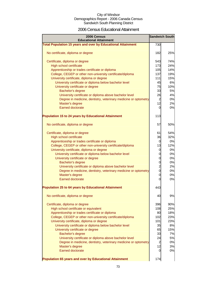### 2006 Census Educational Attainment

| 2006 Census<br><b>Educational Attainment</b>                        |                | <b>Sandwich South</b> |
|---------------------------------------------------------------------|----------------|-----------------------|
| <b>Total Population 15 years and over by Educational Attainment</b> | 730            |                       |
|                                                                     |                |                       |
| No certificate, diploma or degree                                   | 182            | 25%                   |
| Certificate, diploma or degree                                      | 543            | 74%                   |
| High school certificate                                             | 173            | 24%                   |
| Apprenticeship or trades certificate or diploma                     | 105            | 14%                   |
| College, CEGEP or other non-university certificate/diploma          | 137            | 19%                   |
| University certificate, diploma or degree                           | 111            | 15%                   |
| University certificate or diploma below bachelor level              | 45             | 6%                    |
| University certificate or degree                                    | 75             | 10%                   |
| Bachelor's degree                                                   | 33             | 5%                    |
| University certificate or diploma above bachelor level              | 26             | 4%                    |
| Degree in medicine, dentistry, veterinary medicine or optometry     | 2              | 0%                    |
| Master's degree                                                     | 12             | 2%                    |
| <b>Earned doctorate</b>                                             | 0              | 0%                    |
| <b>Population 15 to 24 years by Educational Attainment</b>          | 113            |                       |
| No certificate, diploma or degree                                   | 57             | 50%                   |
| Certificate, diploma or degree                                      | 61             | 54%                   |
| <b>High school certificate</b>                                      | 36             | 32%                   |
| Apprenticeship or trades certificate or diploma                     | 0              | 0%                    |
| College, CEGEP or other non-university certificate/diploma          | 13             | 12%                   |
| University certificate, diploma or degree                           | $\overline{0}$ | 0%                    |
| University certificate or diploma below bachelor level              | $\mathbf 0$    | 0%                    |
| University certificate or degree                                    | $\mathbf 0$    | 0%                    |
| Bachelor's degree                                                   | 0              | 0%                    |
| University certificate or diploma above bachelor level              | $\overline{c}$ | 2%                    |
| Degree in medicine, dentistry, veterinary medicine or optometry     | $\overline{0}$ | 0%                    |
| Master's degree                                                     | $\mathbf 0$    | 0%                    |
| <b>Earned doctorate</b>                                             | $\Omega$       | 0%                    |
| <b>Population 25 to 64 years by Educational Attainment</b>          | 443            |                       |
| No certificate, diploma or degree                                   | 40             | 9%                    |
| Certificate, diploma or degree                                      | 396            | 90%                   |
| High school certificate or equivalent                               | 108            | 25%                   |
| Apprenticeship or trades certificate or diploma                     | 80             | 18%                   |
| College, CEGEP or other non-university certificate/diploma          | 102            | 23%                   |
| University certificate, diploma or degree                           | 101            | 23%                   |
| University certificate or diploma below bachelor level              | 35             | 8%                    |
| University certificate or degree                                    | 65             | 15%                   |
| Bachelor's degree                                                   | 33             | 7%                    |
| University certificate or diploma above bachelor level              | 24             | 5%                    |
| Degree in medicine, dentistry, veterinary medicine or optometry     | $\overline{a}$ | 0%                    |
| Master's degree                                                     | 12             | 3%                    |
| <b>Earned doctorate</b>                                             | $\overline{0}$ | 0%                    |
| Population 65 years and over by Educational Attainment              | 174            |                       |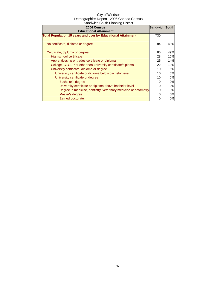| 2006 Census                                                         | <b>Sandwich South</b> |     |
|---------------------------------------------------------------------|-----------------------|-----|
| <b>Educational Attainment</b>                                       |                       |     |
| <b>Total Population 15 years and over by Educational Attainment</b> | 730                   |     |
| No certificate, diploma or degree                                   | 84                    | 48% |
| Certificate, diploma or degree                                      | 85                    | 49% |
| High school certificate                                             | 28                    | 16% |
| Apprenticeship or trades certificate or diploma                     | 25                    | 14% |
| College, CEGEP or other non-university certificate/diploma          | 22                    | 13% |
| University certificate, diploma or degree                           | 10                    | 6%  |
| University certificate or diploma below bachelor level              | 10                    | 6%  |
| University certificate or degree                                    | 10                    | 6%  |
| Bachelor's degree                                                   |                       | 0%  |
| University certificate or diploma above bachelor level              |                       | 0%  |
| Degree in medicine, dentistry, veterinary medicine or optometry     |                       | 0%  |
| Master's degree                                                     |                       | 0%  |
| <b>Earned doctorate</b>                                             |                       | 0%  |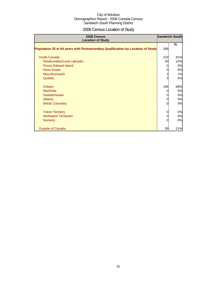# 2006 Census Location of Study

| 2006 Census<br><b>Location of Study</b>                                         |     | <b>Sandwich South</b> |
|---------------------------------------------------------------------------------|-----|-----------------------|
|                                                                                 |     | $\%$                  |
| Population 25 to 64 years with Postsecondary Qualification by Location of Study | 288 |                       |
| <b>Inside Canada</b>                                                            | 233 | 81%                   |
| Newfoundland and Labrador                                                       | 30  | 10%                   |
| <b>Prince Edward Island</b>                                                     | 0   | 0%                    |
| <b>Nova Scotia</b>                                                              | 0   | 0%                    |
| <b>New Brunswick</b>                                                            | 2   | 1%                    |
| Quebec                                                                          | U   | 0%                    |
| Ontario                                                                         | 196 | 68%                   |
| Manitoba                                                                        | 0   | 0%                    |
| Saskatchewan                                                                    | 0   | 0%                    |
| Alberta                                                                         | 0   | 0%                    |
| <b>British Columbia</b>                                                         | 0   | 0%                    |
| <b>Yukon Territory</b>                                                          | 0   | 0%                    |
| <b>Northwest Territories</b>                                                    | 0   | 0%                    |
| <b>Nunavut</b>                                                                  | 0   | 0%                    |
| <b>Outside of Canada</b>                                                        | 59  | 21%                   |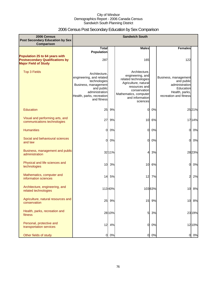# 2006 Census Post Secondary Education by Sex Comparison

| 2006 Census<br><b>Post Secondary Education by Sex</b>                                                   |                                                                                                                                                               |        | <b>Sandwich South</b>                                                                                                                                                      |        |                                                                                                               |        |
|---------------------------------------------------------------------------------------------------------|---------------------------------------------------------------------------------------------------------------------------------------------------------------|--------|----------------------------------------------------------------------------------------------------------------------------------------------------------------------------|--------|---------------------------------------------------------------------------------------------------------------|--------|
| Comparison                                                                                              |                                                                                                                                                               |        |                                                                                                                                                                            |        |                                                                                                               |        |
|                                                                                                         | <b>Total</b><br>Population                                                                                                                                    |        | <b>Males</b>                                                                                                                                                               |        | <b>Females</b>                                                                                                |        |
| Population 25 to 64 years with<br><b>Postsecondary Qualifications by</b><br><b>Major Field of Study</b> | 287                                                                                                                                                           |        | 165                                                                                                                                                                        |        | 122                                                                                                           |        |
| <b>Top 3 Fields</b>                                                                                     | Architecture,<br>engineering, and related<br>technologies<br>Business, management<br>and public<br>administration<br>Health, parks, recreation<br>and fitness |        | Architecture,<br>engineering, and<br>related technologies<br>Agriculture, natural<br>resources and<br>conservation<br>Mathematics, computer<br>and information<br>sciences |        | Business, management<br>and public<br>administration<br>Education<br>Health, parks,<br>recreation and fitness |        |
| <b>Education</b>                                                                                        | 25                                                                                                                                                            | 9%     | <sub>0</sub>                                                                                                                                                               | 0%     |                                                                                                               | 2521%  |
| Visual and performing arts, and<br>communications technologies                                          | 27                                                                                                                                                            | 9%     | 10                                                                                                                                                                         | 6%     |                                                                                                               | 17 14% |
| <b>Humanities</b>                                                                                       | $\overline{0}$                                                                                                                                                | 0%     | $\mathbf{0}$                                                                                                                                                               | 0%     | 0                                                                                                             | 0%     |
| Social and behavioural sciences<br>and law                                                              | 0                                                                                                                                                             | 0%     | $\overline{0}$                                                                                                                                                             | 0%     | 0                                                                                                             | 0%     |
| Business, management and public<br>administration                                                       |                                                                                                                                                               | 32 11% | 4                                                                                                                                                                          | 3%     |                                                                                                               | 2823%  |
| Physical and life sciences and<br>technologies                                                          | 10                                                                                                                                                            | 3%     | 10                                                                                                                                                                         | 6%     | 0                                                                                                             | 0%     |
| Mathematics, computer and<br>information sciences                                                       | 14                                                                                                                                                            | 5%     | 12                                                                                                                                                                         | 7%     | 2                                                                                                             | 2%     |
| Architecture, engineering, and<br>related technologies                                                  |                                                                                                                                                               | 11340% |                                                                                                                                                                            | 10363% | 10                                                                                                            | 8%     |
| Agriculture, natural resources and<br>conservation                                                      | 25                                                                                                                                                            | 9%     | 15                                                                                                                                                                         | 9%     | 10                                                                                                            | 8%     |
| Health, parks, recreation and<br>fitness                                                                |                                                                                                                                                               | 28 10% | $5 \mid$                                                                                                                                                                   | 3%     |                                                                                                               | 23 19% |
| Personal, protective and<br>transportation services                                                     | 12                                                                                                                                                            | 4%     | $\overline{O}$                                                                                                                                                             | 0%     |                                                                                                               | 1210%  |
| Other fields of study                                                                                   | 0                                                                                                                                                             | 0%     | 0l                                                                                                                                                                         | 0%     | 01                                                                                                            | 0%     |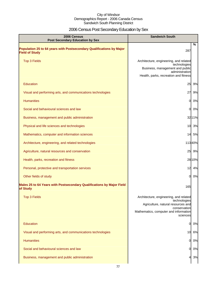# 2006 Census Post Secondary Education by Sex

| 2006 Census<br><b>Sandwich South</b><br><b>Post Secondary Education by Sex</b>                |                                                                                                                                                                   |        |
|-----------------------------------------------------------------------------------------------|-------------------------------------------------------------------------------------------------------------------------------------------------------------------|--------|
| Population 25 to 64 years with Postsecondary Qualifications by Major<br><b>Field of Study</b> | 287                                                                                                                                                               | %      |
| <b>Top 3 Fields</b>                                                                           | Architecture, engineering, and related<br>technologies<br>Business, management and public<br>administration<br>Health, parks, recreation and fitness              |        |
| Education                                                                                     | 25                                                                                                                                                                | 9%     |
| Visual and performing arts, and communications technologies                                   | 27                                                                                                                                                                | 9%     |
| <b>Humanities</b>                                                                             | O                                                                                                                                                                 | 0%     |
| Social and behavioural sciences and law                                                       | 0                                                                                                                                                                 | 0%     |
| Business, management and public administration                                                |                                                                                                                                                                   | 32 11% |
| Physical and life sciences and technologies                                                   |                                                                                                                                                                   | 10 3%  |
| Mathematics, computer and information sciences                                                |                                                                                                                                                                   | 14 5%  |
| Architecture, engineering, and related technologies                                           |                                                                                                                                                                   | 11340% |
| Agriculture, natural resources and conservation                                               |                                                                                                                                                                   | 25 9%  |
| Health, parks, recreation and fitness                                                         |                                                                                                                                                                   | 28 10% |
| Personal, protective and transportation services                                              |                                                                                                                                                                   | 12 4%  |
| Other fields of study                                                                         | <sub>0</sub>                                                                                                                                                      | 0%     |
| Males 25 to 64 Years with Postsecondary Qualifications by Major Field<br>of Study             | 165                                                                                                                                                               |        |
| <b>Top 3 Fields</b>                                                                           | Architecture, engineering, and related<br>technologies<br>Agriculture, natural resources and<br>conservation<br>Mathematics, computer and information<br>sciences |        |
| <b>Education</b>                                                                              | 0                                                                                                                                                                 | 0%     |
| Visual and performing arts, and communications technologies                                   |                                                                                                                                                                   | 10 6%  |
| <b>Humanities</b>                                                                             | 0                                                                                                                                                                 | 0%     |
| Social and behavioural sciences and law                                                       | 0                                                                                                                                                                 | 0%     |
| Business, management and public administration                                                |                                                                                                                                                                   | 3%     |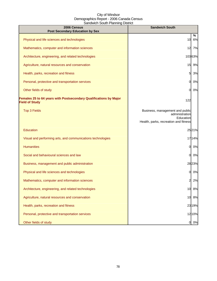| 2006 Census<br><b>Post Secondary Education by Sex</b>                                      | <b>Sandwich South</b>                                                                                   |         |
|--------------------------------------------------------------------------------------------|---------------------------------------------------------------------------------------------------------|---------|
| Physical and life sciences and technologies                                                | 10                                                                                                      | %<br>6% |
| Mathematics, computer and information sciences                                             | 12                                                                                                      | 7%      |
| Architecture, engineering, and related technologies                                        |                                                                                                         | 10363%  |
| Agriculture, natural resources and conservation                                            | 15                                                                                                      | 9%      |
| Health, parks, recreation and fitness                                                      | 5                                                                                                       | 3%      |
| Personal, protective and transportation services                                           | 0                                                                                                       | 0%      |
| Other fields of study                                                                      | O.                                                                                                      | 0%      |
| Females 25 to 64 years with Postsecondary Qualifications by Major<br><b>Field of Study</b> | 122                                                                                                     |         |
| <b>Top 3 Fields</b>                                                                        | Business, management and public<br>administration<br>Education<br>Health, parks, recreation and fitness |         |
| Education                                                                                  |                                                                                                         | 2521%   |
| Visual and performing arts, and communications technologies                                |                                                                                                         | 1714%   |
| <b>Humanities</b>                                                                          | 0                                                                                                       | 0%      |
| Social and behavioural sciences and law                                                    | O.                                                                                                      | 0%      |
| Business, management and public administration                                             |                                                                                                         | 2823%   |
| Physical and life sciences and technologies                                                | 0                                                                                                       | 0%      |
| Mathematics, computer and information sciences                                             | 2                                                                                                       | 2%      |
| Architecture, engineering, and related technologies                                        | 10                                                                                                      | 8%      |
| Agriculture, natural resources and conservation                                            |                                                                                                         | 10 8%   |
| Health, parks, recreation and fitness                                                      |                                                                                                         | 23 19%  |
| Personal, protective and transportation services                                           |                                                                                                         | 1210%   |
| Other fields of study                                                                      | 01                                                                                                      | 0%      |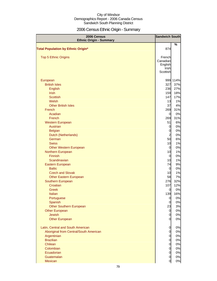# 2006 Census Ethnic Origin - Summary

| 2006 Census                               | <b>Sandwich South</b> |          |
|-------------------------------------------|-----------------------|----------|
| <b>Ethnic Origin - Summary</b>            |                       | %        |
| <b>Total Population by Ethnic Origin*</b> | 874                   |          |
|                                           |                       |          |
| Top 5 Ethnic Origins                      | French                |          |
|                                           | Canadian              |          |
|                                           | English               |          |
|                                           | Irish                 |          |
|                                           | Scottish              |          |
| European                                  |                       | 999 114% |
| <b>British Isles</b>                      | 327                   | 37%      |
| <b>English</b>                            | 236                   | 27%      |
| <b>Irish</b>                              | 159                   | 18%      |
| <b>Scottish</b>                           | 147                   | 17%      |
| Welsh                                     | 13                    | 1%       |
| <b>Other British Isles</b>                | 37                    | 4%       |
| French                                    | 269                   | 31%      |
| Acadian                                   | $\overline{0}$        | 0%       |
| French                                    | 269                   | 31%      |
| <b>Western European</b>                   | 51                    | 6%       |
| <b>Austrian</b>                           | $\overline{0}$        | 0%       |
| <b>Belgian</b>                            | $\mathbf 0$           | 0%       |
| Dutch (Netherlands)                       | $\overline{c}$        | 0%       |
| German                                    | 50                    | 6%       |
| <b>Swiss</b>                              | 10                    | 1%       |
| <b>Other Western European</b>             | $\overline{0}$        | 0%       |
| Northern European                         | 10                    | 1%       |
| <b>Finnish</b>                            | $\overline{0}$        | 0%       |
| Scandinavian                              | 10                    | 1%       |
| Eastern European                          | 74                    | 9%       |
| <b>Baltic</b>                             | $\overline{0}$        | 0%       |
| <b>Czech and Slovak</b>                   | 10                    | 1%       |
| <b>Other Eastern European</b>             | 58                    | 7%       |
| Southern European                         | 276                   | 32%      |
| Croatian                                  | 107                   | 12%      |
| <b>Greek</b>                              | $\overline{0}$        | 0%       |
| Italian                                   | 139                   | 16%      |
| Portuguese                                | $\overline{0}$        | 0%       |
| Spanish                                   | $\overline{0}$        | 0%       |
| <b>Other Southern European</b>            | 23                    | 3%       |
| <b>Other European</b>                     | $\overline{0}$        | 0%       |
| <b>Jewish</b>                             | $\overline{0}$        | 0%       |
| <b>Other European</b>                     | $\overline{0}$        | 0%       |
| Latin, Central and South American         | $\overline{0}$        | 0%       |
| Aboriginal from Central/South American    | $\overline{0}$        | 0%       |
| Argentinian                               | $\overline{0}$        | 0%       |
| <b>Brazilian</b>                          | $\overline{0}$        | 0%       |
| Chilean                                   | $\overline{0}$        | 0%       |
| Colombian                                 | $\overline{0}$        | 0%       |
| Ecuadorian                                | $\overline{0}$        | 0%       |
| Guatemalan                                | $\overline{0}$        | 0%       |
| Mexican                                   | $\overline{0}$        | 0%       |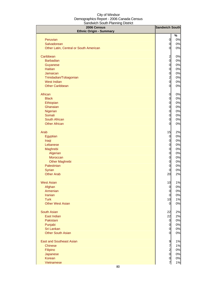| 2006 Census<br><b>Ethnic Origin - Summary</b> | <b>Sandwich South</b> |       |
|-----------------------------------------------|-----------------------|-------|
|                                               |                       | %     |
| Peruvian                                      | $\overline{0}$        | $0\%$ |
| Salvadorean                                   | $\overline{0}$        | 0%    |
| Other Latin, Central or South American        | $\overline{0}$        | 0%    |
| Caribbean                                     | $\overline{a}$        | $0\%$ |
| <b>Barbadian</b>                              | $\overline{0}$        | 0%    |
| Guyanese                                      | $\overline{0}$        | 0%    |
| <b>Haitian</b>                                | $\overline{0}$        | 0%    |
| Jamaican                                      | $\overline{0}$        | 0%    |
| Trinidadian/Tobagonian                        | $\overline{a}$        | 0%    |
| <b>West Indian</b>                            | $\overline{O}$        | 0%    |
| <b>Other Caribbean</b>                        | 0                     | 0%    |
| African                                       | $\mathbf 0$           | 0%    |
| <b>Black</b>                                  | $\mathbf 0$           | 0%    |
| Ethiopian                                     | $\overline{0}$        | 0%    |
| Ghanaian                                      | $\overline{0}$        | 0%    |
| Nigerian                                      | $\overline{0}$        | 0%    |
| Somali                                        | $\overline{0}$        | 0%    |
| South African                                 | $\overline{0}$        | 0%    |
| <b>Other African</b>                          | $\mathbf 0$           | 0%    |
| Arab                                          | 15                    | 2%    |
| Egyptian                                      | $\overline{0}$        | 0%    |
| Iraqi                                         | 0                     | 0%    |
| Lebanese                                      | 0                     | 0%    |
| Maghrebi                                      | 0                     | 0%    |
| Algerian                                      | 0                     | 0%    |
| Moroccan                                      | $\mathbf 0$           | 0%    |
| <b>Other Maghrebi</b>                         | $\mathbf 0$           | 0%    |
| Palestinian                                   | $\mathbf 0$           | 0%    |
| Syrian                                        | $\mathbf 0$           | 0%    |
| <b>Other Arab</b>                             | 20                    | 2%    |
| <b>West Asian</b>                             | 10                    | 1%    |
| Afghan                                        | $\overline{0}$        | 0%    |
| Armenian                                      | $\overline{0}$        | 0%    |
| <b>Iranian</b>                                | $\overline{0}$        | 0%    |
| <b>Turk</b>                                   | 10                    | 1%    |
| <b>Other West Asian</b>                       | $\overline{0}$        | 0%    |
| <b>South Asian</b>                            | 22                    | 2%    |
| East Indian                                   | 22                    | 2%    |
| Pakistani                                     | $\overline{0}$        | 0%    |
| Punjabi                                       | $\overline{0}$        | 0%    |
| Sri Lankan                                    | $\overline{0}$        | 0%    |
| <b>Other South Asian</b>                      | $\overline{0}$        | 0%    |
| <b>East and Southeast Asian</b>               | $\overline{9}$        | 1%    |
| <b>Chinese</b>                                | $\overline{7}$        | 1%    |
| Filipino                                      | $\overline{a}$        | 0%    |
| Japanese                                      | $\overline{0}$        | 0%    |
| Korean                                        | $\overline{0}$        | 0%    |
| Vietnamese                                    | 7                     | 1%    |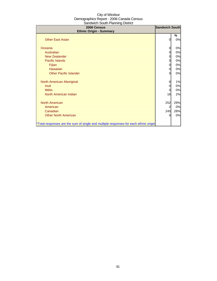| 2006 Census<br><b>Ethnic Origin - Summary</b>                                        | <b>Sandwich South</b> |         |
|--------------------------------------------------------------------------------------|-----------------------|---------|
| <b>Other East Asian</b>                                                              | 0                     | %<br>0% |
| Oceania                                                                              | 0                     | 0%      |
| Australian                                                                           | 0                     | 0%      |
| New Zealander                                                                        | 0                     | 0%      |
| Pacific Islands                                                                      | 0                     | 0%      |
| Fijian                                                                               | 0                     | 0%      |
| Hawaiian                                                                             | 0                     | 0%      |
| <b>Other Pacific Islander</b>                                                        | $\Omega$              | 0%      |
| North American Aboriginal                                                            | 6                     | 1%      |
| <b>Inuit</b>                                                                         | 0                     | 0%      |
| <b>Métis</b>                                                                         | 0                     | 0%      |
| North American Indian                                                                | 16                    | 2%      |
| <b>North American</b>                                                                | 252                   | 29%     |
| American                                                                             | 2                     | 0%      |
| Canadian                                                                             | 245                   | 28%     |
| <b>Other North American</b>                                                          | ი                     | 0%      |
| *Total responses are the sum of single and multiple responses for each ethnic origin |                       |         |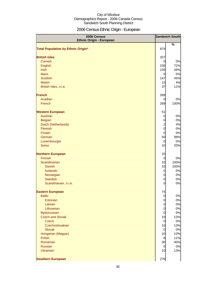# 2006 Census Ethnic Origin - European

| 2006 Census<br><b>Ethnic Origin - European</b> |                                  | <b>Sandwich South</b> |
|------------------------------------------------|----------------------------------|-----------------------|
|                                                |                                  | %                     |
| <b>Total Population by Ethnic Origin*</b>      | 874                              |                       |
| <b>British Isles</b>                           | 327                              |                       |
| Cornish                                        | $\overline{0}$                   | 0%                    |
| English                                        | 236                              | 72%                   |
| <b>Irish</b>                                   | 159                              | 49%                   |
| <b>Manx</b>                                    | $\overline{0}$                   | 0%                    |
| <b>Scottish</b>                                | 147                              | 45%                   |
| Welsh                                          | 13                               | 4%                    |
| British Isles, n.i.e.                          | 37                               | 11%                   |
| <b>French</b>                                  | 269                              |                       |
| Acadian                                        | 0                                | 0%                    |
| French                                         | 269                              | 100%                  |
| <b>Western European</b>                        | 51                               |                       |
| <b>Austrian</b>                                | $\overline{0}$                   | 0%                    |
| <b>Belgian</b>                                 | $\mathbf 0$                      | 0%                    |
| Dutch (Netherlands)                            | $\frac{2}{0}$                    | 4%                    |
| Flemish                                        |                                  | 0%                    |
| <b>Frisian</b>                                 | $\overline{O}$                   | 0%                    |
| German                                         | 50                               | 98%                   |
| Luxembourger                                   | $\overline{0}$                   | 0%                    |
| <b>Swiss</b>                                   | 10                               | 20%                   |
| <b>Northern European</b>                       | 10                               |                       |
| <b>Finnish</b>                                 | $\overline{0}$                   | 0%                    |
| Scandinavian                                   | 10                               | 100%                  |
| <b>Danish</b>                                  | 10                               | 100%                  |
| Icelandic                                      | 0                                | 0%                    |
| Norwegian<br>Swedish                           | $\mathbf 0$<br>$\mathbf 0$       | 0%<br>0%              |
| Scandinavian, n.i.e.                           | $\overline{0}$                   | 0%                    |
|                                                |                                  |                       |
| <b>Eastern European</b>                        | 74                               |                       |
| <b>Baltic</b>                                  | $\overline{0}$                   | $0\%$                 |
| Estonian                                       | $\overline{0}$                   | 0%                    |
| Latvian                                        | $\mathbf 0$                      | 0%                    |
| Lithuanian<br><b>Byelorussian</b>              | $\overline{O}$<br>$\overline{O}$ | 0%<br>0%              |
| <b>Czech and Slovak</b>                        | 10                               | 13%                   |
| <b>Czech</b>                                   | $\overline{0}$                   | $0\%$                 |
| Czechoslovakian                                | 10                               | 13%                   |
| <b>Slovak</b>                                  | $\overline{0}$                   | $0\%$                 |
| Hungarian (Magyar)                             | 10                               | 13%                   |
| Polish                                         | 8                                | 11%                   |
| Romanian                                       | 30                               | 40%                   |
| Russian                                        | $\overline{0}$                   | 0%                    |
| <b>Ukrainian</b>                               | 10                               | 13%                   |
| <b>Southern European</b>                       | 276                              |                       |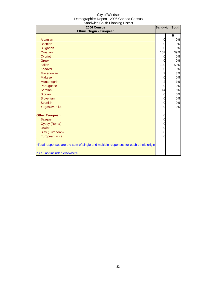| .<br>2006 Census<br><b>Ethnic Origin - European</b>                                  |                | <b>Sandwich South</b> |
|--------------------------------------------------------------------------------------|----------------|-----------------------|
|                                                                                      |                | %                     |
| Albanian                                                                             | 0              | 0%                    |
| <b>Bosnian</b>                                                                       | 0              | 0%                    |
| <b>Bulgarian</b>                                                                     | $\Omega$       | 0%                    |
| Croatian                                                                             | 107            | 39%                   |
| Cypriot                                                                              | 0              | 0%                    |
| <b>Greek</b>                                                                         | $\Omega$       | 0%                    |
| Italian                                                                              | 139            | 50%                   |
| Kosovar                                                                              | 0              | 0%                    |
| Macedonian                                                                           | 7              | 3%                    |
| <b>Maltese</b>                                                                       | $\mathbf 0$    | 0%                    |
| Montenegrin                                                                          | $\overline{a}$ | 1%                    |
| Portuguese                                                                           | $\mathbf 0$    | 0%                    |
| <b>Serbian</b>                                                                       | 14             | 5%                    |
| <b>Sicilian</b>                                                                      | $\mathbf 0$    | 0%                    |
| Slovenian                                                                            | $\mathbf 0$    | 0%                    |
| Spanish                                                                              | $\mathbf 0$    | 0%                    |
| Yugoslav, n.i.e.                                                                     | $\overline{0}$ | 0%                    |
| <b>Other European</b>                                                                | $\mathbf 0$    |                       |
| <b>Basque</b>                                                                        | $\mathbf 0$    |                       |
| Gypsy (Roma)                                                                         | $\mathbf{0}$   |                       |
| <b>Jewish</b>                                                                        | $\mathbf 0$    |                       |
| Slav (European)                                                                      | $\mathbf 0$    |                       |
| European, n.i.e.                                                                     | $\overline{0}$ |                       |
| *Total responses are the sum of single and multiple responses for each ethnic origin |                |                       |
| n.i.e.: not included elsewhere                                                       |                |                       |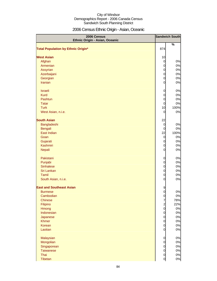# 2006 Census Ethnic Origin - Asian, Oceanic

| 2006 Census<br>Ethnic Origin - Asian, Oceanic |                | <b>Sandwich South</b> |
|-----------------------------------------------|----------------|-----------------------|
| <b>Total Population by Ethnic Origin*</b>     | 874            | %                     |
|                                               |                |                       |
| <b>West Asian</b>                             | 10             |                       |
| Afghan                                        | $\overline{0}$ | 0%                    |
| Armenian                                      | $\overline{0}$ | 0%                    |
| <b>Assyrian</b>                               | $\overline{0}$ | 0%                    |
| Azerbaijani                                   | $\overline{0}$ | 0%                    |
| Georgian                                      | $\overline{0}$ | 0%                    |
| Iranian                                       | $\overline{0}$ | 0%                    |
| <b>Israeli</b>                                | $\mathbf 0$    | 0%                    |
| <b>Kurd</b>                                   | $\mathbf 0$    | 0%                    |
| Pashtun                                       | $\mathbf 0$    | 0%                    |
| <b>Tatar</b>                                  | $\overline{0}$ | 0%                    |
| <b>Turk</b>                                   | 10             | 100%                  |
| West Asian, n.i.e.                            | $\overline{0}$ | 0%                    |
| <b>South Asian</b>                            | 22             |                       |
| Bangladeshi                                   | $\overline{O}$ | 0%                    |
| Bengali                                       | $\overline{0}$ | 0%                    |
| East Indian                                   | 22             | 100%                  |
| Goan                                          | $\overline{0}$ | 0%                    |
| Gujarati                                      | $\overline{0}$ | 0%                    |
| Kashmiri                                      | $\mathbf 0$    | 0%                    |
| <b>Nepali</b>                                 | $\overline{O}$ | 0%                    |
| Pakistani                                     | $\overline{0}$ | 0%                    |
| Punjabi                                       | $\mathbf 0$    | 0%                    |
| <b>Sinhalese</b>                              | $\overline{0}$ | 0%                    |
| Sri Lankan                                    | $\overline{0}$ | 0%                    |
| Tamil                                         | $\overline{0}$ | 0%                    |
| South Asian, n.i.e.                           | $\mathbf 0$    | 0%                    |
| <b>East and Southeast Asian</b>               | 9              |                       |
| <b>Burmese</b>                                | $\mathsf{d}$   | 0%                    |
| Cambodian                                     | $\overline{0}$ | 0%                    |
| <b>Chinese</b>                                | $\overline{7}$ | 78%                   |
| Filipino                                      | $\frac{2}{0}$  | 22%                   |
| Hmong                                         |                | 0%                    |
| Indonesian                                    | $\overline{0}$ | 0%                    |
| Japanese                                      | $\overline{0}$ | 0%                    |
| <b>Khmer</b>                                  | $\overline{0}$ | 0%                    |
| Korean                                        | $\overline{0}$ | 0%                    |
| Laotian                                       | $\overline{0}$ | 0%                    |
| Malaysian                                     | $\overline{O}$ | 0%                    |
| Mongolian                                     | $\overline{0}$ | 0%                    |
| Singaporean                                   | $\overline{0}$ | 0%                    |
| <b>Taiwanese</b>                              | $\overline{0}$ | 0%                    |
| Thai                                          | $\overline{0}$ | $0\%$                 |
| Tibetan                                       | $\overline{0}$ | 0%                    |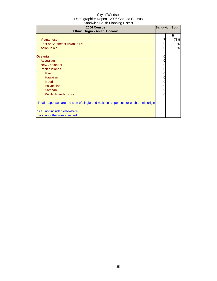| 2006 Census<br>Ethnic Origin - Asian, Oceanic                                                                                                                                                                                              |                                                               |                                               |
|--------------------------------------------------------------------------------------------------------------------------------------------------------------------------------------------------------------------------------------------|---------------------------------------------------------------|-----------------------------------------------|
| <b>Vietnamese</b><br>East or Southeast Asian, n.i.e.<br>Asian, n.o.s.<br><b>Oceania</b><br>Australian<br><b>New Zealander</b><br><b>Pacific Islands</b><br>Fijian<br>Hawaiian<br>Maori<br>Polynesian<br>Samoan<br>Pacific Islander, n.i.e. | 7<br>0<br>0<br>0<br>0<br>0<br>0<br>0<br>0<br>0<br>0<br>0<br>0 | <b>Sandwich South</b><br>%<br>78%<br>0%<br>0% |
| *Total responses are the sum of single and multiple responses for each ethnic origin<br>n.i.e.: not included elsewhere<br>n.o.s: not otherwise specfied                                                                                    |                                                               |                                               |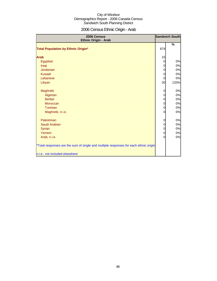# 2006 Census Ethnic Origin - Arab

| 2006 Census<br>Ethnic Origin - Arab                                                  |                | <b>Sandwich South</b> |
|--------------------------------------------------------------------------------------|----------------|-----------------------|
| <b>Total Population by Ethnic Origin*</b>                                            | 874            | %                     |
|                                                                                      |                |                       |
| <b>Arab</b>                                                                          | 15             |                       |
| Egyptian                                                                             | $\overline{0}$ | 0%                    |
| Iraqi                                                                                | $\overline{0}$ | 0%                    |
| Jordanian                                                                            | $\overline{0}$ | 0%                    |
| Kuwaiti                                                                              | 0              | 0%                    |
| Lebanese                                                                             | $\overline{0}$ | 0%                    |
| Libyan                                                                               | 20             | 133%                  |
| Maghrebi                                                                             | 0              | 0%                    |
| Algerian                                                                             | $\overline{0}$ | 0%                    |
| <b>Berber</b>                                                                        | $\overline{0}$ | 0%                    |
| Moroccan                                                                             | $\overline{0}$ | 0%                    |
| Tunisian                                                                             | $\overline{0}$ | 0%                    |
| Maghrebi, n.i.e.                                                                     | 0              | 0%                    |
| Palestinian                                                                          | $\mathbf 0$    | 0%                    |
| Saudi Arabian                                                                        | $\mathbf 0$    | 0%                    |
| <b>Syrian</b>                                                                        | $\overline{0}$ | 0%                    |
| Yemeni                                                                               | $\overline{0}$ | 0%                    |
| Arab, n.i.e.                                                                         | $\overline{0}$ | 0%                    |
| *Total responses are the sum of single and multiple responses for each ethnic origin |                |                       |
| n.i.e.: not included elsewhere                                                       |                |                       |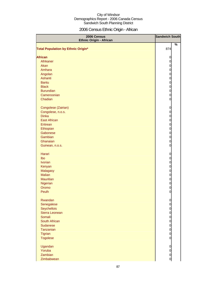# 2006 Census Ethnic Origin - African

| 2006 Census<br><b>Ethnic Origin - African</b> | <b>Sandwich South</b>            |
|-----------------------------------------------|----------------------------------|
| <b>Total Population by Ethnic Origin*</b>     | $\%$<br>874                      |
| <b>African</b>                                |                                  |
| Afrikaner                                     | $\overline{0}$<br>$\mathbf 0$    |
| Akan                                          | $\mathbf 0$                      |
| Amhara                                        | $\mathbf 0$                      |
| Angolan                                       | $\mathbf 0$                      |
| Ashanti                                       | $\mathbf 0$                      |
| <b>Bantu</b>                                  | $\mathbf 0$                      |
| <b>Black</b>                                  | $\mathbf 0$                      |
| <b>Burundian</b>                              | $\mathbf 0$                      |
| Cameroonian                                   | $\mathbf 0$                      |
| Chadian                                       | $\mathbf 0$                      |
|                                               |                                  |
| Congolese (Zairian)                           | $\overline{0}$                   |
| Congolese, n.o.s.                             | $\overline{0}$                   |
| <b>Dinka</b>                                  | $\mathbf 0$                      |
| <b>East African</b>                           | $\mathbf{0}$                     |
| Eritrean                                      | $\mathbf{0}$                     |
| Ethiopian                                     | $\mathbf{0}$                     |
| Gabonese                                      | $\overline{0}$                   |
| Gambian                                       | $\overline{0}$                   |
| Ghanaian                                      | $\overline{0}$                   |
| Guinean, n.o.s.                               | $\mathbf 0$                      |
| <b>Harari</b>                                 | $\overline{0}$                   |
| Ibo                                           | $\mathbf 0$                      |
| <b>Ivorian</b>                                | $\mathbf 0$                      |
| Kenyan                                        | $\mathbf 0$                      |
| Malagasy                                      | $\overline{0}$                   |
| <b>Malian</b>                                 | $\mathbf 0$                      |
| <b>Mauritian</b>                              | $\mathbf 0$                      |
| Nigerian                                      | $\mathbf 0$                      |
| Oromo                                         | $\overline{O}$                   |
| Peulh                                         | $\overline{0}$                   |
| Rwandan                                       | $\overline{0}$                   |
| Senegalese                                    | $\mathbf 0$                      |
| Seychellois                                   | $\overline{0}$                   |
| Sierra Leonean                                |                                  |
| Somali                                        | $\begin{matrix}0\\0\end{matrix}$ |
| South African                                 |                                  |
| Sudanese                                      | $\begin{matrix}0\\0\end{matrix}$ |
| Tanzanian                                     | $\overline{0}$                   |
| <b>Tigrian</b>                                | $\overline{0}$                   |
| <b>Togolese</b>                               | $\overline{O}$                   |
| Ugandan                                       | $\overline{0}$                   |
| Yoruba                                        | $\mathbf 0$                      |
| Zambian                                       | $\mathbf 0$                      |
| Zimbabwean                                    | 0                                |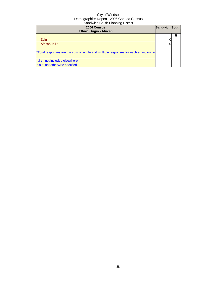| 2006 Census<br><b>Ethnic Origin - African</b>                                        | <b>Sandwich South</b> |   |
|--------------------------------------------------------------------------------------|-----------------------|---|
| Zulu<br>African, n.i.e.                                                              |                       | % |
| *Total responses are the sum of single and multiple responses for each ethnic origin |                       |   |
| n.i.e.: not included elsewhere<br>n.o.s: not otherwise specfied                      |                       |   |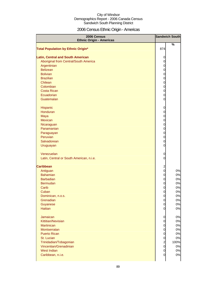# 2006 Census Ethnic Origin - Americas

| 2006 Census<br><b>Ethnic Origin - Americas</b> |                | <b>Sandwich South</b> |
|------------------------------------------------|----------------|-----------------------|
| <b>Total Population by Ethnic Origin*</b>      | 874            | %                     |
|                                                |                |                       |
| <b>Latin, Central and South American</b>       | 0              |                       |
| Aboriginal from Central/South America          | 0              |                       |
| Argentinian                                    | $\mathbf 0$    |                       |
| <b>Belizean</b>                                | 0              |                       |
| <b>Bolivian</b>                                | 0              |                       |
| <b>Brazilian</b>                               | 0              |                       |
| Chilean                                        | 0              |                       |
| Colombian                                      | 0              |                       |
| <b>Costa Rican</b>                             | 0              |                       |
| Ecuadorian                                     | 0              |                       |
| Guatemalan                                     | 0              |                       |
|                                                |                |                       |
| Hispanic                                       | 0              |                       |
| Honduran                                       | 0              |                       |
| Maya                                           | 0              |                       |
| Mexican                                        | 0              |                       |
| Nicaraguan                                     | 0              |                       |
| Panamanian                                     | 0              |                       |
| Paraguayan                                     | 0              |                       |
| Peruvian                                       | 0              |                       |
| Salvadorean                                    | 0              |                       |
| Uruguayan                                      | 0              |                       |
|                                                |                |                       |
| Venezuelan                                     | 0              |                       |
| Latin, Central or South American, n.i.e.       | 0              |                       |
| <b>Caribbean</b>                               | 2              |                       |
| Antiguan                                       | 0              | 0%                    |
| <b>Bahamian</b>                                | 0              | 0%                    |
| <b>Barbadian</b>                               | 0              | 0%                    |
| <b>Bermudan</b>                                | 0              | 0%                    |
| Carib                                          | 0              | 0%                    |
| Cuban                                          | 0              | 0%                    |
| Dominican, n.o.s.                              | $\overline{0}$ | 0%                    |
| Grenadian                                      | 0              | 0%                    |
| Guyanese                                       | 0              | 0%                    |
| Haitian                                        | 0              | 0%                    |
|                                                |                |                       |
| Jamaican                                       | 0              | 0%                    |
| Kittitian/Nevisian                             | 0              | 0%                    |
| <b>Martinican</b>                              | 0              | 0%                    |
| Montserratan                                   | 0              | 0%                    |
| <b>Puerto Rican</b>                            | 0              | 0%                    |
| St. Lucian                                     | 0              | 0%                    |
| Trinidadian/Tobagonian                         | $\overline{a}$ | 100%                  |
| Vincentian/Grenadinian                         | 0              | 0%                    |
| West Indian                                    | 0              | 0%                    |
| Caribbean, n.i.e.                              | 0              | 0%                    |
|                                                |                |                       |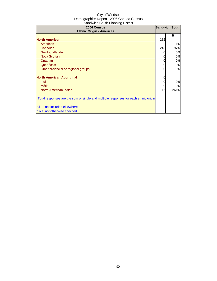| 2006 Census<br><b>Ethnic Origin - Americas</b>                                       |     | <b>Sandwich South</b> |
|--------------------------------------------------------------------------------------|-----|-----------------------|
|                                                                                      |     | %                     |
| <b>North American</b>                                                                | 252 |                       |
| American                                                                             |     | 1%                    |
| Canadian                                                                             | 245 | 97%                   |
| <b>Newfoundlander</b>                                                                | 0   | 0%                    |
| Nova Scotian                                                                         | 0   | 0%                    |
| <b>Ontarian</b>                                                                      | 0   | 0%                    |
| Québécois                                                                            | 0   | 0%                    |
| Other provincial or regional groups                                                  | 0   | 0%                    |
| <b>North American Aboriginal</b>                                                     | 6   |                       |
| <b>Inuit</b>                                                                         | 0   | 0%                    |
| <b>Métis</b>                                                                         | 0   | 0%                    |
| North American Indian                                                                | 16  | 261%                  |
| *Total responses are the sum of single and multiple responses for each ethnic origin |     |                       |
| n.i.e.: not included elsewhere                                                       |     |                       |
| n.o.s: not otherwise specfied                                                        |     |                       |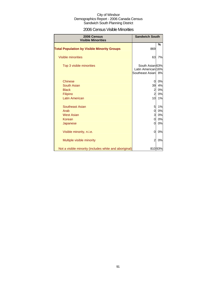### 2006 Census Visible Minorities

| 2006 Census<br><b>Visible Minorities</b>               | <b>Sandwich South</b>                                    |               |
|--------------------------------------------------------|----------------------------------------------------------|---------------|
| <b>Total Population by Visible Minority Groups</b>     | 869                                                      | $\frac{9}{6}$ |
| <b>Visible minorities</b>                              | 63                                                       | 7%            |
| Top 3 visible minorities                               | South Asian 63%<br>Latin American 16%<br>Southeast Asian | 8%            |
| <b>Chinese</b>                                         | 0                                                        | 0%            |
| South Asian                                            | 39                                                       | 4%            |
| <b>Black</b>                                           | $\overline{a}$                                           | 0%            |
| Filipino                                               | $\overline{a}$                                           | 0%            |
| <b>Latin American</b>                                  | 10                                                       | 1%            |
| Southeast Asian                                        | 5                                                        | 1%            |
| Arab                                                   | 0                                                        | 0%            |
| <b>West Asian</b>                                      | 3                                                        | 0%            |
| Korean                                                 | 0                                                        | 0%            |
| Japanese                                               | 0                                                        | 0%            |
| Visible minority, n.i.e.                               | 0                                                        | 0%            |
| Multiple visible minority                              | $\overline{2}$                                           | 0%            |
| Not a visible minority (includes white and aboriginal) |                                                          | 81093%        |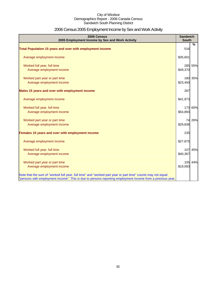# 2006 Census 2005 Employment Income by Sex and Work Activity

| 2006 Census<br>2005 Employment Income by Sex and Work Activity                                                                                                                                                            | <b>Sandwich</b><br><b>South</b> |         |
|---------------------------------------------------------------------------------------------------------------------------------------------------------------------------------------------------------------------------|---------------------------------|---------|
|                                                                                                                                                                                                                           |                                 | %       |
| Total Population 15 years and over with employment income                                                                                                                                                                 | 516                             |         |
| Average employment income                                                                                                                                                                                                 | \$35,601                        |         |
| Worked full year, full time                                                                                                                                                                                               |                                 | 285 55% |
| Average employment income                                                                                                                                                                                                 | \$49,370                        |         |
| Worked part year or part time                                                                                                                                                                                             |                                 | 180 35% |
| Average employment income                                                                                                                                                                                                 | \$23,450                        |         |
| Males 15 years and over with employment income                                                                                                                                                                            | 287                             |         |
| Average employment income                                                                                                                                                                                                 | \$41,973                        |         |
| Worked full year, full time                                                                                                                                                                                               |                                 | 173 60% |
| Average employment income                                                                                                                                                                                                 | \$54,893                        |         |
| Worked part year or part time                                                                                                                                                                                             | 74                              | 26%     |
| Average employment income                                                                                                                                                                                                 | \$29,836                        |         |
| Females 15 years and over with employment income                                                                                                                                                                          | 235                             |         |
| Average employment income                                                                                                                                                                                                 | \$27,875                        |         |
| Worked full year, full time                                                                                                                                                                                               | 107                             | 45%     |
| Average employment income                                                                                                                                                                                                 | \$40,367                        |         |
| Worked part year or part time                                                                                                                                                                                             |                                 | 105 44% |
| Average employment income                                                                                                                                                                                                 | \$19,093                        |         |
| Note that the sum of "worked full year, full time" and "worked part year or part time" counts may not equal<br>"persons with employment income". This is due to persons reporting employment income from a previous year. |                                 |         |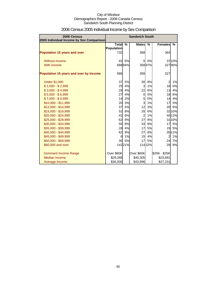| 2006 Census<br>2005 Individual Income by Sex Comparison |                          | <b>Sandwich South</b> |                |               |                         |        |
|---------------------------------------------------------|--------------------------|-----------------------|----------------|---------------|-------------------------|--------|
|                                                         | Total                    | $\frac{0}{0}$         | <b>Males</b>   | $\frac{9}{6}$ | <b>Females</b>          | $\%$   |
| <b>Population 15 years and over</b>                     | <b>Population</b><br>732 |                       | 368            |               | 364                     |        |
|                                                         |                          |                       |                |               |                         |        |
| Without income                                          | 42                       | 6%                    | $\overline{O}$ | 0%            |                         | 3710%  |
| With income                                             |                          | 68894%                |                | 35897%        |                         | 32790% |
| Population 15 years and over by Income                  | 688                      |                       | 358            |               | 327                     |        |
| <b>Under \$1,000</b>                                    | 37                       | 5%                    | 30             | 8%            | $\overline{\mathbf{c}}$ | 1%     |
| $$1,000 - $2,999$                                       | 25                       | 4%                    | 3              | 1%            | 18                      | 6%     |
| $$3,000 - $4,999$                                       | 29                       | 4%                    | 22             | 6%            | 13                      | 4%     |
| $$5,000 - $6,999$                                       | 27                       | 4%                    | $\mathbf 0$    | 0%            | 18                      | 6%     |
| $$7,000 - $9,999$                                       | 14                       | 2%                    | $\mathbf 0$    | 0%            | 14                      | 4%     |
| $$10,000 - $11,999$                                     | 20                       | 3%                    | 3              | 1%            | 17                      | 5%     |
| \$12,000 - \$14,999                                     | 37                       | <b>5%</b>             | 12             | 3%            | 20                      | 6%     |
| \$15,000 - \$19,999                                     | 52                       | 8%                    | 20             | 6%            |                         | 32 10% |
| $$20,000 - $24,999$                                     | 42                       | 6%                    | $\overline{c}$ | 1%            |                         | 40 12% |
| \$25,000 - \$29,999                                     | 62                       | 9%                    | 27             | 8%            |                         | 31 10% |
| \$30,000 - \$34,999                                     | 55                       | <b>8%</b>             | 33             | 9%            | 17                      | 5%     |
| \$35,000 - \$39,999                                     | 28                       | 4%                    | 17             | 5%            | 15                      | 5%     |
| \$40,000 - \$44,999                                     | 62                       | 9%                    | 27             | 8%            |                         | 3511%  |
| \$45,000 - \$49,999                                     | 6                        | 1%                    | 15             | 4%            | $\overline{a}$          | 1%     |
| \$50,000 - \$59,999                                     | 35                       | 5%                    | 17             | 5%            | 24                      | 7%     |
| \$60,000 and over                                       |                          | 14221%                |                | 11432%        | 29                      | 9%     |
| Dominant Income Range                                   | Over \$60K               |                       | Over \$60K     |               | \$20K - \$25K           |        |
| <b>Median Income</b>                                    | \$29,288                 |                       | \$40,305       |               | \$23,691                |        |
| Average Income                                          | \$36,006                 |                       | \$43,996       |               | \$27,231                |        |

# 2006 Census 2005 Individual Income by Sex Comparison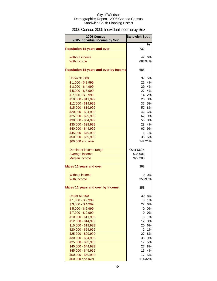# 2006 Census 2005 Individual Income by Sex

| 2006 Census<br>2005 Individual Income by Sex | <b>Sandwich South</b> |          |
|----------------------------------------------|-----------------------|----------|
|                                              |                       | ℅        |
| <b>Population 15 years and over</b>          | 732                   |          |
| Without income                               | 42                    | 6%       |
| With income                                  |                       | 68894%   |
|                                              |                       |          |
| Population 15 years and over by Income       | 688                   |          |
| <b>Under \$1,000</b>                         | 37                    | 5%       |
| $$1,000 - $2,999$                            | 25                    | 4%       |
| $$3,000 - $4,999$                            | 29                    | 4%       |
| $$5,000 - $6,999$                            | 27                    | 4%       |
| $$7,000 - $9,999$                            | 14                    | 2%       |
| \$10,000 - \$11,999                          | 20                    | 3%       |
| \$12,000 - \$14,999                          | 37                    | 5%       |
| \$15,000 - \$19,999                          | 52                    | 8%       |
| \$20,000 - \$24,999                          | 42                    | 6%       |
| \$25,000 - \$29,999                          | 62                    | 9%       |
| \$30,000 - \$34,999                          | 55                    | 8%       |
| \$35,000 - \$39,999                          | 28                    | 4%       |
| \$40,000 - \$44,999<br>\$45,000 - \$49,999   | 62<br>6               | 9%<br>1% |
| \$50,000 - \$59,999                          | 35                    | 5%       |
| \$60,000 and over                            |                       | 14221%   |
|                                              |                       |          |
| Dominant income range                        | Over \$60K            |          |
| Average income                               | \$36,006              |          |
| <b>Median income</b>                         | \$29,288              |          |
| <b>Males 15 years and over</b>               | 368                   |          |
| Without income                               | 0                     | 0%       |
| With income                                  |                       | 35897%   |
|                                              |                       |          |
| <b>Males 15 years and over by Income</b>     | 358                   |          |
| <b>Under \$1,000</b>                         | 30                    | 8%       |
| $$1,000 - $2,999$                            | 3                     | 1%       |
| $$3,000 - $4,999$                            | 22                    | 6%       |
| $$5,000 - $6,999$                            | 0                     | 0%       |
| $$7,000 - $9,999$                            | 0                     | 0%       |
| \$10,000 - \$11,999                          | 3                     | 1%       |
| \$12,000 - \$14,999                          | 12                    | 3%       |
| \$15,000 - \$19,999                          | 20                    | 6%       |
| \$20,000 - \$24,999                          | $\overline{c}$        | 1%       |
| \$25,000 - \$29,999                          | 27                    | 8%       |
| \$30,000 - \$34,999                          | 33                    | 9%       |
| \$35,000 - \$39,999                          | 17<br>27              | 5%<br>8% |
| \$40,000 - \$44,999<br>\$45,000 - \$49,999   | 15                    | 4%       |
| \$50,000 - \$59,999                          | 17                    | 5%       |
| \$60,000 and over                            |                       | 11432%   |
|                                              |                       |          |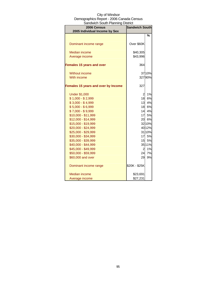| 2006 Census<br>2005 Individual Income by Sex | <b>Sandwich South</b> |                  |
|----------------------------------------------|-----------------------|------------------|
|                                              |                       | %                |
|                                              |                       |                  |
| Dominant income range                        | Over \$60K            |                  |
| <b>Median income</b>                         | \$40,305              |                  |
| Average income                               | \$43,996              |                  |
| <b>Females 15 years and over</b>             | 364                   |                  |
| Without income                               |                       | 37 10%           |
| With income                                  |                       | 32790%           |
|                                              |                       |                  |
| <b>Females 15 years and over by Income</b>   | 327                   |                  |
|                                              |                       |                  |
| <b>Under \$1,000</b>                         | $\overline{2}$        | 1%               |
| $$1,000 - $2,999$                            | 18                    | 6%               |
| $$3,000 - $4,999$                            | 13                    | 4%               |
| $$5,000 - $6,999$                            | 18                    | 6%               |
| $$7,000 - $9,999$                            | 14                    | 4%               |
| \$10,000 - \$11,999                          |                       | 17 5%            |
| $$12,000 - $14,999$                          | 20                    | 6%               |
| \$15,000 - \$19,999                          |                       | 32 10%           |
| \$20,000 - \$24,999<br>\$25,000 - \$29,999   |                       | 40 12%<br>31 10% |
| \$30,000 - \$34,999                          | 17                    | 5%               |
| \$35,000 - \$39,999                          | 15                    | 5%               |
| \$40,000 - \$44,999                          |                       | 35 11%           |
| \$45,000 - \$49,999                          | $\overline{2}$        | 1%               |
| \$50,000 - \$59,999                          | 24                    | 7%               |
| \$60,000 and over                            | 29                    | 9%               |
|                                              |                       |                  |
| Dominant income range                        | \$20K - \$25K         |                  |
| Median income                                | \$23,691              |                  |
| Average income                               | \$27,231              |                  |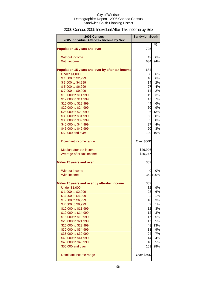# 2006 Census 2005 Individual After-Tax Income by Sex

| 2006 Census<br>2005 Individual After-Tax Income by Sex | <b>Sandwich South</b> |           |
|--------------------------------------------------------|-----------------------|-----------|
|                                                        |                       | $\%$      |
| <b>Population 15 years and over</b>                    | 725                   |           |
| Without income                                         | 42                    | 6%        |
| With income                                            | 684                   | 94%       |
|                                                        |                       |           |
| Population 15 years and over by after-tax income       | 684                   |           |
| <b>Under \$1,000</b>                                   | 38                    | 6%        |
| \$1,000 to \$2,999                                     | 40                    | 6%        |
| \$3,000 to \$4,999                                     | 14<br>27              | 2%        |
| \$5,000 to \$6,999<br>\$7,000 to \$9,999               | 14                    | 4%<br>2%  |
| \$10,000 to \$11,999                                   | 19                    | 3%        |
| \$12,000 to \$14,999                                   | 47                    | 7%        |
| \$15,000 to \$19,999                                   | 44                    | 6%        |
| \$20,000 to \$24,999                                   | 60                    | 9%        |
| \$25,000 to \$29,999                                   | 86                    | 13%       |
| \$30,000 to \$34,999                                   | 55                    | 8%        |
| \$35,000 to \$39,999                                   | 53                    | 8%        |
| \$40,000 to \$44,999<br>\$45,000 to \$49,999           | 27<br>20              | 4%<br>3%  |
| \$50,000 and over                                      | 129                   | 19%       |
|                                                        |                       |           |
| Dominant income range                                  | Over \$50K            |           |
| Median after-tax income                                | \$26,926              |           |
| Average after-tax income                               | \$30,247              |           |
| <b>Males 15 years and over</b>                         | 362                   |           |
| Without income                                         | 0                     | 0%        |
| With income                                            |                       | 362 100%  |
|                                                        |                       |           |
| Males 15 years and over by after-tax income            | 362                   |           |
| <b>Under \$1,000</b><br>\$1,000 to \$2,999             | 32<br>23              | 9%<br>6%  |
| \$3,000 to \$4,999                                     | $\overline{a}$        | 1%        |
| \$5,000 to \$6,999                                     | 10                    | 3%        |
| \$7,000 to \$9,999                                     | $\overline{2}$        | 1%        |
| \$10,000 to \$11,999                                   | 12                    | 3%        |
| \$12,000 to \$14,999                                   | 12                    | 3%        |
| \$15,000 to \$19,999                                   | 17                    | 5%        |
| \$20,000 to \$24,999                                   | 17                    | 5%        |
| \$25,000 to \$29,999<br>\$30,000 to \$34,999           | 48<br>33              | 13%<br>9% |
| \$35,000 to \$39,999                                   | 24                    | 7%        |
| \$40,000 to \$44,999                                   | 14                    | 4%        |
| \$45,000 to \$49,999                                   | 18                    | 5%        |
| \$50,000 and over                                      | 101                   | 28%       |
| Dominant income range                                  | Over \$50K            |           |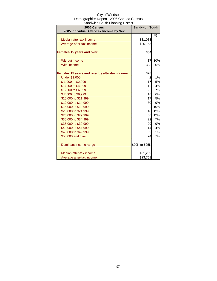| City of Windsor                          |
|------------------------------------------|
| Demographics Report - 2006 Canada Census |
| Sandwich South Planning District         |

| 2006 Census<br>2005 Individual After-Tax Income by Sex | <b>Sandwich South</b> |           |
|--------------------------------------------------------|-----------------------|-----------|
|                                                        |                       | %         |
| Median after-tax income                                | \$31,083              |           |
| Average after-tax income                               | \$36,155              |           |
| <b>Females 15 years and over</b>                       | 364                   |           |
| <b>Without income</b>                                  | 37                    | 10%       |
| With income                                            | 328                   | 90%       |
| Females 15 years and over by after-tax income          | 328                   |           |
| <b>Under \$1,000</b>                                   | 2                     | 1%        |
| \$1,000 to \$2,999                                     | 17                    | 5%        |
| \$3,000 to \$4,999                                     | 12                    | 4%        |
| \$5,000 to \$6,999                                     | 22                    | 7%        |
| \$7,000 to \$9,999                                     | 18                    | 6%        |
| \$10,000 to \$11,999                                   | 17                    | <b>5%</b> |
| \$12,000 to \$14,999                                   | 30                    | 9%        |
| \$15,000 to \$19,999                                   | 32                    | 10%       |
| \$20,000 to \$24,999                                   | 40                    | 12%       |
| \$25,000 to \$29,999                                   | 38                    | 12%       |
| \$30,000 to \$34,999                                   | 22                    | 7%        |
| \$35,000 to \$39,999                                   | 29                    | 9%        |
| \$40,000 to \$44,999                                   | 14                    | 4%        |
| \$45,000 to \$49,999                                   | 2                     | 1%        |
| \$50,000 and over                                      | 24                    | 7%        |
| Dominant income range                                  | \$20K to \$25K        |           |
| Median after-tax income                                | \$21,209              |           |
| Average after-tax income                               | \$23,751              |           |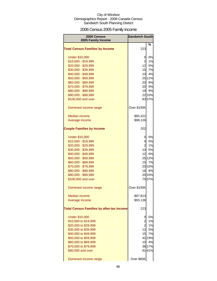# 2006 Census 2005 Family Income

| 2006 Census                                      | <b>Sandwich South</b> |        |
|--------------------------------------------------|-----------------------|--------|
| 2005 Family Income                               |                       | %      |
| <b>Total Census Families by Income</b>           | 223                   |        |
| <b>Under \$10,000</b>                            | 0                     | 0%     |
| \$10,000 - \$19,999                              | $\overline{a}$        | 1%     |
| \$20,000 - \$29,999                              | 12                    | 5%     |
| \$30,000 - \$39,999                              | 15                    | 7%     |
| \$40,000 - \$49,999                              | 10                    | 4%     |
| \$50,000 - \$59,999                              |                       | 25 11% |
| \$60,000 - \$69,999                              | 20                    | 9%     |
| \$70,000 - \$79,999                              | 20                    | 9%     |
| \$80,000 - \$89,999                              | 19                    | 9%     |
| \$90,000 - \$99,999                              |                       | 22 10% |
| \$100,000 and over                               |                       | 83 37% |
| Dominant income range                            | Over \$100K           |        |
| <b>Median income</b>                             | \$85,321              |        |
| Average income                                   | \$98,126              |        |
| <b>Couple Families by Income</b>                 | 202                   |        |
| <b>Under \$10,000</b>                            | 0                     | 0%     |
| \$10,000 - \$19,999                              | Ol                    | 0%     |
| \$20,000 - \$29,999                              | 2                     | 1%     |
| \$30,000 - \$39,999                              | 10                    | 5%     |
| \$40,000 - \$49,999                              | 12                    | 6%     |
| \$50,000 - \$59,999                              |                       | 25 12% |
| \$60,000 - \$69,999                              | 15                    | 7%     |
| \$70,000 - \$79,999                              |                       | 20 10% |
| \$80,000 - \$89,999                              | 18                    | 9%     |
| \$90,000 - \$99,999                              |                       | 20 10% |
| \$100,000 and over                               |                       | 75 37% |
| Dominant income range                            | Over \$100K           |        |
| <b>Median income</b>                             | \$87,813              |        |
| Average income                                   | \$93,136              |        |
| <b>Total Census Families by after-tax Income</b> | 223                   |        |
| <b>Under \$10,000</b>                            | 0                     | 0%     |
| \$10,000 to \$19,999                             | $\overline{c}$        | 1%     |
| \$20,000 to \$29,999                             | $\overline{a}$        | 1%     |
| \$30,000 to \$39,999                             | 12                    | 5%     |
| \$40,000 to \$49,999                             | 15                    | 7%     |
| \$50,000 to \$59,999                             |                       | 42 19% |
| \$60,000 to \$69,999                             | 10                    | 4%     |
| \$70,000 to \$79,999                             |                       | 38 17% |
| \$80,000 and over                                |                       | 9141%  |
| Dominant income range                            | Over \$80K            |        |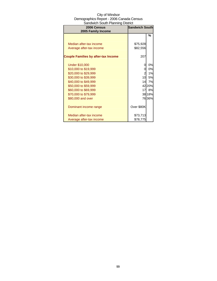| 2006 Census<br>2005 Family Income          | <b>Sandwich South</b> |        |
|--------------------------------------------|-----------------------|--------|
|                                            |                       | %      |
| Median after-tax income                    | \$75,928              |        |
| Average after-tax income                   | \$82,556              |        |
| <b>Couple Families by after-tax Income</b> | 207                   |        |
| <b>Under \$10,000</b>                      | 0                     | 0%     |
| \$10,000 to \$19,999                       | 0                     | 0%     |
| \$20,000 to \$29,999                       | $\overline{a}$        | 1%     |
| \$30,000 to \$39,999                       | 10                    | 5%     |
| \$40,000 to \$49,999                       | 14                    | 7%     |
| \$50,000 to \$59,999                       |                       | 42 20% |
| \$60,000 to \$69,999                       | 17                    | 8%     |
| \$70,000 to \$79,999                       |                       | 38 18% |
| \$80,000 and over                          |                       | 76 36% |
| Dominant income range                      | Over \$80K            |        |
| Median after-tax income                    | \$73,713              |        |
| Average after-tax income                   | \$78,775              |        |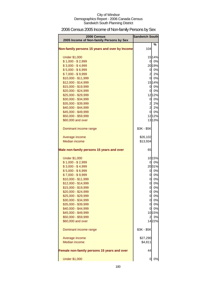# 2006 Census 2005 Income of Non-family Persons by Sex

| 2006 Census                                    | <b>Sandwich South</b> |        |
|------------------------------------------------|-----------------------|--------|
| 2005 Income of Non-family Persons by Sex       |                       | %      |
| Non-family persons 15 years and over by Income | 104                   |        |
| <b>Under \$1,000</b>                           |                       | 15 14% |
| $$1,000 - $2,999$                              |                       | 0 0%   |
| $$3,000 - $4,999$                              |                       | 2019%  |
| $$5,000 - $6,999$                              |                       | 0 0%   |
| $$7,000 - $9,999$                              |                       | 2 2%   |
| \$10,000 - \$11,999                            |                       | 0 0%   |
| \$12,000 - \$14,999                            |                       | 1514%  |
| \$15,000 - \$19,999                            |                       | 0 0%   |
| \$20,000 - \$24,999                            |                       | 0 0%   |
| \$25,000 - \$29,999                            |                       | 1212%  |
| \$30,000 - \$34,999                            | 0                     | 0%     |
| \$35,000 - \$39,999                            |                       | 2 2%   |
| \$40,000 - \$44,999                            |                       | 2 2%   |
| \$45,000 - \$49,999                            |                       | 0 0%   |
| \$50,000 - \$59,999                            |                       | 1212%  |
| \$60,000 and over                              |                       | 13 13% |
| Dominant income range                          | \$3K - \$5K           |        |
| Average income                                 | \$26,102              |        |
| <b>Median income</b>                           | \$13,934              |        |
| Male non-family persons 15 years and over      | 65                    |        |
| <b>Under \$1,000</b>                           |                       | 1015%  |
| $$1,000 - $2,999$                              | 0                     | 0%     |
| $$3,000 - $4,999$                              |                       | 2031%  |
| $$5,000 - $6,999$                              |                       | 0 0%   |
| $$7,000 - $9,999$                              |                       | 0 0%   |
| \$10,000 - \$11,999                            | <sub>0</sub>          | 0%     |
| \$12,000 - \$14,999                            | $\overline{0}$        | 0%     |
| \$15,000 - \$19,999                            | 0                     | 0%     |
| \$20,000 - \$24,999                            | $\overline{0}$        | 0%     |
| \$25,000 - \$29,999                            |                       | 0 0%   |
| \$30,000 - \$34,999                            |                       | 0 0%   |
| \$35,000 - \$39,999                            |                       | 0 0%   |
| \$40,000 - \$44,999                            | 0                     | 0%     |
| \$45,000 - \$49,999                            |                       | 1015%  |
| \$50,000 - \$59,999                            | $\overline{a}$        | 3%     |
| \$60,000 and over                              |                       | 1422%  |
| Dominant income range                          | \$3K - \$5K           |        |
| Average income                                 | \$27,290              |        |
| Median income                                  | \$4,811               |        |
| Female non-family persons 15 years and over    | 44                    |        |
| <b>Under \$1,000</b>                           | 0                     | 0%     |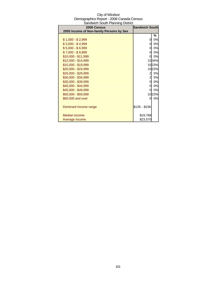| Sandwich South Planning District<br>2006 Census | <b>Sandwich South</b> |       |
|-------------------------------------------------|-----------------------|-------|
| 2005 Income of Non-family Persons by Sex        |                       |       |
|                                                 |                       | %     |
| $$1,000 - $2,999$                               | 0                     | 0%    |
| $$3,000 - $4,999$                               | 0                     | 0%    |
| $$5,000 - $6,999$                               | 0                     | 0%    |
| $$7,000 - $9,999$                               | 0                     | 0%    |
| $$10,000 - $11,999$                             | 0                     | 0%    |
| \$12,000 - \$14,999                             |                       | 1534% |
| \$15,000 - \$19,999                             |                       | 1023% |
| \$20,000 - \$24,999                             |                       | 1023% |
| \$25,000 - \$29,999                             | 2                     | 5%    |
| \$30,000 - \$34,999                             | $\mathbf{z}$          | 5%    |
| \$35,000 - \$39,999                             | 0                     | 0%    |
| \$40,000 - \$44,999                             | 0                     | 0%    |
| \$45,000 - \$49,999                             | 0                     | 0%    |
| \$50,000 - \$59,999                             |                       | 1023% |
| \$60,000 and over                               | O                     | 0%    |
|                                                 |                       |       |
| Dominant income range                           | \$12K - \$15K         |       |
|                                                 |                       |       |
| Median income                                   | \$19,788              |       |
| Average income                                  | \$23,570              |       |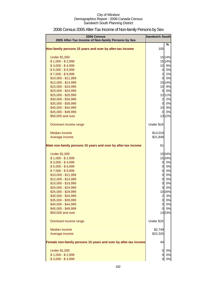| 2006 Census<br>2005 After-Tax Income of Non-family Persons by Sex | <b>Sandwich South</b> |        |
|-------------------------------------------------------------------|-----------------------|--------|
| Non-family persons 15 years and over by after-tax income          | 105                   | %      |
|                                                                   |                       |        |
| <b>Under \$1,000</b>                                              |                       | 15 14% |
| $$1,000 - $2,999$                                                 |                       | 1514%  |
| $$3,000 - $4,999$                                                 |                       | 10 9%  |
| $$5,000 - $6,999$                                                 | $\overline{0}$        | 0%     |
| $$7,000 - $9,999$                                                 | $\overline{c}$        | 2%     |
| \$10,000 - \$11,999                                               | $\overline{0}$        | 0%     |
| \$12,000 - \$14,999                                               |                       | 1514%  |
| \$15,000 - \$19,999                                               | 10                    | 9%     |
| \$20,000 - \$24,999                                               | $\overline{0}$        | 0%     |
| \$25,000 - \$29,999                                               |                       | 1211%  |
| \$30,000 - \$34,999                                               | $\overline{2}$        | 2%     |
| \$35,000 - \$39,999                                               | $\overline{O}$        | 0%     |
| \$40,000 - \$44,999                                               |                       | 10 9%  |
| \$45,000 - \$49,999                                               | $\overline{0}$        | 0%     |
| \$50,000 and over                                                 |                       | 1312%  |
| Dominant income range                                             | Under \$1K            |        |
| Median income                                                     | \$14,019              |        |
| Average income                                                    | \$21,848              |        |
|                                                                   |                       |        |
| Male non-family persons 15 years and over by after-tax income     | 61                    |        |
| <b>Under \$1,000</b>                                              |                       | 1524%  |
| $$1,000 - $2,999$                                                 |                       | 1524%  |
| $$3,000 - $4,999$                                                 |                       | 0 0%   |
| $$5,000 - $6,999$                                                 | <sub>0</sub>          | 0%     |
| $$7,000 - $9,999$                                                 | <sub>0</sub>          | 0%     |
| \$10,000 - \$11,999                                               | $\overline{0}$        | 0%     |
| \$12,000 - \$14,999                                               | $\overline{0}$        | 0%     |
| \$15,000 - \$19,999                                               | $\overline{O}$        | 0%     |
| \$20,000 - \$24,999                                               | 01                    | 0%     |
| \$25,000 - \$29,999                                               |                       | 10 16% |
| \$30,000 - \$34,999                                               | $\overline{2}$        | 3%     |
| \$35,000 - \$39,999                                               |                       | 0 0%   |
| \$40,000 - \$44,999                                               | $\mathbf{0}$          | 0%     |
| \$45,000 - \$49,999                                               | 01                    | 0%     |
| \$50,000 and over                                                 |                       | 1423%  |
| Dominant income range                                             | Under \$1K            |        |
| Median income                                                     | \$2,749               |        |
| Average income                                                    | \$22,325              |        |
| Female non-family persons 15 years and over by after-tax income   | 44                    |        |
| <b>Under \$1,000</b>                                              | 0                     | 0%     |
| $$1,000 - $2,999$                                                 | 0                     | 0%     |
| $$3,000 - $4,999$                                                 | 0                     | 0%     |

# 2006 Census 2005 After-Tax Income of Non-family Persons by Sex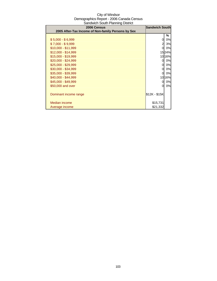| 2006 Census<br>2005 After-Tax Income of Non-family Persons by Sex | <b>Sandwich South</b> |        |
|-------------------------------------------------------------------|-----------------------|--------|
|                                                                   |                       | ℅      |
| $$5,000 - $6,999$                                                 | 0                     | 0%     |
| $$7,000 - $9,999$                                                 | 2                     | 3%     |
| $$10,000 - $11,999$                                               | O.                    | 0%     |
| $$12,000 - $14,999$                                               |                       | 1524%  |
| \$15,000 - \$19,999                                               |                       | 10 16% |
| $$20,000 - $24,999$                                               | 0                     | 0%     |
| \$25,000 - \$29,999                                               | 0                     | 0%     |
| \$30,000 - \$34,999                                               | 0                     | 0%     |
| \$35,000 - \$39,999                                               | 0                     | 0%     |
| \$40,000 - \$44,999                                               |                       | 10 16% |
| \$45,000 - \$49,999                                               | 0                     | 0%     |
| \$50,000 and over                                                 | 0                     | 0%     |
| Dominant income range                                             | \$12K - \$15K         |        |
| Median income                                                     | \$15,731              |        |
| Average income                                                    | \$21,332              |        |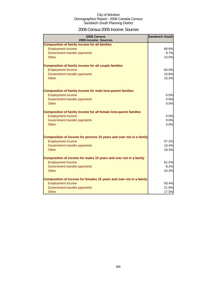### 2006 Census 2005 Income: Sources

| 2006 Census<br>2005 Income: Sources                                     | <b>Sandwich South</b> |
|-------------------------------------------------------------------------|-----------------------|
| <b>Composition of family income for all families</b>                    |                       |
| <b>Employment income</b>                                                | 66.6%                 |
| Government transfer payments                                            | 9.7%                  |
| Other                                                                   | 13.5%                 |
| <b>Composition of family income for all couple families</b>             |                       |
| <b>Employment income</b>                                                | 64.0%                 |
| Government transfer payments                                            | 10.6%                 |
| Other                                                                   | 15.3%                 |
| <b>Composition of family income for male lone-parent families</b>       |                       |
| <b>Employment income</b>                                                | 0.0%                  |
| Government transfer payments                                            | 0.0%                  |
| Other                                                                   | 0.0%                  |
| <b>Composition of family income for all female lone-parent families</b> |                       |
| <b>Employment income</b>                                                | 0.0%                  |
| Government transfer payments                                            | 0.0%                  |
| Other                                                                   | 0.0%                  |
| Composition of income for persons 15 years and over not in a family     |                       |
| <b>Employment income</b>                                                | 57.2%                 |
| Government transfer payments                                            | 13.4%                 |
| Other                                                                   | 19.2%                 |
| Composition of income for males 15 years and over not in a family       |                       |
| <b>Employment income</b>                                                | 61.2%                 |
| Government transfer payments                                            | 8.2%                  |
| Other                                                                   | 20.3%                 |
| Composition of income for females 15 years and over not in a family     |                       |
| <b>Employment income</b>                                                | 50.4%                 |
| Government transfer payments                                            | 21.9%                 |
| Other                                                                   | 17.5%                 |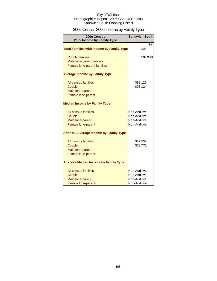# 2006 Census 2005 Income by Family Type

| 2006 Census<br>2005 Income by Family Type        | <b>Sandwich South</b> |        |
|--------------------------------------------------|-----------------------|--------|
| <b>Total Families with Income by Family Type</b> | 223                   | %      |
| <b>Couple families</b>                           |                       | 20793% |
| Male lone-parent families                        |                       |        |
| Female lone-parent families                      |                       |        |
| <b>Average Income by Family Type</b>             |                       |        |
| All census families                              | \$98,126              |        |
| Couple                                           | \$93,124              |        |
| Male lone-parent                                 |                       |        |
| Female lone-parent                               |                       |        |
| <b>Median Income by Family Type</b>              |                       |        |
| All census families                              | Non-Additive          |        |
| Couple                                           | Non-Additive          |        |
| Male lone-parent                                 | Non-Additive          |        |
| Female lone-parent                               | Non-Additive          |        |
| <b>After-tax Average Income by Family Type</b>   |                       |        |
| All census families                              | \$82,556              |        |
| Couple                                           | \$78,775              |        |
| Male lone-parent                                 |                       |        |
| Female lone-parent                               |                       |        |
| <b>After-tax Median Income by Family Type</b>    |                       |        |
| All census families                              | Non-Additive          |        |
| Couple                                           | Non-Additive          |        |
| Male lone-parent                                 | Non-Additive          |        |
| Female lone-parent                               | Non-Additive          |        |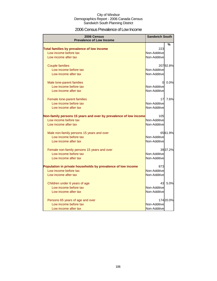### 2006 Census Prevalence of Low Income

| 2006 Census                                                      | <b>Sandwich South</b> |           |
|------------------------------------------------------------------|-----------------------|-----------|
| <b>Prevalence of Low Income</b>                                  |                       |           |
|                                                                  |                       | %         |
| Total families by prevalence of low income                       | 223                   |           |
| Low income before tax                                            | Non-Additive          |           |
| Low income after tax                                             | Non-Additive          |           |
| <b>Couple families</b>                                           |                       | 20792.8%  |
| Low income before tax                                            | Non-Additive          |           |
| Low income after tax                                             | Non-Additive          |           |
| Male lone-parent families                                        | $\Omega$              | 0.0%      |
| Low income before tax                                            | Non-Additive          |           |
| Low income after tax                                             | Non-Additive          |           |
|                                                                  |                       |           |
| Female lone-parent families                                      | 17                    | 7.6%      |
| Low income before tax                                            | Non-Additive          |           |
| Low income after tax                                             | Non-Additive          |           |
| Non-family persons 15 years and over by prevalence of low income | 105                   |           |
| Low income before tax                                            | Non-Additive          |           |
| Low income after tax                                             | Non-Additive          |           |
| Male non-family persons 15 years and over                        |                       | 65 61.9%  |
| Low income before tax                                            | Non-Additive          |           |
| Low income after tax                                             | Non-Additive          |           |
|                                                                  |                       |           |
| Female non-family persons 15 years and over                      |                       | 3937.2%   |
| Low income before tax                                            | Non-Additive          |           |
| Low income after tax                                             | Non-Additive          |           |
| Population in private households by prevalence of low income     | 873                   |           |
| Low income before tax                                            | Non-Additive          |           |
| Low income after tax                                             | Non-Additive          |           |
|                                                                  |                       |           |
| Children under 6 years of age                                    | 43                    | 5.0%      |
| Low income before tax                                            | Non-Additive          |           |
| Low income after tax                                             | Non-Additive          |           |
| Persons 65 years of age and over                                 |                       | 174 20.0% |
| Low income before tax                                            | Non-Additive          |           |
| Low income after tax                                             | Non-Additive          |           |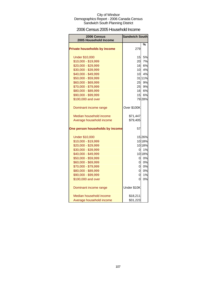### 2006 Census 2005 Household Income

| 2006 Census<br>2005 Household Income | <b>Sandwich South</b> |        |
|--------------------------------------|-----------------------|--------|
|                                      |                       | %      |
| <b>Private households by income</b>  | 279                   |        |
| <b>Under \$10,000</b>                | 15                    | 5%     |
| \$10,000 - \$19,999                  | 20                    | 7%     |
| \$20,000 - \$29,999                  | 16                    | 6%     |
| \$30,000 - \$39,999                  | 10                    | 4%     |
| \$40,000 - \$49,999                  | 10                    | 4%     |
| \$50,000 - \$59,999                  |                       | 31 11% |
| \$60,000 - \$69,999                  | 25                    | 9%     |
| \$70,000 - \$79,999                  | 25                    | 9%     |
| \$80,000 - \$89,999                  | 16                    | 6%     |
| \$90,000 - \$99,999                  | 15                    | 6%     |
| \$100,000 and over                   |                       | 79 28% |
| Dominant income range                | Over \$100K           |        |
| Median household income              | \$71,447              |        |
| Average household income             | \$79,405              |        |
| One person households by income      | 57                    |        |
| <b>Under \$10,000</b>                |                       | 15 26% |
| \$10,000 - \$19,999                  |                       | 10 18% |
| \$20,000 - \$29,999                  |                       | 10 18% |
| \$30,000 - \$39,999                  | 0                     | 1%     |
| \$40,000 - \$49,999                  |                       | 10 18% |
| \$50,000 - \$59,999                  | 0l                    | 0%     |
| \$60,000 - \$69,999                  | 0l                    | 0%     |
| \$70,000 - \$79,999                  | 0                     | 0%     |
| \$80,000 - \$89,999                  | 0                     | 0%     |
| \$90,000 - \$99,999                  | 0                     | 1%     |
| \$100,000 and over                   | 0                     | 0%     |
| Dominant income range                | Under \$10K           |        |
| Median household income              | \$18,211              |        |
| Average household income             | \$31,223              |        |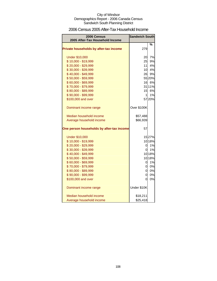### 2006 Census 2005 After-Tax Household Income

| <b>2006 Census</b><br>2005 After-Tax Household Income | <b>Sandwich South</b> |        |
|-------------------------------------------------------|-----------------------|--------|
|                                                       |                       |        |
| Private households by after-tax income                | 279                   | %      |
| <b>Under \$10,000</b>                                 | 20                    | 7%     |
| \$10,000 - \$19,999                                   | 25                    | 9%     |
| \$20,000 - \$29,999                                   | 11                    | 4%     |
| \$30,000 - \$39,999                                   | 10                    | 4%     |
| \$40,000 - \$49,999                                   | 26                    | 9%     |
| \$50,000 - \$59,999                                   |                       | 55 20% |
| \$60,000 - \$69,999                                   | 16                    | 6%     |
| \$70,000 - \$79,999                                   |                       | 31 11% |
| \$80,000 - \$89,999                                   |                       | 15 6%  |
| \$90,000 - \$99,999                                   | 11                    | 1%     |
| \$100,000 and over                                    |                       | 57 20% |
| Dominant income range                                 | Over \$100K           |        |
| Median household income                               | \$57,488              |        |
| Average household income                              | \$66,939              |        |
| One person households by after-tax income             | 57                    |        |
| <b>Under \$10,000</b>                                 |                       | 15 27% |
| \$10,000 - \$19,999                                   |                       | 10 18% |
| \$20,000 - \$29,999                                   | 0                     | 1%     |
| \$30,000 - \$39,999                                   | Οl                    | 1%     |
| \$40,000 - \$49,999                                   |                       | 10 18% |
| \$50,000 - \$59,999                                   |                       | 10 18% |
| \$60,000 - \$69,999                                   | 0                     | 1%     |
| \$70,000 - \$79,999                                   | $\overline{0}$        | 0%     |
| \$80,000 - \$89,999                                   | 0                     | $0\%$  |
| \$90,000 - \$99,999                                   | 0                     | 0%     |
| \$100,000 and over                                    | 0                     | 0%     |
| Dominant income range                                 | Under \$10K           |        |
| Median household income                               | \$18,211              |        |
| Average household income                              | \$25,418              |        |